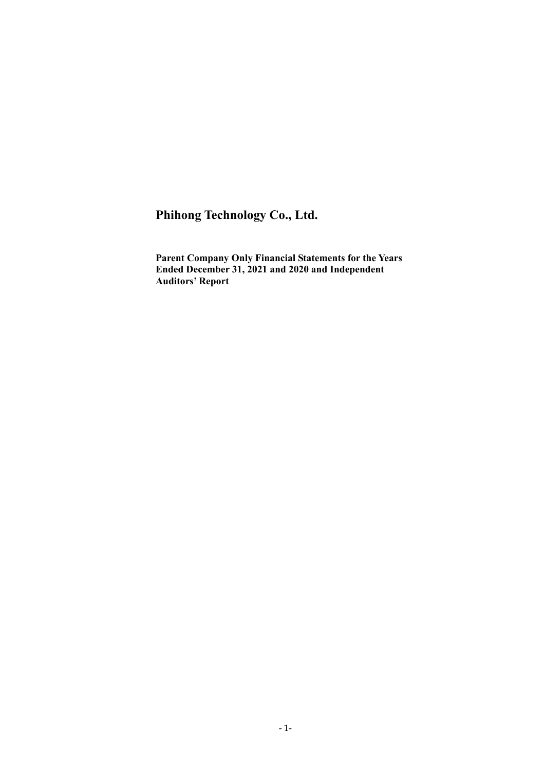# **Phihong Technology Co., Ltd.**

**Parent Company Only Financial Statements for the Years Ended December 31, 2021 and 2020 and Independent Auditors' Report**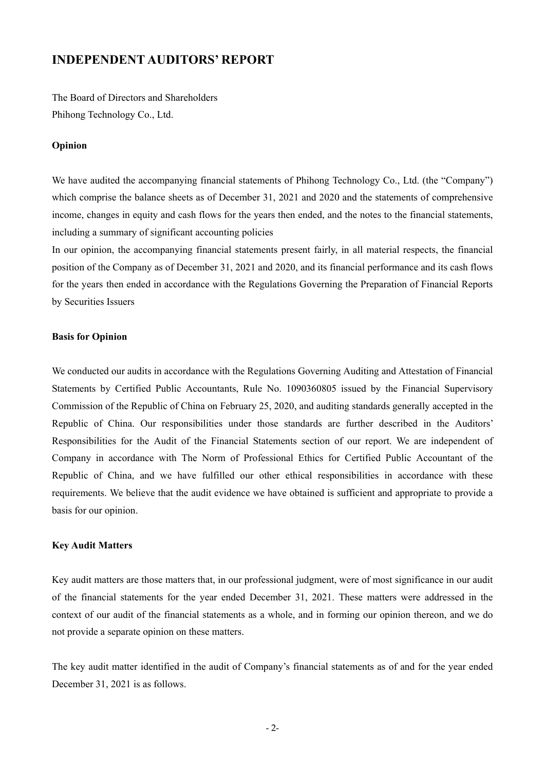# **INDEPENDENT AUDITORS' REPORT**

The Board of Directors and Shareholders Phihong Technology Co., Ltd.

### **Opinion**

We have audited the accompanying financial statements of Phihong Technology Co., Ltd. (the "Company") which comprise the balance sheets as of December 31, 2021 and 2020 and the statements of comprehensive income, changes in equity and cash flows for the years then ended, and the notes to the financial statements, including a summary of significant accounting policies

In our opinion, the accompanying financial statements present fairly, in all material respects, the financial position of the Company as of December 31, 2021 and 2020, and its financial performance and its cash flows for the years then ended in accordance with the Regulations Governing the Preparation of Financial Reports by Securities Issuers

### **Basis for Opinion**

We conducted our audits in accordance with the Regulations Governing Auditing and Attestation of Financial Statements by Certified Public Accountants, Rule No. 1090360805 issued by the Financial Supervisory Commission of the Republic of China on February 25, 2020, and auditing standards generally accepted in the Republic of China. Our responsibilities under those standards are further described in the Auditors' Responsibilities for the Audit of the Financial Statements section of our report. We are independent of Company in accordance with The Norm of Professional Ethics for Certified Public Accountant of the Republic of China, and we have fulfilled our other ethical responsibilities in accordance with these requirements. We believe that the audit evidence we have obtained is sufficient and appropriate to provide a basis for our opinion.

### **Key Audit Matters**

Key audit matters are those matters that, in our professional judgment, were of most significance in our audit of the financial statements for the year ended December 31, 2021. These matters were addressed in the context of our audit of the financial statements as a whole, and in forming our opinion thereon, and we do not provide a separate opinion on these matters.

The key audit matter identified in the audit of Company's financial statements as of and for the year ended December 31, 2021 is as follows.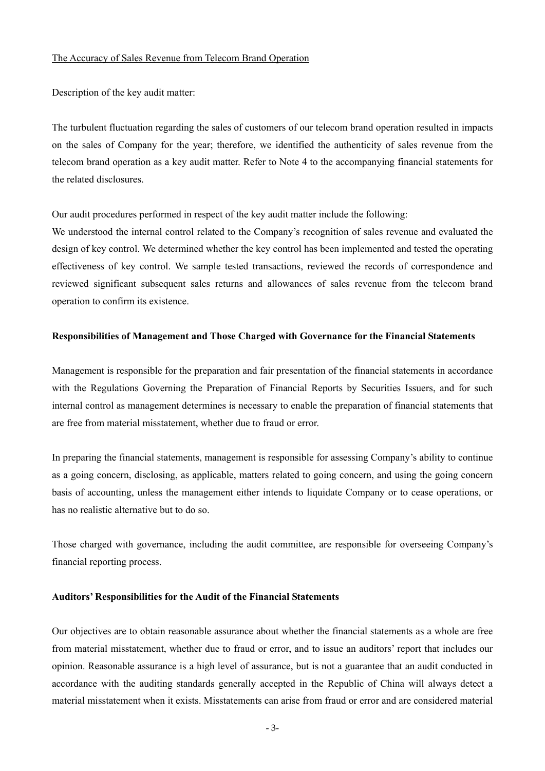#### The Accuracy of Sales Revenue from Telecom Brand Operation

Description of the key audit matter:

The turbulent fluctuation regarding the sales of customers of our telecom brand operation resulted in impacts on the sales of Company for the year; therefore, we identified the authenticity of sales revenue from the telecom brand operation as a key audit matter. Refer to Note 4 to the accompanying financial statements for the related disclosures.

Our audit procedures performed in respect of the key audit matter include the following:

We understood the internal control related to the Company's recognition of sales revenue and evaluated the design of key control. We determined whether the key control has been implemented and tested the operating effectiveness of key control. We sample tested transactions, reviewed the records of correspondence and reviewed significant subsequent sales returns and allowances of sales revenue from the telecom brand operation to confirm its existence.

## **Responsibilities of Management and Those Charged with Governance for the Financial Statements**

Management is responsible for the preparation and fair presentation of the financial statements in accordance with the Regulations Governing the Preparation of Financial Reports by Securities Issuers, and for such internal control as management determines is necessary to enable the preparation of financial statements that are free from material misstatement, whether due to fraud or error.

In preparing the financial statements, management is responsible for assessing Company's ability to continue as a going concern, disclosing, as applicable, matters related to going concern, and using the going concern basis of accounting, unless the management either intends to liquidate Company or to cease operations, or has no realistic alternative but to do so.

Those charged with governance, including the audit committee, are responsible for overseeing Company's financial reporting process.

## **Auditors' Responsibilities for the Audit of the Financial Statements**

Our objectives are to obtain reasonable assurance about whether the financial statements as a whole are free from material misstatement, whether due to fraud or error, and to issue an auditors' report that includes our opinion. Reasonable assurance is a high level of assurance, but is not a guarantee that an audit conducted in accordance with the auditing standards generally accepted in the Republic of China will always detect a material misstatement when it exists. Misstatements can arise from fraud or error and are considered material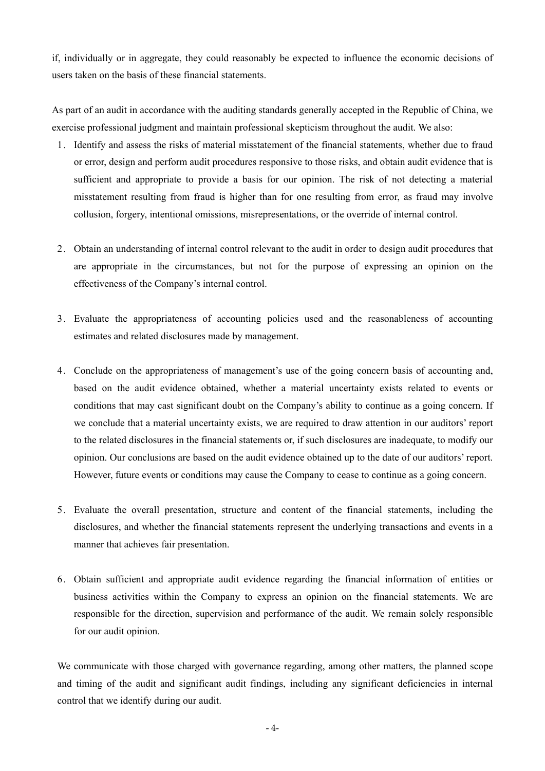if, individually or in aggregate, they could reasonably be expected to influence the economic decisions of users taken on the basis of these financial statements.

As part of an audit in accordance with the auditing standards generally accepted in the Republic of China, we exercise professional judgment and maintain professional skepticism throughout the audit. We also:

- 1. Identify and assess the risks of material misstatement of the financial statements, whether due to fraud or error, design and perform audit procedures responsive to those risks, and obtain audit evidence that is sufficient and appropriate to provide a basis for our opinion. The risk of not detecting a material misstatement resulting from fraud is higher than for one resulting from error, as fraud may involve collusion, forgery, intentional omissions, misrepresentations, or the override of internal control.
- 2. Obtain an understanding of internal control relevant to the audit in order to design audit procedures that are appropriate in the circumstances, but not for the purpose of expressing an opinion on the effectiveness of the Company's internal control.
- 3. Evaluate the appropriateness of accounting policies used and the reasonableness of accounting estimates and related disclosures made by management.
- 4. Conclude on the appropriateness of management's use of the going concern basis of accounting and, based on the audit evidence obtained, whether a material uncertainty exists related to events or conditions that may cast significant doubt on the Company's ability to continue as a going concern. If we conclude that a material uncertainty exists, we are required to draw attention in our auditors' report to the related disclosures in the financial statements or, if such disclosures are inadequate, to modify our opinion. Our conclusions are based on the audit evidence obtained up to the date of our auditors' report. However, future events or conditions may cause the Company to cease to continue as a going concern.
- 5. Evaluate the overall presentation, structure and content of the financial statements, including the disclosures, and whether the financial statements represent the underlying transactions and events in a manner that achieves fair presentation.
- 6. Obtain sufficient and appropriate audit evidence regarding the financial information of entities or business activities within the Company to express an opinion on the financial statements. We are responsible for the direction, supervision and performance of the audit. We remain solely responsible for our audit opinion.

We communicate with those charged with governance regarding, among other matters, the planned scope and timing of the audit and significant audit findings, including any significant deficiencies in internal control that we identify during our audit.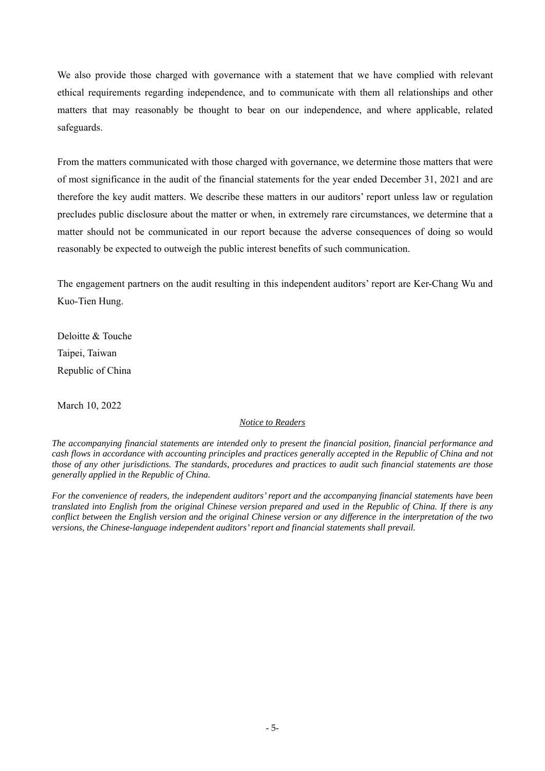We also provide those charged with governance with a statement that we have complied with relevant ethical requirements regarding independence, and to communicate with them all relationships and other matters that may reasonably be thought to bear on our independence, and where applicable, related safeguards.

From the matters communicated with those charged with governance, we determine those matters that were of most significance in the audit of the financial statements for the year ended December 31, 2021 and are therefore the key audit matters. We describe these matters in our auditors' report unless law or regulation precludes public disclosure about the matter or when, in extremely rare circumstances, we determine that a matter should not be communicated in our report because the adverse consequences of doing so would reasonably be expected to outweigh the public interest benefits of such communication.

The engagement partners on the audit resulting in this independent auditors' report are Ker-Chang Wu and Kuo-Tien Hung.

Deloitte & Touche Taipei, Taiwan Republic of China

March 10, 2022

## *Notice to Readers*

*The accompanying financial statements are intended only to present the financial position, financial performance and cash flows in accordance with accounting principles and practices generally accepted in the Republic of China and not those of any other jurisdictions. The standards, procedures and practices to audit such financial statements are those generally applied in the Republic of China.* 

*For the convenience of readers, the independent auditors' report and the accompanying financial statements have been translated into English from the original Chinese version prepared and used in the Republic of China. If there is any conflict between the English version and the original Chinese version or any difference in the interpretation of the two versions, the Chinese-language independent auditors' report and financial statements shall prevail.*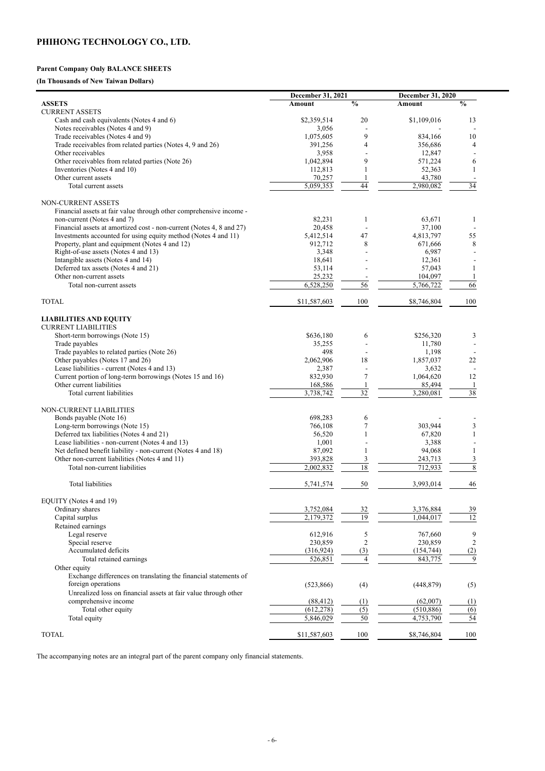# **PHIHONG TECHNOLOGY CO., LTD.**

## **Parent Company Only BALANCE SHEETS**

# **(In Thousands of New Taiwan Dollars)**

|                                                                                                                                        | December 31, 2021   |                 | <b>December 31, 2020</b> |                 |
|----------------------------------------------------------------------------------------------------------------------------------------|---------------------|-----------------|--------------------------|-----------------|
| <b>ASSETS</b>                                                                                                                          | <b>Amount</b>       | $\frac{0}{0}$   | <b>Amount</b>            | $\frac{0}{0}$   |
| <b>CURRENT ASSETS</b>                                                                                                                  |                     |                 |                          |                 |
| Cash and cash equivalents (Notes 4 and 6)                                                                                              | \$2,359,514         | 20              | \$1,109,016              | 13              |
| Notes receivables (Notes 4 and 9)                                                                                                      | 3,056               |                 |                          |                 |
| Trade receivables (Notes 4 and 9)                                                                                                      | 1,075,605           | 9               | 834,166                  | 10              |
| Trade receivables from related parties (Notes 4, 9 and 26)                                                                             | 391,256             | 4               | 356,686                  | 4               |
| Other receivables                                                                                                                      | 3,958               |                 | 12,847                   |                 |
| Other receivables from related parties (Note 26)                                                                                       | 1,042,894           | 9               | 571,224                  | 6               |
| Inventories (Notes 4 and 10)                                                                                                           | 112,813             |                 | 52,363                   |                 |
| Other current assets                                                                                                                   | 70,257              |                 | 43,780                   |                 |
| Total current assets                                                                                                                   | 5,059,353           | 44              | 2,980,082                | 34              |
|                                                                                                                                        |                     |                 |                          |                 |
| NON-CURRENT ASSETS                                                                                                                     |                     |                 |                          |                 |
| Financial assets at fair value through other comprehensive income -                                                                    |                     |                 |                          |                 |
| non-current (Notes 4 and 7)                                                                                                            | 82,231              |                 | 63,671                   |                 |
| Financial assets at amortized cost - non-current (Notes 4, 8 and 27)<br>Investments accounted for using equity method (Notes 4 and 11) | 20,458<br>5,412,514 | 47              | 37,100<br>4,813,797      | 55              |
| Property, plant and equipment (Notes 4 and 12)                                                                                         | 912,712             | 8               | 671,666                  | 8               |
| Right-of-use assets (Notes 4 and 13)                                                                                                   | 3,348               |                 | 6,987                    |                 |
| Intangible assets (Notes 4 and 14)                                                                                                     | 18,641              |                 | 12,361                   |                 |
| Deferred tax assets (Notes 4 and 21)                                                                                                   | 53,114              |                 | 57,043                   |                 |
| Other non-current assets                                                                                                               | 25,232              |                 | 104,097                  |                 |
| Total non-current assets                                                                                                               | 6,528,250           | 56              | 5,766,722                | 66              |
|                                                                                                                                        |                     |                 |                          |                 |
| <b>TOTAL</b>                                                                                                                           | \$11,587,603        | 100             | \$8,746,804              | 100             |
|                                                                                                                                        |                     |                 |                          |                 |
| <b>LIABILITIES AND EQUITY</b>                                                                                                          |                     |                 |                          |                 |
| <b>CURRENT LIABILITIES</b>                                                                                                             |                     |                 |                          |                 |
| Short-term borrowings (Note 15)                                                                                                        | \$636,180           | 6               | \$256,320                | 3               |
| Trade payables                                                                                                                         | 35,255              |                 | 11,780                   |                 |
| Trade payables to related parties (Note 26)                                                                                            | 498                 | $\blacksquare$  | 1,198                    |                 |
| Other payables (Notes 17 and 26)                                                                                                       | 2,062,906           | 18              | 1,857,037                | 22              |
| Lease liabilities - current (Notes 4 and 13)                                                                                           | 2,387               | $\blacksquare$  | 3,632                    |                 |
| Current portion of long-term borrowings (Notes 15 and 16)                                                                              | 832,930             | $\overline{7}$  | 1,064,620                | 12              |
| Other current liabilities                                                                                                              | 168,586             |                 | 85,494                   |                 |
| Total current liabilities                                                                                                              | 3,738,742           | $\overline{32}$ | 3,280,081                | 38              |
|                                                                                                                                        |                     |                 |                          |                 |
| NON-CURRENT LIABILITIES                                                                                                                |                     |                 |                          |                 |
| Bonds payable (Note 16)                                                                                                                | 698,283             | 6               |                          |                 |
| Long-term borrowings (Note 15)                                                                                                         | 766,108             |                 | 303,944                  | $\mathfrak{Z}$  |
| Deferred tax liabilities (Notes 4 and 21)                                                                                              | 56,520              |                 | 67,820                   |                 |
| Lease liabilities - non-current (Notes 4 and 13)                                                                                       | 1,001               |                 | 3,388                    |                 |
| Net defined benefit liability - non-current (Notes 4 and 18)                                                                           | 87,092              |                 | 94,068                   |                 |
| Other non-current liabilities (Notes 4 and 11)                                                                                         | 393,828             | 3               | 243,713                  | $\mathfrak{Z}$  |
| Total non-current liabilities                                                                                                          | 2,002,832           | 18              | 712,933                  | $\overline{8}$  |
|                                                                                                                                        |                     |                 |                          |                 |
| <b>Total liabilities</b>                                                                                                               | 5,741,574           | 50              | 3,993,014                | 46              |
|                                                                                                                                        |                     |                 |                          |                 |
| EQUITY (Notes 4 and 19)                                                                                                                |                     |                 |                          |                 |
| Ordinary shares                                                                                                                        | 3,752,084           | 32              | 3,376,884                | 39              |
| Capital surplus                                                                                                                        | 2,179,372           | 19              | 1,044,017                | $\overline{12}$ |
| Retained earnings                                                                                                                      |                     |                 |                          |                 |
| Legal reserve                                                                                                                          | 612,916             | 5               | 767,660                  | 9               |
| Special reserve                                                                                                                        | 230,859             | $\overline{2}$  | 230,859                  | $\overline{2}$  |
| Accumulated deficits                                                                                                                   | (316, 924)          | (3)             | (154, 744)               | (2)             |
| Total retained earnings                                                                                                                | 526,851             | Δ               | 843,775                  | 9               |
| Other equity                                                                                                                           |                     |                 |                          |                 |

Exchange differences on translating the financial statements of

| foreign operations                                              | (523, 866)   | (4) | (448, 879)  | (5) |
|-----------------------------------------------------------------|--------------|-----|-------------|-----|
| Unrealized loss on financial assets at fair value through other |              |     |             |     |
| comprehensive income                                            | (88, 412)    |     | (62,007)    |     |
| Total other equity                                              | (612, 278)   |     | (510, 886)  | (6) |
| Total equity                                                    | 5,846,029    | 50  | 4,753,790   | 54  |
| <b>TOTAL</b>                                                    | \$11,587,603 | 100 | \$8,746,804 | 100 |

The accompanying notes are an integral part of the parent company only financial statements.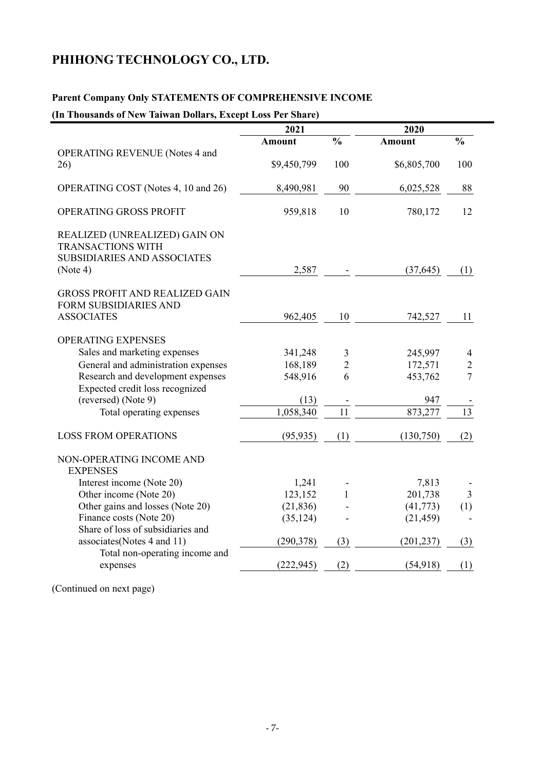# **PHIHONG TECHNOLOGY CO., LTD.**

## **Parent Company Only STATEMENTS OF COMPREHENSIVE INCOME**

## **(In Thousands of New Taiwan Dollars, Except Loss Per Share)**

|                                                                                                             | 2021          |                 | 2020          |                |
|-------------------------------------------------------------------------------------------------------------|---------------|-----------------|---------------|----------------|
|                                                                                                             | <b>Amount</b> | $\frac{0}{0}$   | <b>Amount</b> | $\frac{0}{0}$  |
| <b>OPERATING REVENUE (Notes 4 and</b><br>26)                                                                | \$9,450,799   | 100             | \$6,805,700   | 100            |
| OPERATING COST (Notes 4, 10 and 26)                                                                         | 8,490,981     | 90              | 6,025,528     | 88             |
| OPERATING GROSS PROFIT                                                                                      | 959,818       | 10              | 780,172       | 12             |
| REALIZED (UNREALIZED) GAIN ON<br><b>TRANSACTIONS WITH</b><br><b>SUBSIDIARIES AND ASSOCIATES</b><br>(Note 4) | 2,587         |                 | (37, 645)     | (1)            |
| <b>GROSS PROFIT AND REALIZED GAIN</b><br><b>FORM SUBSIDIARIES AND</b><br><b>ASSOCIATES</b>                  | 962,405       | 10              | 742,527       | 11             |
| <b>OPERATING EXPENSES</b>                                                                                   |               |                 |               |                |
| Sales and marketing expenses                                                                                | 341,248       | 3               | 245,997       | $\overline{4}$ |
| General and administration expenses                                                                         | 168,189       | $\overline{c}$  | 172,571       | $\overline{2}$ |
| Research and development expenses<br>Expected credit loss recognized                                        | 548,916       | 6               | 453,762       | $\overline{7}$ |
| (reversed) (Note 9)                                                                                         | (13)          |                 | 947           |                |
| Total operating expenses                                                                                    | 1,058,340     | $\overline{11}$ | 873,277       | 13             |
| <b>LOSS FROM OPERATIONS</b>                                                                                 | (95, 935)     | (1)             | (130,750)     | (2)            |
| NON-OPERATING INCOME AND<br><b>EXPENSES</b>                                                                 |               |                 |               |                |
| Interest income (Note 20)                                                                                   | 1,241         |                 | 7,813         |                |
| Other income (Note 20)                                                                                      | 123,152       | $\mathbf{1}$    | 201,738       | 3              |
| Other gains and losses (Note 20)                                                                            | (21, 836)     |                 | (41, 773)     | (1)            |
| Finance costs (Note 20)                                                                                     | (35, 124)     |                 | (21, 459)     |                |
| Share of loss of subsidiaries and                                                                           |               |                 |               |                |
| associates (Notes 4 and 11)                                                                                 | (290, 378)    | (3)             | (201, 237)    | (3)            |
| Total non-operating income and<br>expenses                                                                  | (222, 945)    | (2)             | (54, 918)     | (1)            |
|                                                                                                             |               |                 |               |                |

(Continued on next page)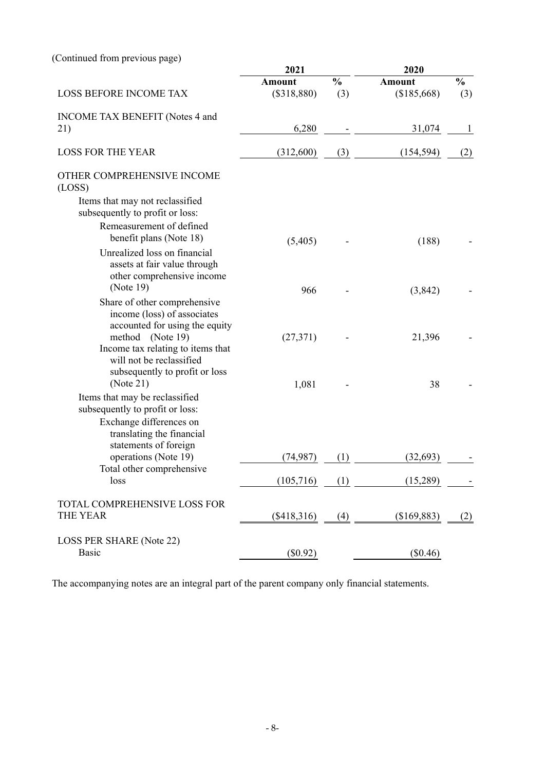(Continued from previous page)

| 2021          |                          | 2020          |                          |  |
|---------------|--------------------------|---------------|--------------------------|--|
| <b>Amount</b> | $\frac{0}{0}$            | <b>Amount</b> | $\frac{0}{0}$            |  |
| (\$318,880)   | (3)                      | (\$185,668)   | (3)                      |  |
| 6,280         |                          | 31,074        |                          |  |
| (312,600)     | (3)                      | (154, 594)    | (2)                      |  |
|               |                          |               |                          |  |
| (5,405)       |                          | (188)         |                          |  |
|               |                          |               |                          |  |
|               |                          |               |                          |  |
|               |                          |               |                          |  |
|               |                          |               |                          |  |
| (74, 987)     | (1)                      | (32,693)      |                          |  |
| (105, 716)    | (1)                      | (15,289)      |                          |  |
| $(\$418,316)$ | (4)                      | (\$169,883)   | (2)                      |  |
| $(\$0.92)$    |                          | $(\$0.46)$    |                          |  |
|               | 966<br>(27,371)<br>1,081 |               | (3, 842)<br>21,396<br>38 |  |

The accompanying notes are an integral part of the parent company only financial statements.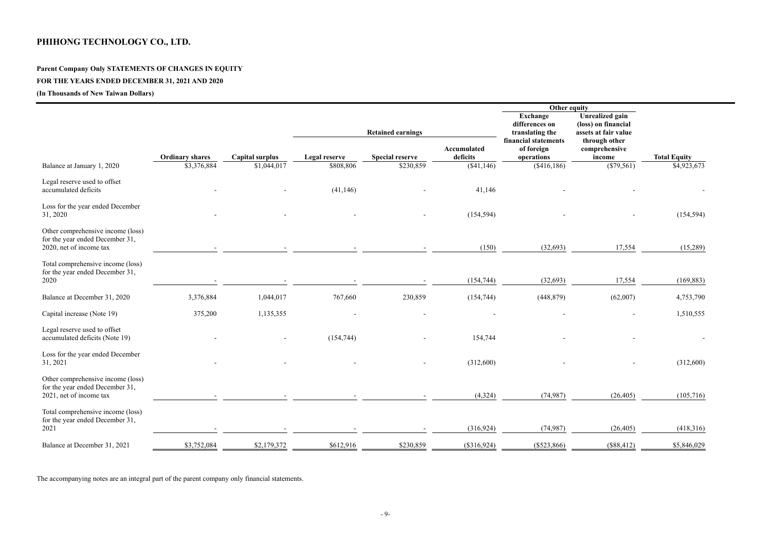# **PHIHONG TECHNOLOGY CO., LTD.**

# **Parent Company Only STATEMENTS OF CHANGES IN EQUITY**

# **FOR THE YEARS ENDED DECEMBER 31, 2021 AND 2020**

# **(In Thousands of New Taiwan Dollars)**

|                                                                                                 |                        |                 |                      |                          |                                | Other equity                                         |                                                                       |                     |
|-------------------------------------------------------------------------------------------------|------------------------|-----------------|----------------------|--------------------------|--------------------------------|------------------------------------------------------|-----------------------------------------------------------------------|---------------------|
|                                                                                                 |                        |                 |                      | <b>Retained earnings</b> |                                | <b>Exchange</b><br>differences on<br>translating the | <b>Unrealized gain</b><br>(loss) on financial<br>assets at fair value |                     |
|                                                                                                 | <b>Ordinary shares</b> | Capital surplus | <b>Legal reserve</b> | <b>Special reserve</b>   | <b>Accumulated</b><br>deficits | financial statements<br>of foreign<br>operations     | through other<br>comprehensive<br>income                              | <b>Total Equity</b> |
| Balance at January 1, 2020                                                                      | \$3,376,884            | \$1,044,017     | \$808,806            | \$230,859                | (\$41,146)                     | (\$416,186)                                          | $(\$79,561)$                                                          | \$4,923,673         |
| Legal reserve used to offset<br>accumulated deficits                                            |                        |                 | (41, 146)            |                          | 41,146                         |                                                      |                                                                       |                     |
| Loss for the year ended December<br>31, 2020                                                    |                        |                 |                      |                          | (154, 594)                     |                                                      |                                                                       | (154, 594)          |
| Other comprehensive income (loss)<br>for the year ended December 31,<br>2020, net of income tax |                        |                 |                      |                          | (150)                          | (32, 693)                                            | 17,554                                                                | (15,289)            |
| Total comprehensive income (loss)<br>for the year ended December 31,<br>2020                    |                        |                 |                      |                          | (154, 744)                     | (32, 693)                                            | 17,554                                                                | (169, 883)          |
| Balance at December 31, 2020                                                                    | 3,376,884              | 1,044,017       | 767,660              | 230,859                  | (154, 744)                     | (448, 879)                                           | (62,007)                                                              | 4,753,790           |
| Capital increase (Note 19)                                                                      | 375,200                | 1,135,355       |                      | $\overline{\phantom{a}}$ | $\overline{\phantom{a}}$       |                                                      |                                                                       | 1,510,555           |
| Legal reserve used to offset<br>accumulated deficits (Note 19)                                  |                        |                 | (154, 744)           |                          | 154,744                        |                                                      |                                                                       |                     |
| Loss for the year ended December<br>31, 2021                                                    |                        |                 |                      |                          | (312,600)                      |                                                      |                                                                       | (312,600)           |
| Other comprehensive income (loss)<br>for the year ended December 31,<br>2021, net of income tax |                        |                 |                      |                          | (4, 324)                       | (74, 987)                                            | (26, 405)                                                             | (105, 716)          |
| Total comprehensive income (loss)<br>for the year ended December 31,<br>2021                    |                        |                 |                      |                          | (316, 924)                     | (74, 987)                                            | (26, 405)                                                             | (418,316)           |
| Balance at December 31, 2021                                                                    | \$3,752,084            | \$2,179,372     | \$612,916            | \$230,859                | (\$316,924)                    | $(\$523,866)$                                        | (\$88,412)                                                            | \$5,846,029         |

The accompanying notes are an integral part of the parent company only financial statements.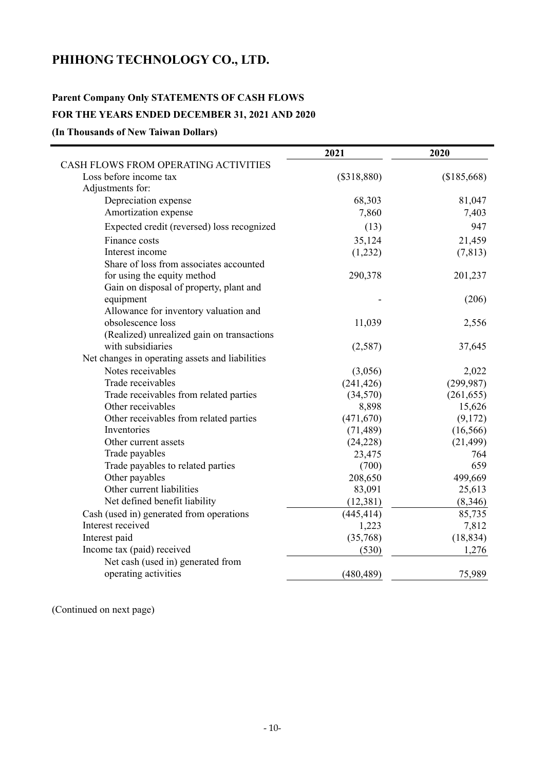# **PHIHONG TECHNOLOGY CO., LTD.**

## **Parent Company Only STATEMENTS OF CASH FLOWS**

## **FOR THE YEARS ENDED DECEMBER 31, 2021 AND 2020**

**(In Thousands of New Taiwan Dollars)** 

|                                                 | 2021          | 2020        |
|-------------------------------------------------|---------------|-------------|
| CASH FLOWS FROM OPERATING ACTIVITIES            |               |             |
| Loss before income tax<br>Adjustments for:      | $(\$318,880)$ | (\$185,668) |
| Depreciation expense                            | 68,303        | 81,047      |
| Amortization expense                            | 7,860         | 7,403       |
| Expected credit (reversed) loss recognized      | (13)          | 947         |
| Finance costs                                   | 35,124        | 21,459      |
| Interest income                                 | (1,232)       | (7, 813)    |
| Share of loss from associates accounted         |               |             |
| for using the equity method                     | 290,378       | 201,237     |
| Gain on disposal of property, plant and         |               |             |
| equipment                                       |               | (206)       |
| Allowance for inventory valuation and           |               |             |
| obsolescence loss                               | 11,039        | 2,556       |
| (Realized) unrealized gain on transactions      |               |             |
| with subsidiaries                               | (2,587)       | 37,645      |
| Net changes in operating assets and liabilities |               |             |
| Notes receivables                               | (3,056)       | 2,022       |
| Trade receivables                               | (241, 426)    | (299, 987)  |
| Trade receivables from related parties          | (34,570)      | (261, 655)  |
| Other receivables                               | 8,898         | 15,626      |
| Other receivables from related parties          | (471, 670)    | (9,172)     |
| Inventories                                     | (71, 489)     | (16, 566)   |
| Other current assets                            | (24, 228)     | (21, 499)   |
| Trade payables                                  | 23,475        | 764         |
| Trade payables to related parties               | (700)         | 659         |
| Other payables                                  | 208,650       | 499,669     |
| Other current liabilities                       | 83,091        | 25,613      |
| Net defined benefit liability                   | (12, 381)     | (8, 346)    |
| Cash (used in) generated from operations        | (445, 414)    | 85,735      |
| Interest received                               | 1,223         | 7,812       |
| Interest paid                                   | (35,768)      | (18, 834)   |
| Income tax (paid) received                      | (530)         | 1,276       |
| Net cash (used in) generated from               |               |             |
| operating activities                            | (480, 489)    | 75,989      |

(Continued on next page)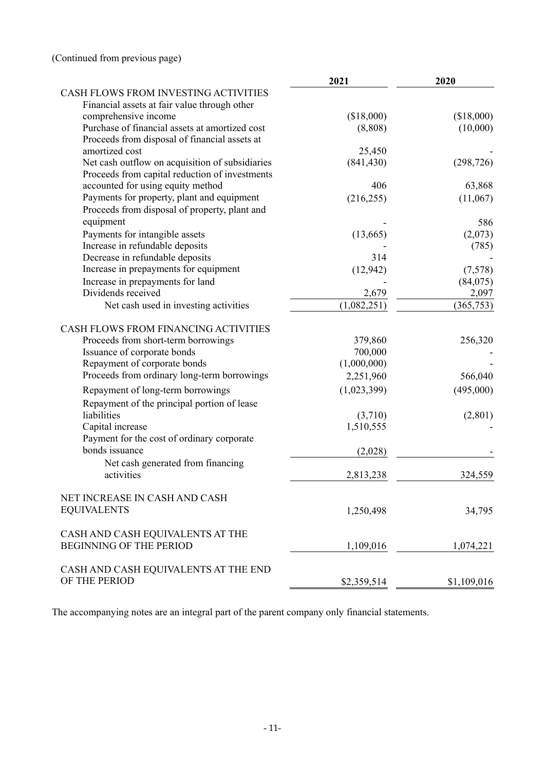| CASH FLOWS FROM INVESTING ACTIVITIES<br>Financial assets at fair value through other<br>(\$18,000)<br>comprehensive income<br>(\$18,000)<br>Purchase of financial assets at amortized cost<br>(8, 808)<br>(10,000)<br>Proceeds from disposal of financial assets at<br>amortized cost<br>25,450<br>(841, 430)<br>Net cash outflow on acquisition of subsidiaries<br>(298, 726)<br>Proceeds from capital reduction of investments<br>accounted for using equity method<br>406<br>63,868<br>Payments for property, plant and equipment<br>(216, 255)<br>(11,067)<br>Proceeds from disposal of property, plant and<br>equipment<br>586<br>Payments for intangible assets<br>(13,665)<br>(2,073)<br>Increase in refundable deposits<br>(785)<br>Decrease in refundable deposits<br>314<br>Increase in prepayments for equipment<br>(12, 942)<br>(7,578)<br>Increase in prepayments for land<br>(84,075)<br>Dividends received<br>2,097<br>2,679<br>(1,082,251)<br>(365, 753)<br>Net cash used in investing activities<br>CASH FLOWS FROM FINANCING ACTIVITIES<br>Proceeds from short-term borrowings<br>379,860<br>256,320<br>Issuance of corporate bonds<br>700,000<br>(1,000,000)<br>Repayment of corporate bonds<br>Proceeds from ordinary long-term borrowings<br>2,251,960<br>566,040<br>(495,000)<br>(1,023,399)<br>Repayment of long-term borrowings<br>Repayment of the principal portion of lease<br>liabilities<br>(2,801)<br>(3,710)<br>1,510,555<br>Capital increase<br>Payment for the cost of ordinary corporate<br>bonds issuance<br>(2,028)<br>Net cash generated from financing<br>activities<br>2,813,238<br>324,559<br>NET INCREASE IN CASH AND CASH<br><b>EQUIVALENTS</b><br>1,250,498<br>34,795<br>CASH AND CASH EQUIVALENTS AT THE<br><b>BEGINNING OF THE PERIOD</b><br>1,109,016<br>1,074,221<br>CASH AND CASH EQUIVALENTS AT THE END<br>OF THE PERIOD<br>\$1,109,016<br>\$2,359,514 | 2021 | 2020 |
|---------------------------------------------------------------------------------------------------------------------------------------------------------------------------------------------------------------------------------------------------------------------------------------------------------------------------------------------------------------------------------------------------------------------------------------------------------------------------------------------------------------------------------------------------------------------------------------------------------------------------------------------------------------------------------------------------------------------------------------------------------------------------------------------------------------------------------------------------------------------------------------------------------------------------------------------------------------------------------------------------------------------------------------------------------------------------------------------------------------------------------------------------------------------------------------------------------------------------------------------------------------------------------------------------------------------------------------------------------------------------------------------------------------------------------------------------------------------------------------------------------------------------------------------------------------------------------------------------------------------------------------------------------------------------------------------------------------------------------------------------------------------------------------------------------------------------------------------------------------------------------------------------------|------|------|
|                                                                                                                                                                                                                                                                                                                                                                                                                                                                                                                                                                                                                                                                                                                                                                                                                                                                                                                                                                                                                                                                                                                                                                                                                                                                                                                                                                                                                                                                                                                                                                                                                                                                                                                                                                                                                                                                                                         |      |      |
|                                                                                                                                                                                                                                                                                                                                                                                                                                                                                                                                                                                                                                                                                                                                                                                                                                                                                                                                                                                                                                                                                                                                                                                                                                                                                                                                                                                                                                                                                                                                                                                                                                                                                                                                                                                                                                                                                                         |      |      |
|                                                                                                                                                                                                                                                                                                                                                                                                                                                                                                                                                                                                                                                                                                                                                                                                                                                                                                                                                                                                                                                                                                                                                                                                                                                                                                                                                                                                                                                                                                                                                                                                                                                                                                                                                                                                                                                                                                         |      |      |
|                                                                                                                                                                                                                                                                                                                                                                                                                                                                                                                                                                                                                                                                                                                                                                                                                                                                                                                                                                                                                                                                                                                                                                                                                                                                                                                                                                                                                                                                                                                                                                                                                                                                                                                                                                                                                                                                                                         |      |      |
|                                                                                                                                                                                                                                                                                                                                                                                                                                                                                                                                                                                                                                                                                                                                                                                                                                                                                                                                                                                                                                                                                                                                                                                                                                                                                                                                                                                                                                                                                                                                                                                                                                                                                                                                                                                                                                                                                                         |      |      |
|                                                                                                                                                                                                                                                                                                                                                                                                                                                                                                                                                                                                                                                                                                                                                                                                                                                                                                                                                                                                                                                                                                                                                                                                                                                                                                                                                                                                                                                                                                                                                                                                                                                                                                                                                                                                                                                                                                         |      |      |
|                                                                                                                                                                                                                                                                                                                                                                                                                                                                                                                                                                                                                                                                                                                                                                                                                                                                                                                                                                                                                                                                                                                                                                                                                                                                                                                                                                                                                                                                                                                                                                                                                                                                                                                                                                                                                                                                                                         |      |      |
|                                                                                                                                                                                                                                                                                                                                                                                                                                                                                                                                                                                                                                                                                                                                                                                                                                                                                                                                                                                                                                                                                                                                                                                                                                                                                                                                                                                                                                                                                                                                                                                                                                                                                                                                                                                                                                                                                                         |      |      |
|                                                                                                                                                                                                                                                                                                                                                                                                                                                                                                                                                                                                                                                                                                                                                                                                                                                                                                                                                                                                                                                                                                                                                                                                                                                                                                                                                                                                                                                                                                                                                                                                                                                                                                                                                                                                                                                                                                         |      |      |
|                                                                                                                                                                                                                                                                                                                                                                                                                                                                                                                                                                                                                                                                                                                                                                                                                                                                                                                                                                                                                                                                                                                                                                                                                                                                                                                                                                                                                                                                                                                                                                                                                                                                                                                                                                                                                                                                                                         |      |      |
|                                                                                                                                                                                                                                                                                                                                                                                                                                                                                                                                                                                                                                                                                                                                                                                                                                                                                                                                                                                                                                                                                                                                                                                                                                                                                                                                                                                                                                                                                                                                                                                                                                                                                                                                                                                                                                                                                                         |      |      |
|                                                                                                                                                                                                                                                                                                                                                                                                                                                                                                                                                                                                                                                                                                                                                                                                                                                                                                                                                                                                                                                                                                                                                                                                                                                                                                                                                                                                                                                                                                                                                                                                                                                                                                                                                                                                                                                                                                         |      |      |
|                                                                                                                                                                                                                                                                                                                                                                                                                                                                                                                                                                                                                                                                                                                                                                                                                                                                                                                                                                                                                                                                                                                                                                                                                                                                                                                                                                                                                                                                                                                                                                                                                                                                                                                                                                                                                                                                                                         |      |      |
|                                                                                                                                                                                                                                                                                                                                                                                                                                                                                                                                                                                                                                                                                                                                                                                                                                                                                                                                                                                                                                                                                                                                                                                                                                                                                                                                                                                                                                                                                                                                                                                                                                                                                                                                                                                                                                                                                                         |      |      |
|                                                                                                                                                                                                                                                                                                                                                                                                                                                                                                                                                                                                                                                                                                                                                                                                                                                                                                                                                                                                                                                                                                                                                                                                                                                                                                                                                                                                                                                                                                                                                                                                                                                                                                                                                                                                                                                                                                         |      |      |
|                                                                                                                                                                                                                                                                                                                                                                                                                                                                                                                                                                                                                                                                                                                                                                                                                                                                                                                                                                                                                                                                                                                                                                                                                                                                                                                                                                                                                                                                                                                                                                                                                                                                                                                                                                                                                                                                                                         |      |      |
|                                                                                                                                                                                                                                                                                                                                                                                                                                                                                                                                                                                                                                                                                                                                                                                                                                                                                                                                                                                                                                                                                                                                                                                                                                                                                                                                                                                                                                                                                                                                                                                                                                                                                                                                                                                                                                                                                                         |      |      |
|                                                                                                                                                                                                                                                                                                                                                                                                                                                                                                                                                                                                                                                                                                                                                                                                                                                                                                                                                                                                                                                                                                                                                                                                                                                                                                                                                                                                                                                                                                                                                                                                                                                                                                                                                                                                                                                                                                         |      |      |
|                                                                                                                                                                                                                                                                                                                                                                                                                                                                                                                                                                                                                                                                                                                                                                                                                                                                                                                                                                                                                                                                                                                                                                                                                                                                                                                                                                                                                                                                                                                                                                                                                                                                                                                                                                                                                                                                                                         |      |      |
|                                                                                                                                                                                                                                                                                                                                                                                                                                                                                                                                                                                                                                                                                                                                                                                                                                                                                                                                                                                                                                                                                                                                                                                                                                                                                                                                                                                                                                                                                                                                                                                                                                                                                                                                                                                                                                                                                                         |      |      |
|                                                                                                                                                                                                                                                                                                                                                                                                                                                                                                                                                                                                                                                                                                                                                                                                                                                                                                                                                                                                                                                                                                                                                                                                                                                                                                                                                                                                                                                                                                                                                                                                                                                                                                                                                                                                                                                                                                         |      |      |
|                                                                                                                                                                                                                                                                                                                                                                                                                                                                                                                                                                                                                                                                                                                                                                                                                                                                                                                                                                                                                                                                                                                                                                                                                                                                                                                                                                                                                                                                                                                                                                                                                                                                                                                                                                                                                                                                                                         |      |      |
|                                                                                                                                                                                                                                                                                                                                                                                                                                                                                                                                                                                                                                                                                                                                                                                                                                                                                                                                                                                                                                                                                                                                                                                                                                                                                                                                                                                                                                                                                                                                                                                                                                                                                                                                                                                                                                                                                                         |      |      |
|                                                                                                                                                                                                                                                                                                                                                                                                                                                                                                                                                                                                                                                                                                                                                                                                                                                                                                                                                                                                                                                                                                                                                                                                                                                                                                                                                                                                                                                                                                                                                                                                                                                                                                                                                                                                                                                                                                         |      |      |
|                                                                                                                                                                                                                                                                                                                                                                                                                                                                                                                                                                                                                                                                                                                                                                                                                                                                                                                                                                                                                                                                                                                                                                                                                                                                                                                                                                                                                                                                                                                                                                                                                                                                                                                                                                                                                                                                                                         |      |      |
|                                                                                                                                                                                                                                                                                                                                                                                                                                                                                                                                                                                                                                                                                                                                                                                                                                                                                                                                                                                                                                                                                                                                                                                                                                                                                                                                                                                                                                                                                                                                                                                                                                                                                                                                                                                                                                                                                                         |      |      |
|                                                                                                                                                                                                                                                                                                                                                                                                                                                                                                                                                                                                                                                                                                                                                                                                                                                                                                                                                                                                                                                                                                                                                                                                                                                                                                                                                                                                                                                                                                                                                                                                                                                                                                                                                                                                                                                                                                         |      |      |
|                                                                                                                                                                                                                                                                                                                                                                                                                                                                                                                                                                                                                                                                                                                                                                                                                                                                                                                                                                                                                                                                                                                                                                                                                                                                                                                                                                                                                                                                                                                                                                                                                                                                                                                                                                                                                                                                                                         |      |      |
|                                                                                                                                                                                                                                                                                                                                                                                                                                                                                                                                                                                                                                                                                                                                                                                                                                                                                                                                                                                                                                                                                                                                                                                                                                                                                                                                                                                                                                                                                                                                                                                                                                                                                                                                                                                                                                                                                                         |      |      |
|                                                                                                                                                                                                                                                                                                                                                                                                                                                                                                                                                                                                                                                                                                                                                                                                                                                                                                                                                                                                                                                                                                                                                                                                                                                                                                                                                                                                                                                                                                                                                                                                                                                                                                                                                                                                                                                                                                         |      |      |
|                                                                                                                                                                                                                                                                                                                                                                                                                                                                                                                                                                                                                                                                                                                                                                                                                                                                                                                                                                                                                                                                                                                                                                                                                                                                                                                                                                                                                                                                                                                                                                                                                                                                                                                                                                                                                                                                                                         |      |      |
|                                                                                                                                                                                                                                                                                                                                                                                                                                                                                                                                                                                                                                                                                                                                                                                                                                                                                                                                                                                                                                                                                                                                                                                                                                                                                                                                                                                                                                                                                                                                                                                                                                                                                                                                                                                                                                                                                                         |      |      |
|                                                                                                                                                                                                                                                                                                                                                                                                                                                                                                                                                                                                                                                                                                                                                                                                                                                                                                                                                                                                                                                                                                                                                                                                                                                                                                                                                                                                                                                                                                                                                                                                                                                                                                                                                                                                                                                                                                         |      |      |
|                                                                                                                                                                                                                                                                                                                                                                                                                                                                                                                                                                                                                                                                                                                                                                                                                                                                                                                                                                                                                                                                                                                                                                                                                                                                                                                                                                                                                                                                                                                                                                                                                                                                                                                                                                                                                                                                                                         |      |      |
|                                                                                                                                                                                                                                                                                                                                                                                                                                                                                                                                                                                                                                                                                                                                                                                                                                                                                                                                                                                                                                                                                                                                                                                                                                                                                                                                                                                                                                                                                                                                                                                                                                                                                                                                                                                                                                                                                                         |      |      |
|                                                                                                                                                                                                                                                                                                                                                                                                                                                                                                                                                                                                                                                                                                                                                                                                                                                                                                                                                                                                                                                                                                                                                                                                                                                                                                                                                                                                                                                                                                                                                                                                                                                                                                                                                                                                                                                                                                         |      |      |
|                                                                                                                                                                                                                                                                                                                                                                                                                                                                                                                                                                                                                                                                                                                                                                                                                                                                                                                                                                                                                                                                                                                                                                                                                                                                                                                                                                                                                                                                                                                                                                                                                                                                                                                                                                                                                                                                                                         |      |      |
|                                                                                                                                                                                                                                                                                                                                                                                                                                                                                                                                                                                                                                                                                                                                                                                                                                                                                                                                                                                                                                                                                                                                                                                                                                                                                                                                                                                                                                                                                                                                                                                                                                                                                                                                                                                                                                                                                                         |      |      |
|                                                                                                                                                                                                                                                                                                                                                                                                                                                                                                                                                                                                                                                                                                                                                                                                                                                                                                                                                                                                                                                                                                                                                                                                                                                                                                                                                                                                                                                                                                                                                                                                                                                                                                                                                                                                                                                                                                         |      |      |

The accompanying notes are an integral part of the parent company only financial statements.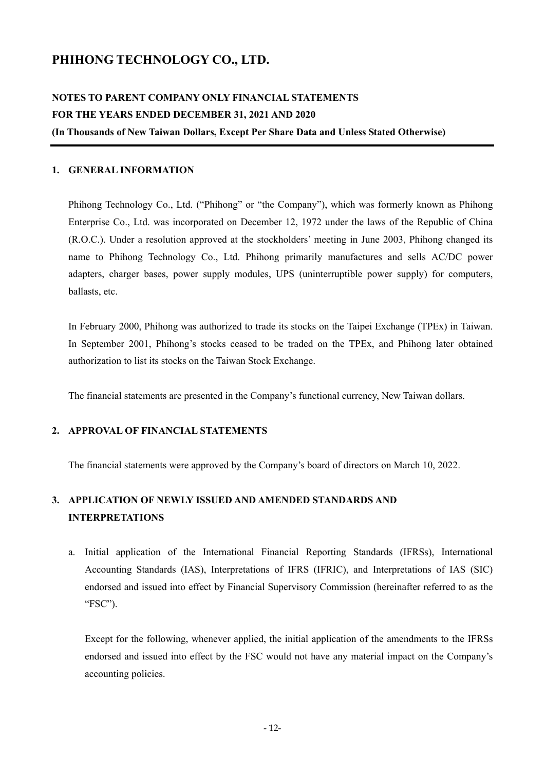# **PHIHONG TECHNOLOGY CO., LTD.**

# **NOTES TO PARENT COMPANY ONLY FINANCIAL STATEMENTS FOR THE YEARS ENDED DECEMBER 31, 2021 AND 2020 (In Thousands of New Taiwan Dollars, Except Per Share Data and Unless Stated Otherwise)**

#### **1. GENERAL INFORMATION**

Phihong Technology Co., Ltd. ("Phihong" or "the Company"), which was formerly known as Phihong Enterprise Co., Ltd. was incorporated on December 12, 1972 under the laws of the Republic of China (R.O.C.). Under a resolution approved at the stockholders' meeting in June 2003, Phihong changed its name to Phihong Technology Co., Ltd. Phihong primarily manufactures and sells AC/DC power adapters, charger bases, power supply modules, UPS (uninterruptible power supply) for computers, ballasts, etc.

In February 2000, Phihong was authorized to trade its stocks on the Taipei Exchange (TPEx) in Taiwan. In September 2001, Phihong's stocks ceased to be traded on the TPEx, and Phihong later obtained authorization to list its stocks on the Taiwan Stock Exchange.

The financial statements are presented in the Company's functional currency, New Taiwan dollars.

## **2. APPROVAL OF FINANCIAL STATEMENTS**

The financial statements were approved by the Company's board of directors on March 10, 2022.

# **3. APPLICATION OF NEWLY ISSUED AND AMENDED STANDARDS AND INTERPRETATIONS**

a. Initial application of the International Financial Reporting Standards (IFRSs), International Accounting Standards (IAS), Interpretations of IFRS (IFRIC), and Interpretations of IAS (SIC) endorsed and issued into effect by Financial Supervisory Commission (hereinafter referred to as the "FSC").

Except for the following, whenever applied, the initial application of the amendments to the IFRSs endorsed and issued into effect by the FSC would not have any material impact on the Company's accounting policies.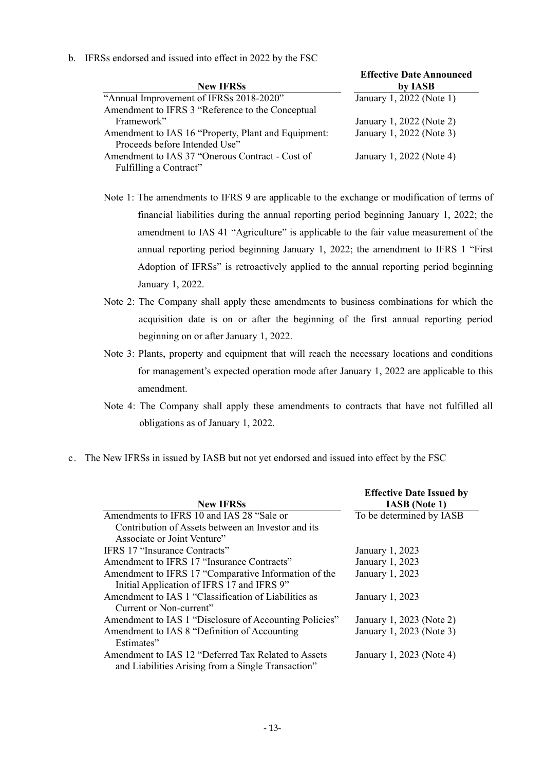b. IFRSs endorsed and issued into effect in 2022 by the FSC

|                                                     | <b>Effective Date Announced</b> |
|-----------------------------------------------------|---------------------------------|
| <b>New IFRSs</b>                                    | by IASB                         |
| "Annual Improvement of IFRSs 2018-2020"             | January 1, 2022 (Note 1)        |
| Amendment to IFRS 3 "Reference to the Conceptual    |                                 |
| Framework"                                          | January 1, 2022 (Note 2)        |
| Amendment to IAS 16 "Property, Plant and Equipment: | January 1, 2022 (Note 3)        |
| Proceeds before Intended Use"                       |                                 |
| Amendment to IAS 37 "Onerous Contract - Cost of     | January 1, 2022 (Note 4)        |
| Fulfilling a Contract"                              |                                 |

- Note 1: The amendments to IFRS 9 are applicable to the exchange or modification of terms of financial liabilities during the annual reporting period beginning January 1, 2022; the amendment to IAS 41 "Agriculture" is applicable to the fair value measurement of the annual reporting period beginning January 1, 2022; the amendment to IFRS 1 "First Adoption of IFRSs" is retroactively applied to the annual reporting period beginning January 1, 2022.
- Note 2: The Company shall apply these amendments to business combinations for which the acquisition date is on or after the beginning of the first annual reporting period beginning on or after January 1, 2022.
- Note 3: Plants, property and equipment that will reach the necessary locations and conditions for management's expected operation mode after January 1, 2022 are applicable to this amendment.
- Note 4: The Company shall apply these amendments to contracts that have not fulfilled all obligations as of January 1, 2022.
- c. The New IFRSs in issued by IASB but not yet endorsed and issued into effect by the FSC

|                                                        | <b>Effective Date Issued by</b> |
|--------------------------------------------------------|---------------------------------|
| <b>New IFRSs</b>                                       | <b>IASB</b> (Note 1)            |
| Amendments to IFRS 10 and IAS 28 "Sale or              | To be determined by IASB        |
| Contribution of Assets between an Investor and its     |                                 |
| Associate or Joint Venture"                            |                                 |
| <b>IFRS 17 "Insurance Contracts"</b>                   | January 1, 2023                 |
| Amendment to IFRS 17 "Insurance Contracts"             | January 1, 2023                 |
| Amendment to IFRS 17 "Comparative Information of the   | January 1, 2023                 |
| Initial Application of IFRS 17 and IFRS 9"             |                                 |
| Amendment to IAS 1 "Classification of Liabilities as   | January 1, 2023                 |
| Current or Non-current"                                |                                 |
| Amendment to IAS 1 "Disclosure of Accounting Policies" | January 1, 2023 (Note 2)        |
| Amendment to IAS 8 "Definition of Accounting           | January 1, 2023 (Note 3)        |
| Estimates"                                             |                                 |
| Amendment to IAS 12 "Deferred Tax Related to Assets    | January 1, 2023 (Note 4)        |
| and Liabilities Arising from a Single Transaction"     |                                 |
|                                                        |                                 |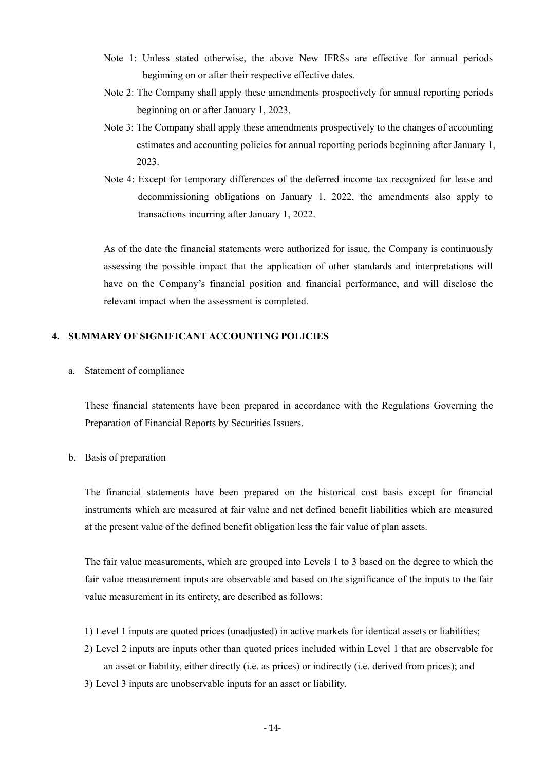- Note 1: Unless stated otherwise, the above New IFRSs are effective for annual periods beginning on or after their respective effective dates.
- Note 2: The Company shall apply these amendments prospectively for annual reporting periods beginning on or after January 1, 2023.
- Note 3: The Company shall apply these amendments prospectively to the changes of accounting estimates and accounting policies for annual reporting periods beginning after January 1, 2023.
- Note 4: Except for temporary differences of the deferred income tax recognized for lease and decommissioning obligations on January 1, 2022, the amendments also apply to transactions incurring after January 1, 2022.

As of the date the financial statements were authorized for issue, the Company is continuously assessing the possible impact that the application of other standards and interpretations will have on the Company's financial position and financial performance, and will disclose the relevant impact when the assessment is completed.

## **4. SUMMARY OF SIGNIFICANT ACCOUNTING POLICIES**

a. Statement of compliance

These financial statements have been prepared in accordance with the Regulations Governing the Preparation of Financial Reports by Securities Issuers.

## b. Basis of preparation

The financial statements have been prepared on the historical cost basis except for financial instruments which are measured at fair value and net defined benefit liabilities which are measured at the present value of the defined benefit obligation less the fair value of plan assets.

The fair value measurements, which are grouped into Levels 1 to 3 based on the degree to which the fair value measurement inputs are observable and based on the significance of the inputs to the fair value measurement in its entirety, are described as follows:

- 1) Level 1 inputs are quoted prices (unadjusted) in active markets for identical assets or liabilities;
- 2) Level 2 inputs are inputs other than quoted prices included within Level 1 that are observable for an asset or liability, either directly (i.e. as prices) or indirectly (i.e. derived from prices); and
- 3) Level 3 inputs are unobservable inputs for an asset or liability.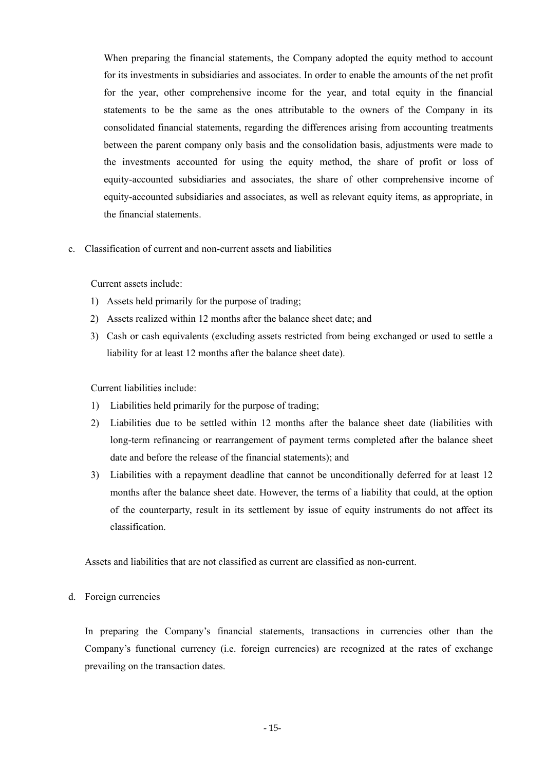When preparing the financial statements, the Company adopted the equity method to account for its investments in subsidiaries and associates. In order to enable the amounts of the net profit for the year, other comprehensive income for the year, and total equity in the financial statements to be the same as the ones attributable to the owners of the Company in its consolidated financial statements, regarding the differences arising from accounting treatments between the parent company only basis and the consolidation basis, adjustments were made to the investments accounted for using the equity method, the share of profit or loss of equity-accounted subsidiaries and associates, the share of other comprehensive income of equity-accounted subsidiaries and associates, as well as relevant equity items, as appropriate, in the financial statements.

c. Classification of current and non-current assets and liabilities

Current assets include:

- 1) Assets held primarily for the purpose of trading;
- 2) Assets realized within 12 months after the balance sheet date; and
- 3) Cash or cash equivalents (excluding assets restricted from being exchanged or used to settle a liability for at least 12 months after the balance sheet date).

Current liabilities include:

- 1) Liabilities held primarily for the purpose of trading;
- 2) Liabilities due to be settled within 12 months after the balance sheet date (liabilities with long-term refinancing or rearrangement of payment terms completed after the balance sheet date and before the release of the financial statements); and
- 3) Liabilities with a repayment deadline that cannot be unconditionally deferred for at least 12 months after the balance sheet date. However, the terms of a liability that could, at the option of the counterparty, result in its settlement by issue of equity instruments do not affect its classification.

Assets and liabilities that are not classified as current are classified as non-current.

#### d. Foreign currencies

In preparing the Company's financial statements, transactions in currencies other than the Company's functional currency (i.e. foreign currencies) are recognized at the rates of exchange prevailing on the transaction dates.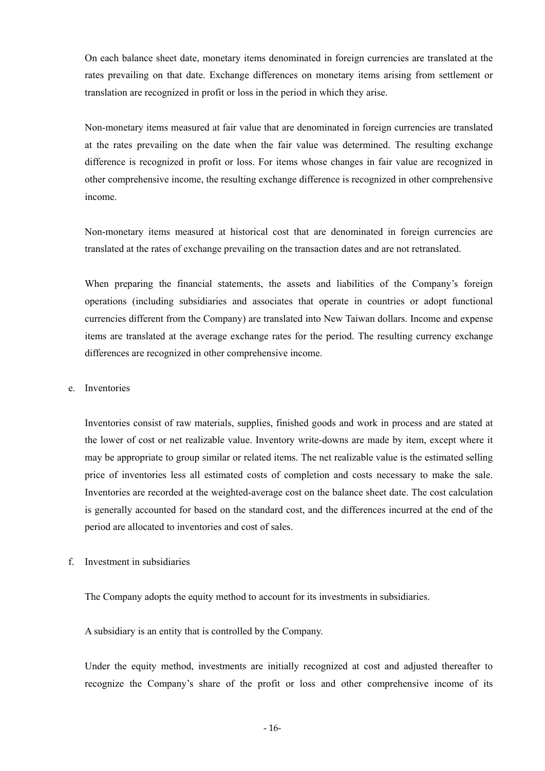On each balance sheet date, monetary items denominated in foreign currencies are translated at the rates prevailing on that date. Exchange differences on monetary items arising from settlement or translation are recognized in profit or loss in the period in which they arise.

Non-monetary items measured at fair value that are denominated in foreign currencies are translated at the rates prevailing on the date when the fair value was determined. The resulting exchange difference is recognized in profit or loss. For items whose changes in fair value are recognized in other comprehensive income, the resulting exchange difference is recognized in other comprehensive income.

Non-monetary items measured at historical cost that are denominated in foreign currencies are translated at the rates of exchange prevailing on the transaction dates and are not retranslated.

When preparing the financial statements, the assets and liabilities of the Company's foreign operations (including subsidiaries and associates that operate in countries or adopt functional currencies different from the Company) are translated into New Taiwan dollars. Income and expense items are translated at the average exchange rates for the period. The resulting currency exchange differences are recognized in other comprehensive income.

#### e. Inventories

Inventories consist of raw materials, supplies, finished goods and work in process and are stated at the lower of cost or net realizable value. Inventory write-downs are made by item, except where it may be appropriate to group similar or related items. The net realizable value is the estimated selling price of inventories less all estimated costs of completion and costs necessary to make the sale. Inventories are recorded at the weighted-average cost on the balance sheet date. The cost calculation is generally accounted for based on the standard cost, and the differences incurred at the end of the period are allocated to inventories and cost of sales.

f. Investment in subsidiaries

The Company adopts the equity method to account for its investments in subsidiaries.

A subsidiary is an entity that is controlled by the Company.

Under the equity method, investments are initially recognized at cost and adjusted thereafter to recognize the Company's share of the profit or loss and other comprehensive income of its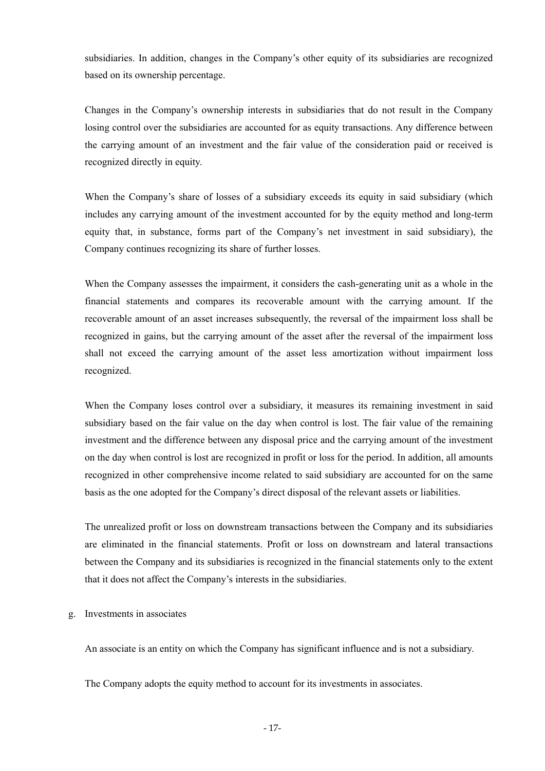subsidiaries. In addition, changes in the Company's other equity of its subsidiaries are recognized based on its ownership percentage.

Changes in the Company's ownership interests in subsidiaries that do not result in the Company losing control over the subsidiaries are accounted for as equity transactions. Any difference between the carrying amount of an investment and the fair value of the consideration paid or received is recognized directly in equity.

When the Company's share of losses of a subsidiary exceeds its equity in said subsidiary (which includes any carrying amount of the investment accounted for by the equity method and long-term equity that, in substance, forms part of the Company's net investment in said subsidiary), the Company continues recognizing its share of further losses.

When the Company assesses the impairment, it considers the cash-generating unit as a whole in the financial statements and compares its recoverable amount with the carrying amount. If the recoverable amount of an asset increases subsequently, the reversal of the impairment loss shall be recognized in gains, but the carrying amount of the asset after the reversal of the impairment loss shall not exceed the carrying amount of the asset less amortization without impairment loss recognized.

When the Company loses control over a subsidiary, it measures its remaining investment in said subsidiary based on the fair value on the day when control is lost. The fair value of the remaining investment and the difference between any disposal price and the carrying amount of the investment on the day when control is lost are recognized in profit or loss for the period. In addition, all amounts recognized in other comprehensive income related to said subsidiary are accounted for on the same basis as the one adopted for the Company's direct disposal of the relevant assets or liabilities.

The unrealized profit or loss on downstream transactions between the Company and its subsidiaries are eliminated in the financial statements. Profit or loss on downstream and lateral transactions between the Company and its subsidiaries is recognized in the financial statements only to the extent that it does not affect the Company's interests in the subsidiaries.

#### g. Investments in associates

An associate is an entity on which the Company has significant influence and is not a subsidiary.

The Company adopts the equity method to account for its investments in associates.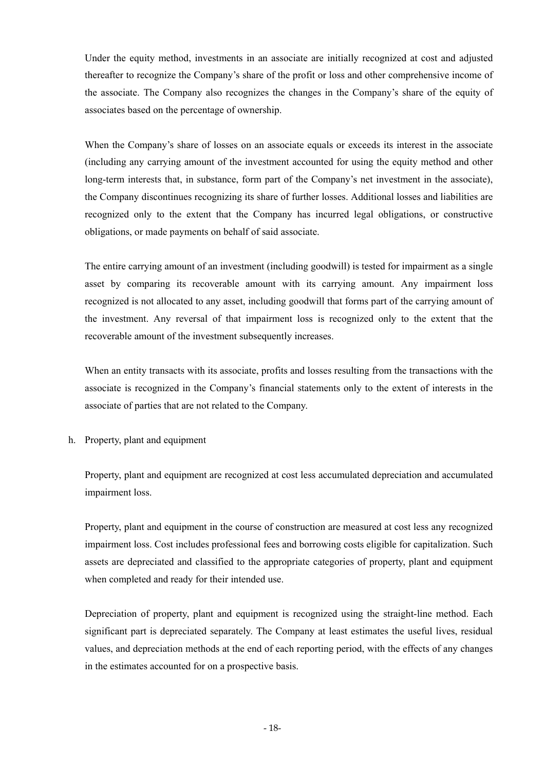Under the equity method, investments in an associate are initially recognized at cost and adjusted thereafter to recognize the Company's share of the profit or loss and other comprehensive income of the associate. The Company also recognizes the changes in the Company's share of the equity of associates based on the percentage of ownership.

When the Company's share of losses on an associate equals or exceeds its interest in the associate (including any carrying amount of the investment accounted for using the equity method and other long-term interests that, in substance, form part of the Company's net investment in the associate), the Company discontinues recognizing its share of further losses. Additional losses and liabilities are recognized only to the extent that the Company has incurred legal obligations, or constructive obligations, or made payments on behalf of said associate.

The entire carrying amount of an investment (including goodwill) is tested for impairment as a single asset by comparing its recoverable amount with its carrying amount. Any impairment loss recognized is not allocated to any asset, including goodwill that forms part of the carrying amount of the investment. Any reversal of that impairment loss is recognized only to the extent that the recoverable amount of the investment subsequently increases.

When an entity transacts with its associate, profits and losses resulting from the transactions with the associate is recognized in the Company's financial statements only to the extent of interests in the associate of parties that are not related to the Company.

h. Property, plant and equipment

Property, plant and equipment are recognized at cost less accumulated depreciation and accumulated impairment loss.

Property, plant and equipment in the course of construction are measured at cost less any recognized impairment loss. Cost includes professional fees and borrowing costs eligible for capitalization. Such assets are depreciated and classified to the appropriate categories of property, plant and equipment when completed and ready for their intended use.

Depreciation of property, plant and equipment is recognized using the straight-line method. Each significant part is depreciated separately. The Company at least estimates the useful lives, residual values, and depreciation methods at the end of each reporting period, with the effects of any changes in the estimates accounted for on a prospective basis.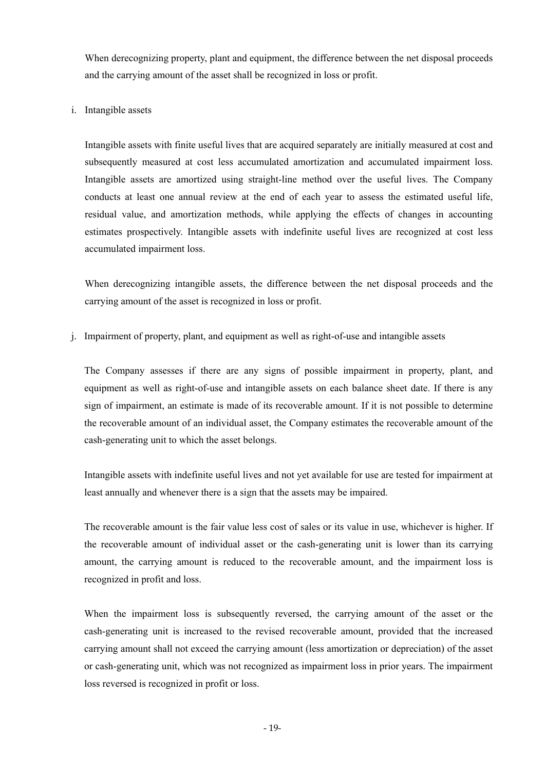When derecognizing property, plant and equipment, the difference between the net disposal proceeds and the carrying amount of the asset shall be recognized in loss or profit.

## i. Intangible assets

Intangible assets with finite useful lives that are acquired separately are initially measured at cost and subsequently measured at cost less accumulated amortization and accumulated impairment loss. Intangible assets are amortized using straight-line method over the useful lives. The Company conducts at least one annual review at the end of each year to assess the estimated useful life, residual value, and amortization methods, while applying the effects of changes in accounting estimates prospectively. Intangible assets with indefinite useful lives are recognized at cost less accumulated impairment loss.

When derecognizing intangible assets, the difference between the net disposal proceeds and the carrying amount of the asset is recognized in loss or profit.

j. Impairment of property, plant, and equipment as well as right-of-use and intangible assets

The Company assesses if there are any signs of possible impairment in property, plant, and equipment as well as right-of-use and intangible assets on each balance sheet date. If there is any sign of impairment, an estimate is made of its recoverable amount. If it is not possible to determine the recoverable amount of an individual asset, the Company estimates the recoverable amount of the cash-generating unit to which the asset belongs.

Intangible assets with indefinite useful lives and not yet available for use are tested for impairment at least annually and whenever there is a sign that the assets may be impaired.

The recoverable amount is the fair value less cost of sales or its value in use, whichever is higher. If the recoverable amount of individual asset or the cash-generating unit is lower than its carrying amount, the carrying amount is reduced to the recoverable amount, and the impairment loss is recognized in profit and loss.

When the impairment loss is subsequently reversed, the carrying amount of the asset or the cash-generating unit is increased to the revised recoverable amount, provided that the increased carrying amount shall not exceed the carrying amount (less amortization or depreciation) of the asset or cash-generating unit, which was not recognized as impairment loss in prior years. The impairment loss reversed is recognized in profit or loss.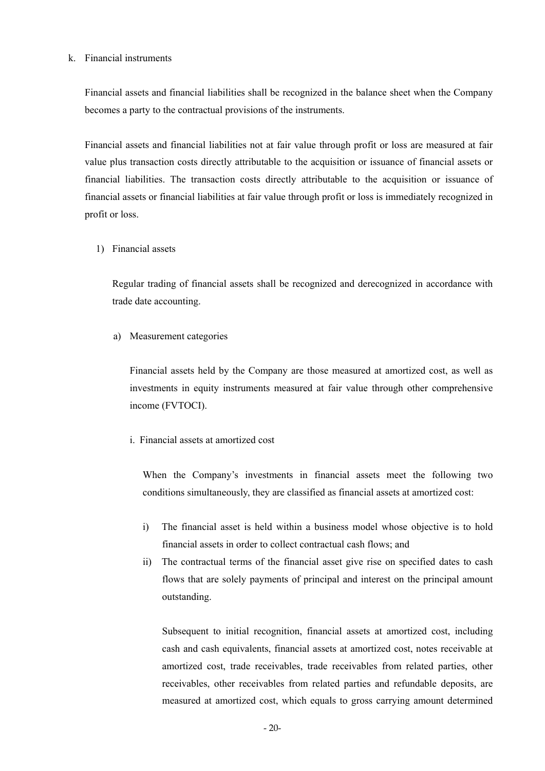#### k. Financial instruments

Financial assets and financial liabilities shall be recognized in the balance sheet when the Company becomes a party to the contractual provisions of the instruments.

Financial assets and financial liabilities not at fair value through profit or loss are measured at fair value plus transaction costs directly attributable to the acquisition or issuance of financial assets or financial liabilities. The transaction costs directly attributable to the acquisition or issuance of financial assets or financial liabilities at fair value through profit or loss is immediately recognized in profit or loss.

1) Financial assets

Regular trading of financial assets shall be recognized and derecognized in accordance with trade date accounting.

a) Measurement categories

Financial assets held by the Company are those measured at amortized cost, as well as investments in equity instruments measured at fair value through other comprehensive income (FVTOCI).

i. Financial assets at amortized cost

When the Company's investments in financial assets meet the following two conditions simultaneously, they are classified as financial assets at amortized cost:

- i) The financial asset is held within a business model whose objective is to hold financial assets in order to collect contractual cash flows; and
- ii) The contractual terms of the financial asset give rise on specified dates to cash flows that are solely payments of principal and interest on the principal amount outstanding.

Subsequent to initial recognition, financial assets at amortized cost, including cash and cash equivalents, financial assets at amortized cost, notes receivable at amortized cost, trade receivables, trade receivables from related parties, other receivables, other receivables from related parties and refundable deposits, are measured at amortized cost, which equals to gross carrying amount determined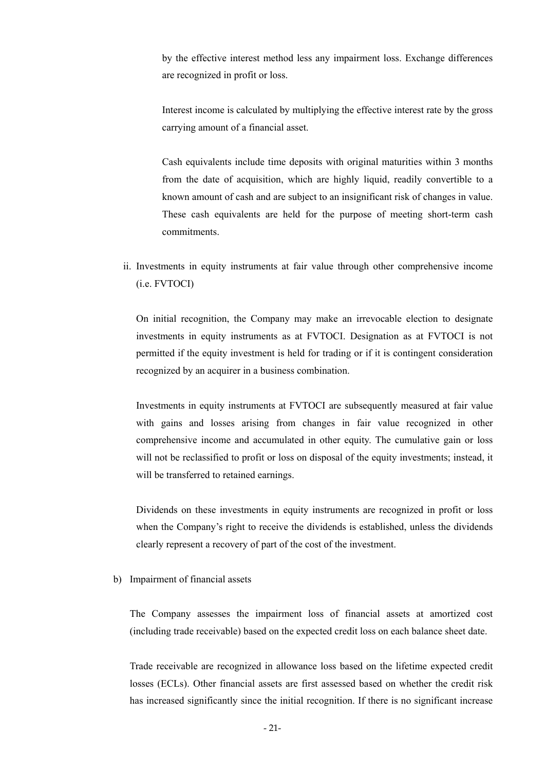by the effective interest method less any impairment loss. Exchange differences are recognized in profit or loss.

Interest income is calculated by multiplying the effective interest rate by the gross carrying amount of a financial asset.

Cash equivalents include time deposits with original maturities within 3 months from the date of acquisition, which are highly liquid, readily convertible to a known amount of cash and are subject to an insignificant risk of changes in value. These cash equivalents are held for the purpose of meeting short-term cash commitments.

ii. Investments in equity instruments at fair value through other comprehensive income (i.e. FVTOCI)

On initial recognition, the Company may make an irrevocable election to designate investments in equity instruments as at FVTOCI. Designation as at FVTOCI is not permitted if the equity investment is held for trading or if it is contingent consideration recognized by an acquirer in a business combination.

Investments in equity instruments at FVTOCI are subsequently measured at fair value with gains and losses arising from changes in fair value recognized in other comprehensive income and accumulated in other equity. The cumulative gain or loss will not be reclassified to profit or loss on disposal of the equity investments; instead, it will be transferred to retained earnings.

Dividends on these investments in equity instruments are recognized in profit or loss when the Company's right to receive the dividends is established, unless the dividends clearly represent a recovery of part of the cost of the investment.

b) Impairment of financial assets

The Company assesses the impairment loss of financial assets at amortized cost (including trade receivable) based on the expected credit loss on each balance sheet date.

Trade receivable are recognized in allowance loss based on the lifetime expected credit losses (ECLs). Other financial assets are first assessed based on whether the credit risk has increased significantly since the initial recognition. If there is no significant increase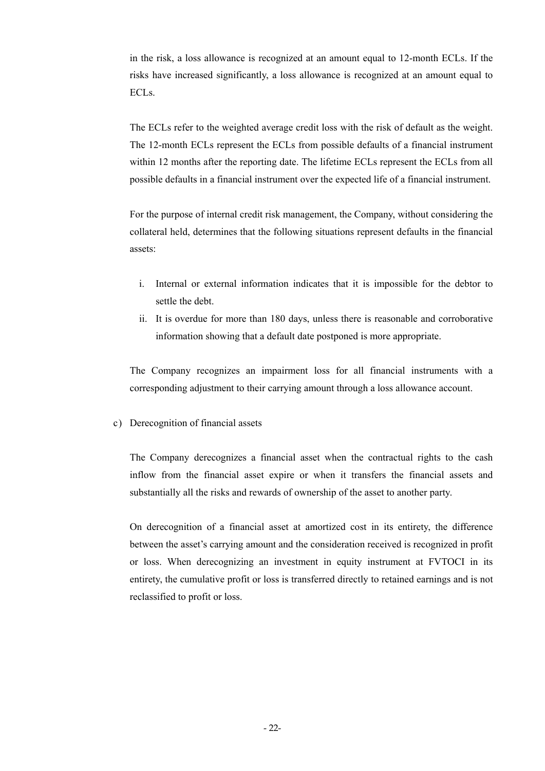in the risk, a loss allowance is recognized at an amount equal to 12-month ECLs. If the risks have increased significantly, a loss allowance is recognized at an amount equal to ECLs.

The ECLs refer to the weighted average credit loss with the risk of default as the weight. The 12-month ECLs represent the ECLs from possible defaults of a financial instrument within 12 months after the reporting date. The lifetime ECLs represent the ECLs from all possible defaults in a financial instrument over the expected life of a financial instrument.

For the purpose of internal credit risk management, the Company, without considering the collateral held, determines that the following situations represent defaults in the financial assets:

- i. Internal or external information indicates that it is impossible for the debtor to settle the debt.
- ii. It is overdue for more than 180 days, unless there is reasonable and corroborative information showing that a default date postponed is more appropriate.

The Company recognizes an impairment loss for all financial instruments with a corresponding adjustment to their carrying amount through a loss allowance account.

c) Derecognition of financial assets

The Company derecognizes a financial asset when the contractual rights to the cash inflow from the financial asset expire or when it transfers the financial assets and substantially all the risks and rewards of ownership of the asset to another party.

On derecognition of a financial asset at amortized cost in its entirety, the difference between the asset's carrying amount and the consideration received is recognized in profit or loss. When derecognizing an investment in equity instrument at FVTOCI in its entirety, the cumulative profit or loss is transferred directly to retained earnings and is not reclassified to profit or loss.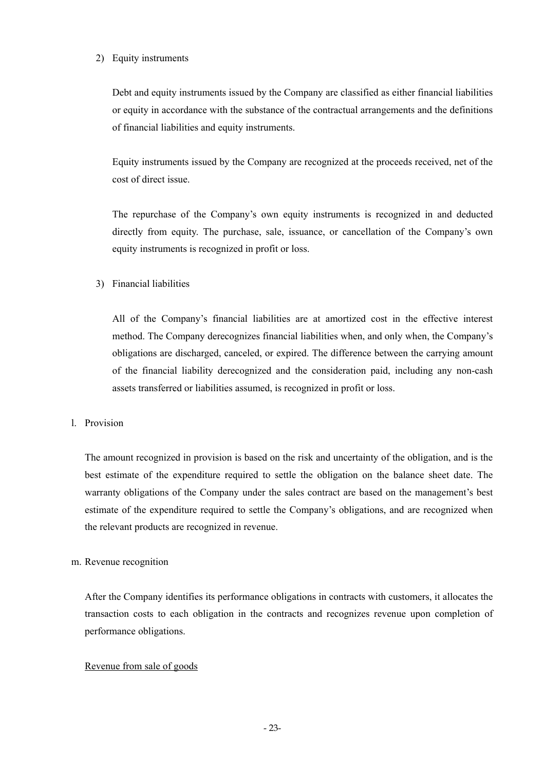## 2) Equity instruments

Debt and equity instruments issued by the Company are classified as either financial liabilities or equity in accordance with the substance of the contractual arrangements and the definitions of financial liabilities and equity instruments.

Equity instruments issued by the Company are recognized at the proceeds received, net of the cost of direct issue.

The repurchase of the Company's own equity instruments is recognized in and deducted directly from equity. The purchase, sale, issuance, or cancellation of the Company's own equity instruments is recognized in profit or loss.

## 3) Financial liabilities

All of the Company's financial liabilities are at amortized cost in the effective interest method. The Company derecognizes financial liabilities when, and only when, the Company's obligations are discharged, canceled, or expired. The difference between the carrying amount of the financial liability derecognized and the consideration paid, including any non-cash assets transferred or liabilities assumed, is recognized in profit or loss.

## l. Provision

The amount recognized in provision is based on the risk and uncertainty of the obligation, and is the best estimate of the expenditure required to settle the obligation on the balance sheet date. The warranty obligations of the Company under the sales contract are based on the management's best estimate of the expenditure required to settle the Company's obligations, and are recognized when the relevant products are recognized in revenue.

## m. Revenue recognition

After the Company identifies its performance obligations in contracts with customers, it allocates the transaction costs to each obligation in the contracts and recognizes revenue upon completion of performance obligations.

## Revenue from sale of goods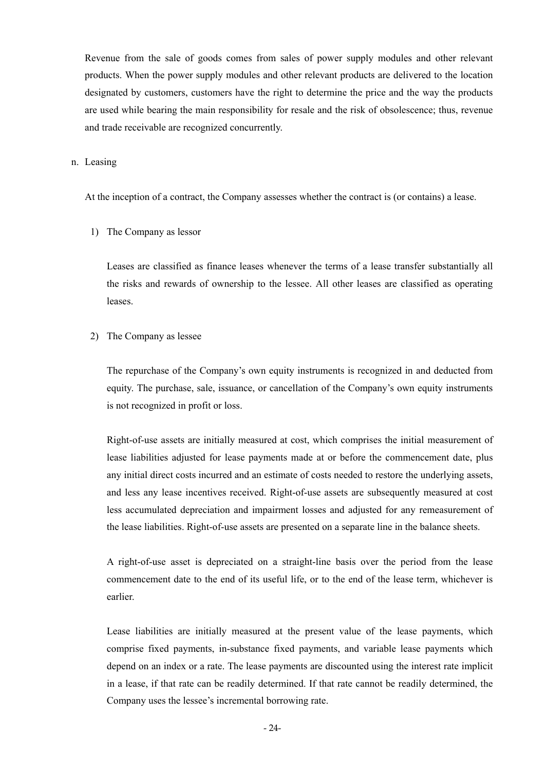Revenue from the sale of goods comes from sales of power supply modules and other relevant products. When the power supply modules and other relevant products are delivered to the location designated by customers, customers have the right to determine the price and the way the products are used while bearing the main responsibility for resale and the risk of obsolescence; thus, revenue and trade receivable are recognized concurrently.

n. Leasing

At the inception of a contract, the Company assesses whether the contract is (or contains) a lease.

1) The Company as lessor

Leases are classified as finance leases whenever the terms of a lease transfer substantially all the risks and rewards of ownership to the lessee. All other leases are classified as operating leases.

2) The Company as lessee

The repurchase of the Company's own equity instruments is recognized in and deducted from equity. The purchase, sale, issuance, or cancellation of the Company's own equity instruments is not recognized in profit or loss.

Right-of-use assets are initially measured at cost, which comprises the initial measurement of lease liabilities adjusted for lease payments made at or before the commencement date, plus any initial direct costs incurred and an estimate of costs needed to restore the underlying assets, and less any lease incentives received. Right-of-use assets are subsequently measured at cost less accumulated depreciation and impairment losses and adjusted for any remeasurement of the lease liabilities. Right-of-use assets are presented on a separate line in the balance sheets.

A right-of-use asset is depreciated on a straight-line basis over the period from the lease commencement date to the end of its useful life, or to the end of the lease term, whichever is earlier.

Lease liabilities are initially measured at the present value of the lease payments, which comprise fixed payments, in-substance fixed payments, and variable lease payments which depend on an index or a rate. The lease payments are discounted using the interest rate implicit in a lease, if that rate can be readily determined. If that rate cannot be readily determined, the Company uses the lessee's incremental borrowing rate.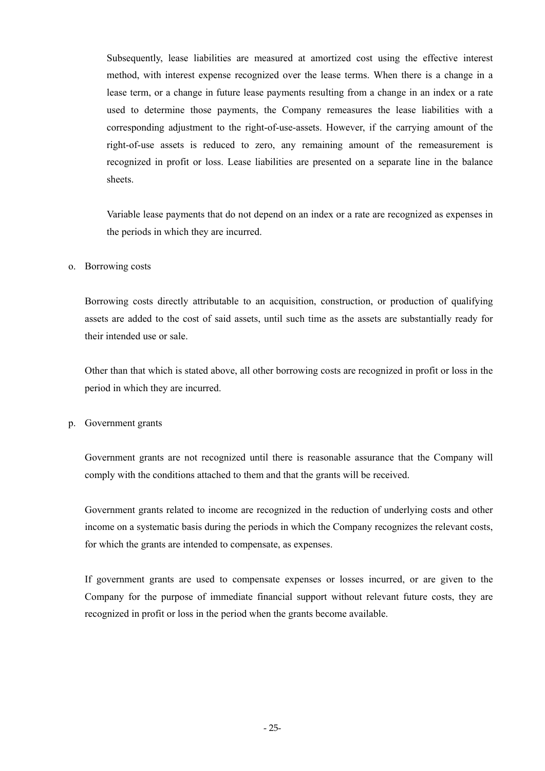Subsequently, lease liabilities are measured at amortized cost using the effective interest method, with interest expense recognized over the lease terms. When there is a change in a lease term, or a change in future lease payments resulting from a change in an index or a rate used to determine those payments, the Company remeasures the lease liabilities with a corresponding adjustment to the right-of-use-assets. However, if the carrying amount of the right-of-use assets is reduced to zero, any remaining amount of the remeasurement is recognized in profit or loss. Lease liabilities are presented on a separate line in the balance sheets.

Variable lease payments that do not depend on an index or a rate are recognized as expenses in the periods in which they are incurred.

#### o. Borrowing costs

Borrowing costs directly attributable to an acquisition, construction, or production of qualifying assets are added to the cost of said assets, until such time as the assets are substantially ready for their intended use or sale.

Other than that which is stated above, all other borrowing costs are recognized in profit or loss in the period in which they are incurred.

p. Government grants

Government grants are not recognized until there is reasonable assurance that the Company will comply with the conditions attached to them and that the grants will be received.

Government grants related to income are recognized in the reduction of underlying costs and other income on a systematic basis during the periods in which the Company recognizes the relevant costs, for which the grants are intended to compensate, as expenses.

If government grants are used to compensate expenses or losses incurred, or are given to the Company for the purpose of immediate financial support without relevant future costs, they are recognized in profit or loss in the period when the grants become available.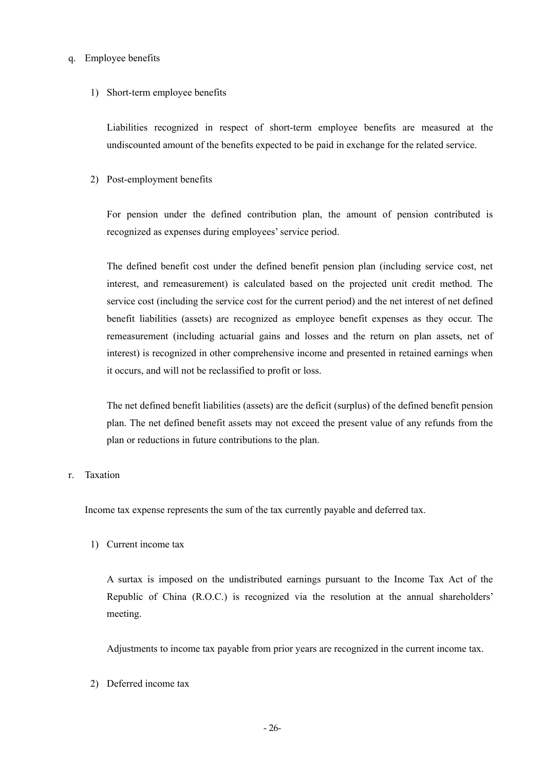#### q. Employee benefits

#### 1) Short-term employee benefits

Liabilities recognized in respect of short-term employee benefits are measured at the undiscounted amount of the benefits expected to be paid in exchange for the related service.

2) Post-employment benefits

For pension under the defined contribution plan, the amount of pension contributed is recognized as expenses during employees' service period.

The defined benefit cost under the defined benefit pension plan (including service cost, net interest, and remeasurement) is calculated based on the projected unit credit method. The service cost (including the service cost for the current period) and the net interest of net defined benefit liabilities (assets) are recognized as employee benefit expenses as they occur. The remeasurement (including actuarial gains and losses and the return on plan assets, net of interest) is recognized in other comprehensive income and presented in retained earnings when it occurs, and will not be reclassified to profit or loss.

The net defined benefit liabilities (assets) are the deficit (surplus) of the defined benefit pension plan. The net defined benefit assets may not exceed the present value of any refunds from the plan or reductions in future contributions to the plan.

### r. Taxation

Income tax expense represents the sum of the tax currently payable and deferred tax.

1) Current income tax

A surtax is imposed on the undistributed earnings pursuant to the Income Tax Act of the Republic of China (R.O.C.) is recognized via the resolution at the annual shareholders' meeting.

Adjustments to income tax payable from prior years are recognized in the current income tax.

2) Deferred income tax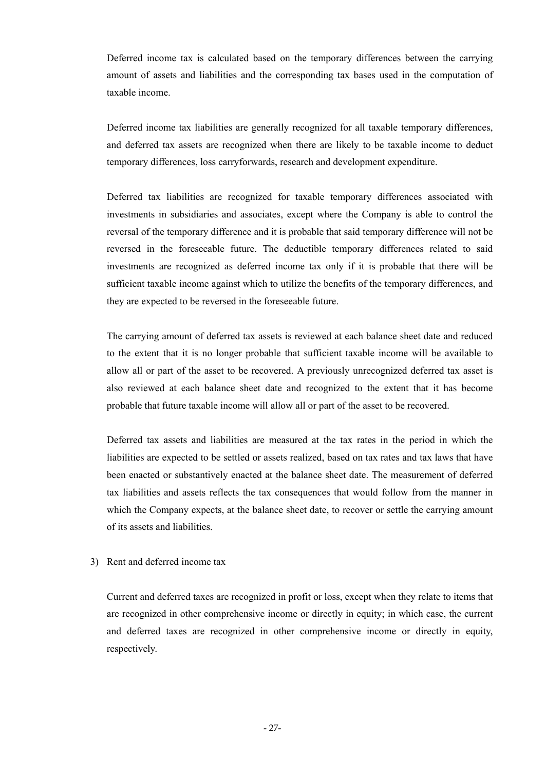Deferred income tax is calculated based on the temporary differences between the carrying amount of assets and liabilities and the corresponding tax bases used in the computation of taxable income.

Deferred income tax liabilities are generally recognized for all taxable temporary differences, and deferred tax assets are recognized when there are likely to be taxable income to deduct temporary differences, loss carryforwards, research and development expenditure.

Deferred tax liabilities are recognized for taxable temporary differences associated with investments in subsidiaries and associates, except where the Company is able to control the reversal of the temporary difference and it is probable that said temporary difference will not be reversed in the foreseeable future. The deductible temporary differences related to said investments are recognized as deferred income tax only if it is probable that there will be sufficient taxable income against which to utilize the benefits of the temporary differences, and they are expected to be reversed in the foreseeable future.

The carrying amount of deferred tax assets is reviewed at each balance sheet date and reduced to the extent that it is no longer probable that sufficient taxable income will be available to allow all or part of the asset to be recovered. A previously unrecognized deferred tax asset is also reviewed at each balance sheet date and recognized to the extent that it has become probable that future taxable income will allow all or part of the asset to be recovered.

Deferred tax assets and liabilities are measured at the tax rates in the period in which the liabilities are expected to be settled or assets realized, based on tax rates and tax laws that have been enacted or substantively enacted at the balance sheet date. The measurement of deferred tax liabilities and assets reflects the tax consequences that would follow from the manner in which the Company expects, at the balance sheet date, to recover or settle the carrying amount of its assets and liabilities.

## 3) Rent and deferred income tax

Current and deferred taxes are recognized in profit or loss, except when they relate to items that are recognized in other comprehensive income or directly in equity; in which case, the current and deferred taxes are recognized in other comprehensive income or directly in equity, respectively.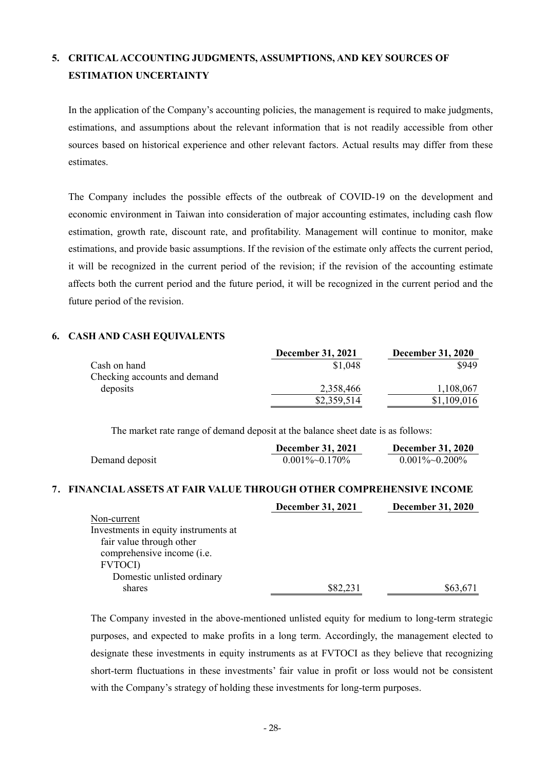# **5. CRITICAL ACCOUNTING JUDGMENTS, ASSUMPTIONS, AND KEY SOURCES OF ESTIMATION UNCERTAINTY**

In the application of the Company's accounting policies, the management is required to make judgments, estimations, and assumptions about the relevant information that is not readily accessible from other sources based on historical experience and other relevant factors. Actual results may differ from these estimates.

The Company includes the possible effects of the outbreak of COVID-19 on the development and economic environment in Taiwan into consideration of major accounting estimates, including cash flow estimation, growth rate, discount rate, and profitability. Management will continue to monitor, make estimations, and provide basic assumptions. If the revision of the estimate only affects the current period, it will be recognized in the current period of the revision; if the revision of the accounting estimate affects both the current period and the future period, it will be recognized in the current period and the future period of the revision.

## **6. CASH AND CASH EQUIVALENTS**

|                              | <b>December 31, 2021</b> | <b>December 31, 2020</b> |
|------------------------------|--------------------------|--------------------------|
| Cash on hand                 | \$1,048                  | \$949                    |
| Checking accounts and demand |                          |                          |
| deposits                     | 2,358,466                | 1,108,067                |
|                              | \$2,359,514              | \$1,109,016              |

The market rate range of demand deposit at the balance sheet date is as follows:

|                                                                      | <b>December 31, 2021</b> | <b>December 31, 2020</b> |
|----------------------------------------------------------------------|--------------------------|--------------------------|
| Demand deposit                                                       | $0.001\%$ ~ $0.170\%$    | $0.001\%$ ~ $0.200\%$    |
| 7. FINANCIAL ASSETS AT FAIR VALUE THROUGH OTHER COMPREHENSIVE INCOME |                          |                          |
|                                                                      | <b>December 31, 2021</b> | <b>December 31, 2020</b> |
| Non-current                                                          |                          |                          |
| Investments in equity instruments at                                 |                          |                          |
| fair value through other                                             |                          |                          |
| comprehensive income (i.e.                                           |                          |                          |
| <b>FVTOCI</b> )                                                      |                          |                          |
| Domestic unlisted ordinary                                           |                          |                          |
| shares                                                               | \$82,231                 | \$63,671                 |

The Company invested in the above-mentioned unlisted equity for medium to long-term strategic purposes, and expected to make profits in a long term. Accordingly, the management elected to designate these investments in equity instruments as at FVTOCI as they believe that recognizing short-term fluctuations in these investments' fair value in profit or loss would not be consistent with the Company's strategy of holding these investments for long-term purposes.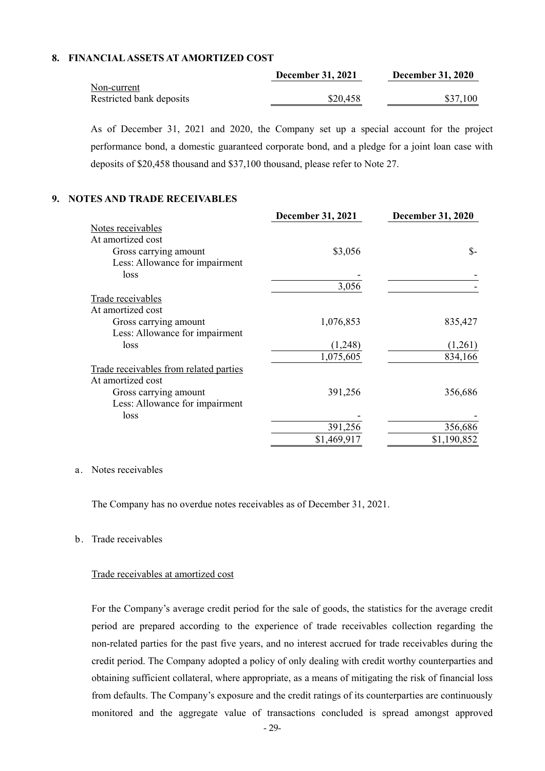## **8. FINANCIAL ASSETS AT AMORTIZED COST**

|                          | <b>December 31, 2021</b> | <b>December 31, 2020</b> |
|--------------------------|--------------------------|--------------------------|
| Non-current              |                          |                          |
| Restricted bank deposits | \$20,458                 | \$37,100                 |

As of December 31, 2021 and 2020, the Company set up a special account for the project performance bond, a domestic guaranteed corporate bond, and a pledge for a joint loan case with deposits of \$20,458 thousand and \$37,100 thousand, please refer to Note 27.

### **9. NOTES AND TRADE RECEIVABLES**

|                                        | <b>December 31, 2021</b> | <b>December 31, 2020</b> |
|----------------------------------------|--------------------------|--------------------------|
| Notes receivables                      |                          |                          |
| At amortized cost                      |                          |                          |
| Gross carrying amount                  | \$3,056                  | $S-$                     |
| Less: Allowance for impairment         |                          |                          |
| loss                                   |                          |                          |
|                                        | 3,056                    |                          |
| Trade receivables                      |                          |                          |
| At amortized cost                      |                          |                          |
| Gross carrying amount                  | 1,076,853                | 835,427                  |
| Less: Allowance for impairment         |                          |                          |
| loss                                   | (1,248)                  | (1,261)                  |
|                                        | 1,075,605                | 834,166                  |
| Trade receivables from related parties |                          |                          |
| At amortized cost                      |                          |                          |
| Gross carrying amount                  | 391,256                  | 356,686                  |
| Less: Allowance for impairment         |                          |                          |
| loss                                   |                          |                          |
|                                        | 391,256                  | 356,686                  |
|                                        | \$1,469,917              | \$1,190,852              |

#### a. Notes receivables

The Company has no overdue notes receivables as of December 31, 2021.

### b. Trade receivables

#### Trade receivables at amortized cost

For the Company's average credit period for the sale of goods, the statistics for the average credit period are prepared according to the experience of trade receivables collection regarding the non-related parties for the past five years, and no interest accrued for trade receivables during the credit period. The Company adopted a policy of only dealing with credit worthy counterparties and obtaining sufficient collateral, where appropriate, as a means of mitigating the risk of financial loss from defaults. The Company's exposure and the credit ratings of its counterparties are continuously monitored and the aggregate value of transactions concluded is spread amongst approved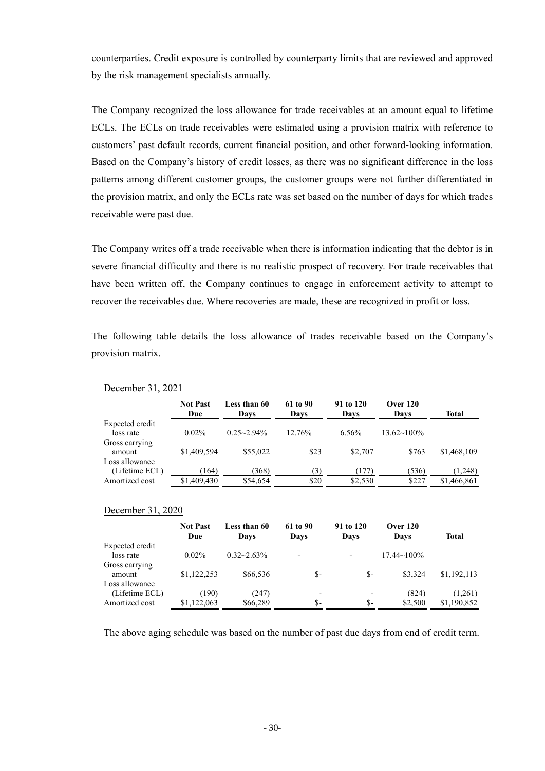counterparties. Credit exposure is controlled by counterparty limits that are reviewed and approved by the risk management specialists annually.

The Company recognized the loss allowance for trade receivables at an amount equal to lifetime ECLs. The ECLs on trade receivables were estimated using a provision matrix with reference to customers' past default records, current financial position, and other forward-looking information. Based on the Company's history of credit losses, as there was no significant difference in the loss patterns among different customer groups, the customer groups were not further differentiated in the provision matrix, and only the ECLs rate was set based on the number of days for which trades receivable were past due.

The Company writes off a trade receivable when there is information indicating that the debtor is in severe financial difficulty and there is no realistic prospect of recovery. For trade receivables that have been written off, the Company continues to engage in enforcement activity to attempt to recover the receivables due. Where recoveries are made, these are recognized in profit or loss.

The following table details the loss allowance of trades receivable based on the Company's provision matrix.

|                 | <b>Not Past</b><br>Due | Less than 60<br>Davs | 61 to 90<br>Davs | 91 to 120<br>Days | <b>Over 120</b><br>Davs | Total       |
|-----------------|------------------------|----------------------|------------------|-------------------|-------------------------|-------------|
| Expected credit |                        |                      |                  |                   |                         |             |
| loss rate       | $0.02\%$               | $0.25 - 2.94\%$      | 12.76%           | $6.56\%$          | $13.62 \times 100\%$    |             |
| Gross carrying  |                        |                      |                  |                   |                         |             |
| amount          | \$1,409,594            | \$55,022             | \$23             | \$2.707           | \$763                   | \$1,468,109 |
| Loss allowance  |                        |                      |                  |                   |                         |             |
| (Lifetime ECL)  | (164)                  | (368)                | (3)              | (177)             | (536)                   | (1,248)     |
| Amortized cost  | \$1,409,430            | \$54,654             | \$20             | \$2.530           | \$227                   | \$1,466,861 |

#### December 31, 2021

#### December 31, 2020

|                              | <b>Not Past</b><br>Due | Less than 60<br>Davs | 61 to 90<br>Days         | 91 to 120<br>Davs | <b>Over 120</b><br>Davs | Total       |
|------------------------------|------------------------|----------------------|--------------------------|-------------------|-------------------------|-------------|
| Expected credit<br>loss rate | $0.02\%$               | $0.32 - 2.63\%$      | $\overline{\phantom{0}}$ |                   | $17.44 \sim 100\%$      |             |
| Gross carrying<br>amount     | \$1,122,253            | \$66,536             | \$-                      | \$-               | \$3.324                 | \$1,192,113 |
| Loss allowance               |                        |                      |                          |                   |                         |             |
| (Lifetime ECL)               | (190)                  | (247)                | $\overline{\phantom{0}}$ |                   | (824)                   | (1,261)     |
| Amortized cost               | \$1,122,063            | \$66,289             | \$-                      | \$-               | \$2,500                 | \$1,190,852 |

The above aging schedule was based on the number of past due days from end of credit term.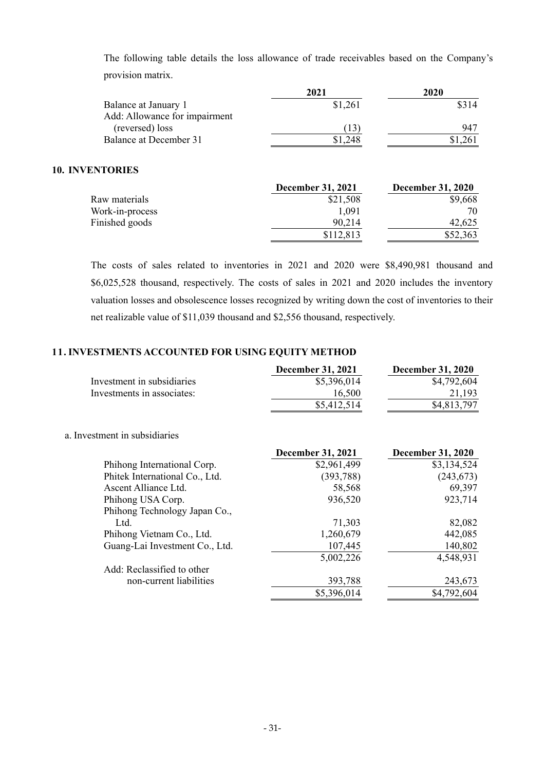The following table details the loss allowance of trade receivables based on the Company's provision matrix.

|                               | 2021    | 2020    |
|-------------------------------|---------|---------|
| Balance at January 1          | \$1,261 | \$314   |
| Add: Allowance for impairment |         |         |
| (reversed) loss               | T3.     | 947     |
| Balance at December 31        | .248    | \$1,261 |
|                               |         |         |

## **10. INVENTORIES**

|                 | December 31, 2021 | <b>December 31, 2020</b> |
|-----------------|-------------------|--------------------------|
| Raw materials   | \$21,508          | \$9,668                  |
| Work-in-process | 1.091             | 70                       |
| Finished goods  | 90.214            | 42,625                   |
|                 | \$112,813         | \$52,363                 |

The costs of sales related to inventories in 2021 and 2020 were \$8,490,981 thousand and \$6,025,528 thousand, respectively. The costs of sales in 2021 and 2020 includes the inventory valuation losses and obsolescence losses recognized by writing down the cost of inventories to their net realizable value of \$11,039 thousand and \$2,556 thousand, respectively.

## **11. INVESTMENTS ACCOUNTED FOR USING EQUITY METHOD**

|                            | <b>December 31, 2021</b> | <b>December 31, 2020</b> |
|----------------------------|--------------------------|--------------------------|
| Investment in subsidiaries | \$5,396,014              | \$4,792,604              |
| Investments in associates: | 16.500                   | 21.193                   |
|                            | \$5,412,514              | \$4,813,797              |

#### a. Investment in subsidiaries

|                                | <b>December 31, 2021</b> | <b>December 31, 2020</b> |
|--------------------------------|--------------------------|--------------------------|
| Phihong International Corp.    | \$2,961,499              | \$3,134,524              |
| Phitek International Co., Ltd. | (393, 788)               | (243, 673)               |
| Ascent Alliance Ltd.           | 58,568                   | 69,397                   |
| Phihong USA Corp.              | 936,520                  | 923,714                  |
| Phihong Technology Japan Co.,  |                          |                          |
| Ltd.                           | 71,303                   | 82,082                   |
| Phihong Vietnam Co., Ltd.      | 1,260,679                | 442,085                  |
| Guang-Lai Investment Co., Ltd. | 107,445                  | 140,802                  |
|                                | 5,002,226                | 4,548,931                |
| Add: Reclassified to other     |                          |                          |
| non-current liabilities        | 393,788                  | 243,673                  |
|                                | \$5,396,014              | \$4,792,604              |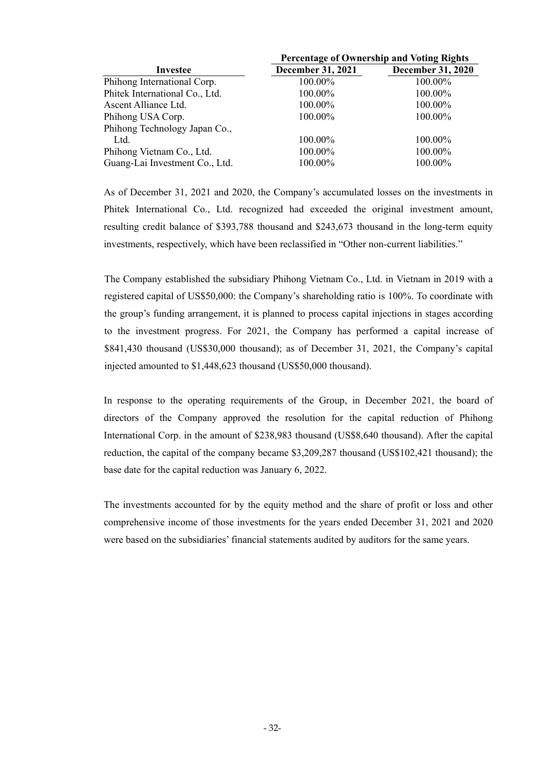|                                | <b>Percentage of Ownership and Voting Rights</b> |                          |  |  |
|--------------------------------|--------------------------------------------------|--------------------------|--|--|
| Investee                       | <b>December 31, 2021</b>                         | <b>December 31, 2020</b> |  |  |
| Phihong International Corp.    | 100.00%                                          | 100.00%                  |  |  |
| Phitek International Co., Ltd. | 100.00%                                          | 100.00%                  |  |  |
| Ascent Alliance Ltd.           | 100.00%                                          | 100.00%                  |  |  |
| Phihong USA Corp.              | 100.00%                                          | 100.00%                  |  |  |
| Phihong Technology Japan Co.,  |                                                  |                          |  |  |
| Ltd.                           | 100.00%                                          | 100.00%                  |  |  |
| Phihong Vietnam Co., Ltd.      | 100.00%                                          | 100.00%                  |  |  |
| Guang-Lai Investment Co., Ltd. | 100.00%                                          | 100.00%                  |  |  |

As of December 31, 2021 and 2020, the Company's accumulated losses on the investments in Phitek International Co., Ltd. recognized had exceeded the original investment amount, resulting credit balance of \$393,788 thousand and \$243,673 thousand in the long-term equity investments, respectively, which have been reclassified in "Other non-current liabilities."

The Company established the subsidiary Phihong Vietnam Co., Ltd. in Vietnam in 2019 with a registered capital of US\$50,000: the Company's shareholding ratio is 100%. To coordinate with the group's funding arrangement, it is planned to process capital injections in stages according to the investment progress. For 2021, the Company has performed a capital increase of \$841,430 thousand (US\$30,000 thousand); as of December 31, 2021, the Company's capital injected amounted to \$1,448,623 thousand (US\$50,000 thousand).

In response to the operating requirements of the Group, in December 2021, the board of directors of the Company approved the resolution for the capital reduction of Phihong International Corp. in the amount of \$238,983 thousand (US\$8,640 thousand). After the capital reduction, the capital of the company became \$3,209,287 thousand (US\$102,421 thousand); the base date for the capital reduction was January 6, 2022.

The investments accounted for by the equity method and the share of profit or loss and other comprehensive income of those investments for the years ended December 31, 2021 and 2020 were based on the subsidiaries' financial statements audited by auditors for the same years.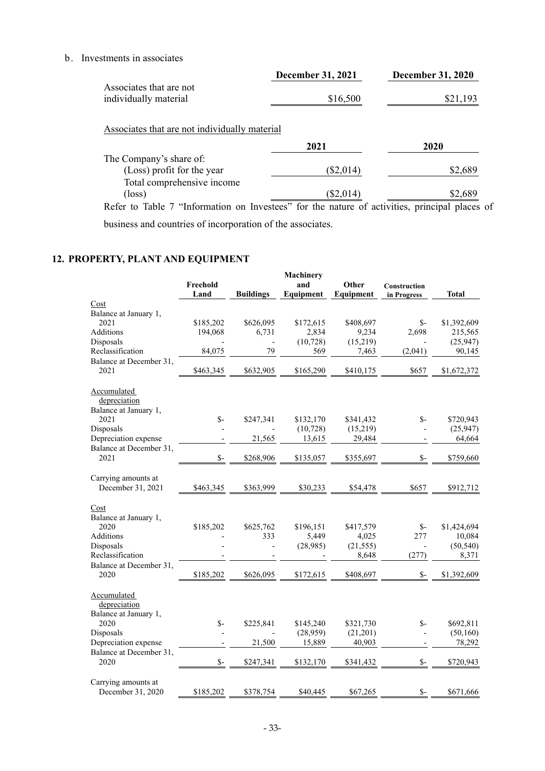b. Investments in associates

|                         | <b>December 31, 2021</b> | <b>December 31, 2020</b> |
|-------------------------|--------------------------|--------------------------|
| Associates that are not |                          |                          |
| individually material   | \$16,500                 | \$21,193                 |
|                         |                          |                          |

## Associates that are not individually material

|                                                                                                    | 2021        | 2020    |
|----------------------------------------------------------------------------------------------------|-------------|---------|
| The Company's share of:                                                                            |             |         |
| (Loss) profit for the year                                                                         | $(\$2,014)$ | \$2,689 |
| Total comprehensive income                                                                         |             |         |
| $(\text{loss})$                                                                                    | $(\$2,014)$ | \$2,689 |
| Defer to Toble 7 Turbor on Investors <sup>?</sup> for the nature of estimities principal places of |             |         |

Refer to Table 7 "Information on Investees" for the nature of activities, principal places of business and countries of incorporation of the associates.

## **12. PROPERTY, PLANT AND EQUIPMENT**

|                                                                                     | Freehold<br>Land | <b>Buildings</b> | <b>Machinery</b><br>and<br>Equipment | Other<br>Equipment                       | <b>Construction</b><br>in Progress     | <b>Total</b>                                |
|-------------------------------------------------------------------------------------|------------------|------------------|--------------------------------------|------------------------------------------|----------------------------------------|---------------------------------------------|
| Cost                                                                                |                  |                  |                                      |                                          |                                        |                                             |
| Balance at January 1,                                                               |                  |                  |                                      |                                          |                                        |                                             |
| 2021                                                                                | \$185,202        | \$626,095        | \$172,615                            | \$408,697                                | $S-$                                   | \$1,392,609                                 |
| Additions                                                                           | 194,068          | 6,731            | 2,834                                | 9,234                                    | 2,698                                  | 215,565                                     |
| Disposals                                                                           |                  |                  | (10, 728)                            | (15,219)                                 |                                        | (25,947)                                    |
| Reclassification                                                                    | 84,075           | 79               | 569                                  | 7,463                                    | (2,041)                                | 90,145                                      |
| Balance at December 31,                                                             |                  |                  |                                      |                                          |                                        |                                             |
| 2021                                                                                | \$463,345        | \$632,905        | \$165,290                            | \$410,175                                | \$657                                  | \$1,672,372                                 |
| Accumulated                                                                         |                  |                  |                                      |                                          |                                        |                                             |
| depreciation                                                                        |                  |                  |                                      |                                          |                                        |                                             |
| Balance at January 1,                                                               |                  |                  |                                      |                                          |                                        |                                             |
| 2021                                                                                | $S-$             | \$247,341        | \$132,170                            | \$341,432                                | $S-$                                   | \$720,943                                   |
| Disposals                                                                           |                  |                  | (10, 728)                            | (15,219)                                 |                                        | (25, 947)                                   |
| Depreciation expense                                                                |                  | 21,565           | 13,615                               | 29,484                                   |                                        | 64,664                                      |
| Balance at December 31,                                                             |                  |                  |                                      |                                          |                                        |                                             |
| 2021                                                                                | $\mathsf{s}$ -   | \$268,906        | \$135,057                            | \$355,697                                | $S-$                                   | \$759,660                                   |
| Carrying amounts at                                                                 |                  |                  |                                      |                                          |                                        |                                             |
| December 31, 2021                                                                   | \$463,345        | \$363,999        | \$30,233                             | \$54,478                                 | \$657                                  | \$912,712                                   |
| Cost<br>Balance at January 1,<br>2020<br>Additions<br>Disposals<br>Reclassification | \$185,202        | \$625,762<br>333 | \$196,151<br>5,449<br>(28,985)       | \$417,579<br>4,025<br>(21, 555)<br>8,648 | $S-$<br>277<br>$\overline{a}$<br>(277) | \$1,424,694<br>10,084<br>(50, 540)<br>8,371 |
| Balance at December 31,                                                             |                  |                  |                                      |                                          |                                        |                                             |
| 2020                                                                                | \$185,202        | \$626,095        | \$172,615                            | \$408,697                                | $\mathsf{S}$ -                         | \$1,392,609                                 |
| Accumulated<br>depreciation<br>Balance at January 1,                                |                  |                  |                                      |                                          |                                        |                                             |
| 2020                                                                                | $S-$             | \$225,841        | \$145,240                            | \$321,730                                | $S-$                                   | \$692,811                                   |
| Disposals                                                                           |                  | $\overline{a}$   | (28,959)                             | (21,201)                                 | ÷,                                     | (50, 160)                                   |
| Depreciation expense                                                                |                  | 21,500           | 15,889                               | 40,903                                   |                                        | 78,292                                      |
| Balance at December 31,<br>2020                                                     | $S-$             | \$247,341        | \$132,170                            | \$341,432                                | $\mathsf{S}$ -                         | \$720,943                                   |
| Carrying amounts at<br>December 31, 2020                                            | \$185,202        | \$378,754        | \$40,445                             | \$67,265                                 | $S-$                                   | \$671,666                                   |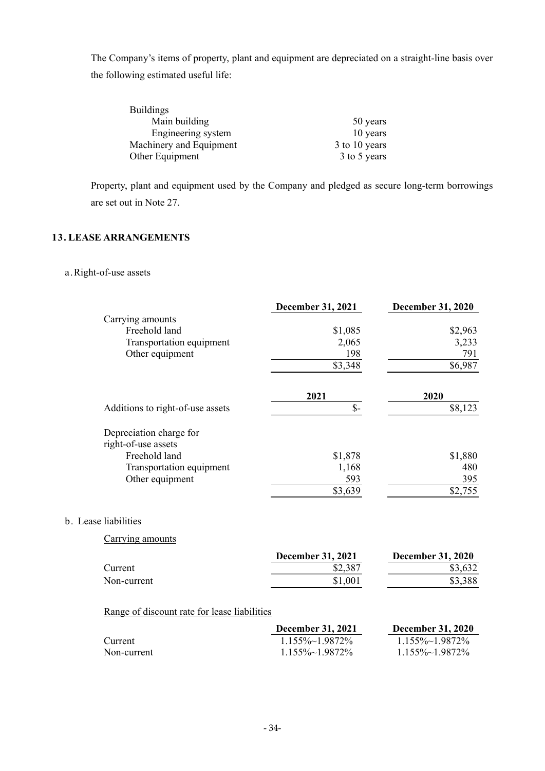The Company's items of property, plant and equipment are depreciated on a straight-line basis over the following estimated useful life:

| <b>Buildings</b>        |               |
|-------------------------|---------------|
| Main building           | 50 years      |
| Engineering system      | 10 years      |
| Machinery and Equipment | 3 to 10 years |
| Other Equipment         | 3 to 5 years  |

Property, plant and equipment used by the Company and pledged as secure long-term borrowings are set out in Note 27.

## **13. LEASE ARRANGEMENTS**

## a.Right-of-use assets

|                                                | <b>December 31, 2021</b> | <b>December 31, 2020</b> |
|------------------------------------------------|--------------------------|--------------------------|
| Carrying amounts                               |                          |                          |
| Freehold land                                  | \$1,085                  | \$2,963                  |
| Transportation equipment                       | 2,065                    | 3,233                    |
| Other equipment                                | 198                      | 791                      |
|                                                | \$3,348                  | \$6,987                  |
|                                                | 2021                     | 2020                     |
| Additions to right-of-use assets               | $\mathsf{\$}$ -          | \$8,123                  |
| Depreciation charge for<br>right-of-use assets |                          |                          |
| Freehold land                                  | \$1,878                  | \$1,880                  |
| Transportation equipment                       | 1,168                    | 480                      |
| Other equipment                                | 593                      | 395                      |
|                                                | \$3,639                  | \$2,755                  |

## b. Lease liabilities

Carrying amounts

|             | December 31, 2021 | <b>December 31, 2020</b> |
|-------------|-------------------|--------------------------|
| Current     | \$2,387           | \$3,632                  |
| Non-current | .001              | \$3,388                  |

## Range of discount rate for lease liabilities

|             | <b>December 31, 2021</b> | <b>December 31, 2020</b> |
|-------------|--------------------------|--------------------------|
| Current     | $1.155\% \sim 1.9872\%$  | $1.155\% \sim 1.9872\%$  |
| Non-current | $1.155\% \sim 1.9872\%$  | $1.155\% \sim 1.9872\%$  |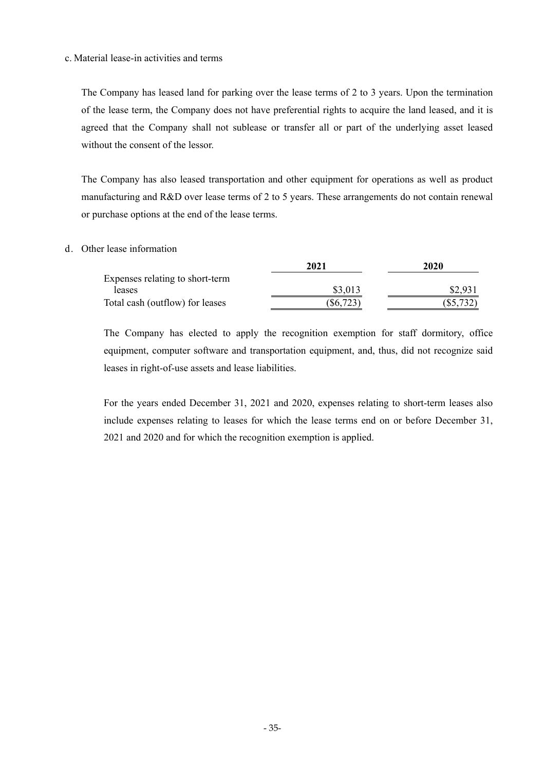#### c. Material lease-in activities and terms

The Company has leased land for parking over the lease terms of 2 to 3 years. Upon the termination of the lease term, the Company does not have preferential rights to acquire the land leased, and it is agreed that the Company shall not sublease or transfer all or part of the underlying asset leased without the consent of the lessor.

The Company has also leased transportation and other equipment for operations as well as product manufacturing and R&D over lease terms of 2 to 5 years. These arrangements do not contain renewal or purchase options at the end of the lease terms.

#### d. Other lease information

|                                 | 2021        | 2020        |
|---------------------------------|-------------|-------------|
| Expenses relating to short-term |             |             |
| leases                          | \$3,013     | \$2,931     |
| Total cash (outflow) for leases | $(\$6,723)$ | $(\$5,732)$ |

The Company has elected to apply the recognition exemption for staff dormitory, office equipment, computer software and transportation equipment, and, thus, did not recognize said leases in right-of-use assets and lease liabilities.

For the years ended December 31, 2021 and 2020, expenses relating to short-term leases also include expenses relating to leases for which the lease terms end on or before December 31, 2021 and 2020 and for which the recognition exemption is applied.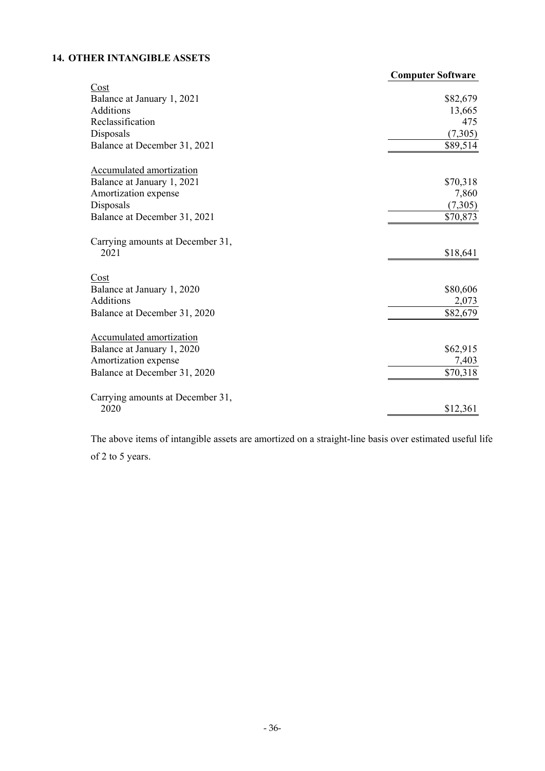# **14. OTHER INTANGIBLE ASSETS**

|                                  | <b>Computer Software</b> |
|----------------------------------|--------------------------|
| Cost                             |                          |
| Balance at January 1, 2021       | \$82,679                 |
| Additions                        | 13,665                   |
| Reclassification                 | 475                      |
| Disposals                        | (7,305)                  |
| Balance at December 31, 2021     | \$89,514                 |
| Accumulated amortization         |                          |
| Balance at January 1, 2021       | \$70,318                 |
| Amortization expense             | 7,860                    |
| Disposals                        | (7,305)                  |
| Balance at December 31, 2021     | \$70,873                 |
| Carrying amounts at December 31, |                          |
| 2021                             | \$18,641                 |
| Cost                             |                          |
| Balance at January 1, 2020       | \$80,606                 |
| <b>Additions</b>                 | 2,073                    |
| Balance at December 31, 2020     | \$82,679                 |
| Accumulated amortization         |                          |
| Balance at January 1, 2020       | \$62,915                 |
| Amortization expense             | 7,403                    |
| Balance at December 31, 2020     | \$70,318                 |
| Carrying amounts at December 31, |                          |
| 2020                             | \$12,361                 |

The above items of intangible assets are amortized on a straight-line basis over estimated useful life of 2 to 5 years.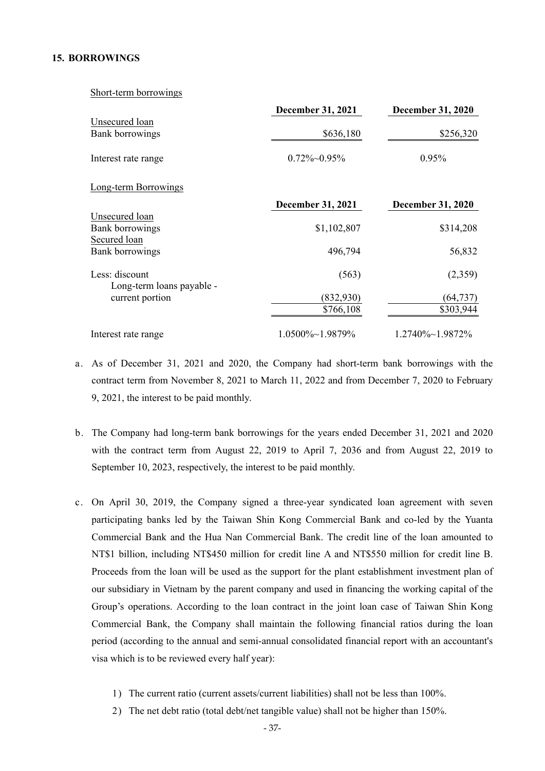#### **15. BORROWINGS**

Short-term borrowings

|                             | <b>December 31, 2021</b> | <b>December 31, 2020</b> |
|-----------------------------|--------------------------|--------------------------|
| Unsecured loan              |                          |                          |
| Bank borrowings             | \$636,180                | \$256,320                |
| Interest rate range         | $0.72\%$ ~ 0.95%         | 0.95%                    |
| <b>Long-term Borrowings</b> |                          |                          |
|                             | December 31, 2021        | December 31, 2020        |
| Unsecured loan              |                          |                          |
| Bank borrowings             | \$1,102,807              | \$314,208                |
| Secured loan                |                          |                          |
| Bank borrowings             | 496,794                  | 56,832                   |
| Less: discount              | (563)                    | (2,359)                  |
| Long-term loans payable -   |                          |                          |
| current portion             | (832, 930)               | (64, 737)                |
|                             | \$766,108                | \$303,944                |
| Interest rate range         | $1.0500\% \sim 1.9879\%$ | $1.2740\% \sim 1.9872\%$ |

- a. As of December 31, 2021 and 2020, the Company had short-term bank borrowings with the contract term from November 8, 2021 to March 11, 2022 and from December 7, 2020 to February 9, 2021, the interest to be paid monthly.
- b. The Company had long-term bank borrowings for the years ended December 31, 2021 and 2020 with the contract term from August 22, 2019 to April 7, 2036 and from August 22, 2019 to September 10, 2023, respectively, the interest to be paid monthly.
- c. On April 30, 2019, the Company signed a three-year syndicated loan agreement with seven participating banks led by the Taiwan Shin Kong Commercial Bank and co-led by the Yuanta Commercial Bank and the Hua Nan Commercial Bank. The credit line of the loan amounted to NT\$1 billion, including NT\$450 million for credit line A and NT\$550 million for credit line B. Proceeds from the loan will be used as the support for the plant establishment investment plan of our subsidiary in Vietnam by the parent company and used in financing the working capital of the Group's operations. According to the loan contract in the joint loan case of Taiwan Shin Kong Commercial Bank, the Company shall maintain the following financial ratios during the loan period (according to the annual and semi-annual consolidated financial report with an accountant's visa which is to be reviewed every half year):
	- 1) The current ratio (current assets/current liabilities) shall not be less than 100%.
	- 2) The net debt ratio (total debt/net tangible value) shall not be higher than 150%.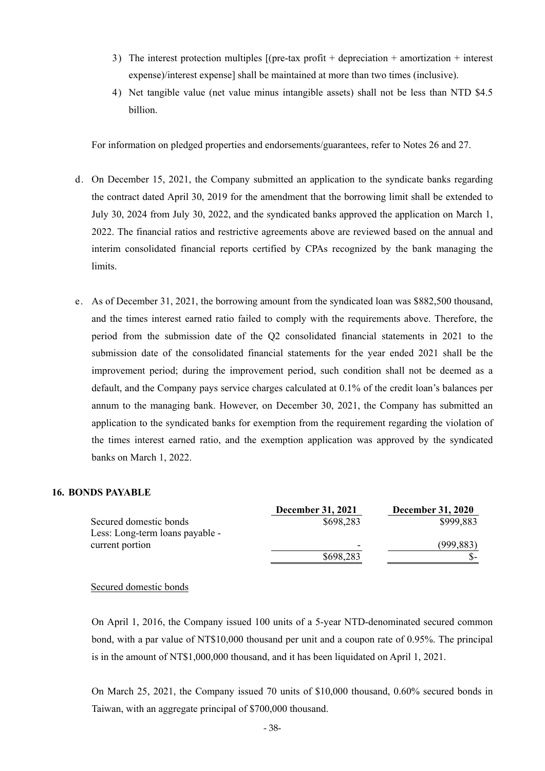- 3) The interest protection multiples [(pre-tax profit + depreciation + amortization + interest expense)/interest expense] shall be maintained at more than two times (inclusive).
- 4) Net tangible value (net value minus intangible assets) shall not be less than NTD \$4.5 billion.

For information on pledged properties and endorsements/guarantees, refer to Notes 26 and 27.

- d. On December 15, 2021, the Company submitted an application to the syndicate banks regarding the contract dated April 30, 2019 for the amendment that the borrowing limit shall be extended to July 30, 2024 from July 30, 2022, and the syndicated banks approved the application on March 1, 2022. The financial ratios and restrictive agreements above are reviewed based on the annual and interim consolidated financial reports certified by CPAs recognized by the bank managing the limits.
- e. As of December 31, 2021, the borrowing amount from the syndicated loan was \$882,500 thousand, and the times interest earned ratio failed to comply with the requirements above. Therefore, the period from the submission date of the Q2 consolidated financial statements in 2021 to the submission date of the consolidated financial statements for the year ended 2021 shall be the improvement period; during the improvement period, such condition shall not be deemed as a default, and the Company pays service charges calculated at 0.1% of the credit loan's balances per annum to the managing bank. However, on December 30, 2021, the Company has submitted an application to the syndicated banks for exemption from the requirement regarding the violation of the times interest earned ratio, and the exemption application was approved by the syndicated banks on March 1, 2022.

#### **16. BONDS PAYABLE**

|                                 | <b>December 31, 2021</b> | <b>December 31, 2020</b> |
|---------------------------------|--------------------------|--------------------------|
| Secured domestic bonds          | \$698,283                | \$999,883                |
| Less: Long-term loans payable - |                          |                          |
| current portion                 | -                        | (999,883)                |
|                                 | \$698,283                |                          |

#### Secured domestic bonds

On April 1, 2016, the Company issued 100 units of a 5-year NTD-denominated secured common bond, with a par value of NT\$10,000 thousand per unit and a coupon rate of 0.95%. The principal is in the amount of NT\$1,000,000 thousand, and it has been liquidated on April 1, 2021.

On March 25, 2021, the Company issued 70 units of \$10,000 thousand, 0.60% secured bonds in Taiwan, with an aggregate principal of \$700,000 thousand.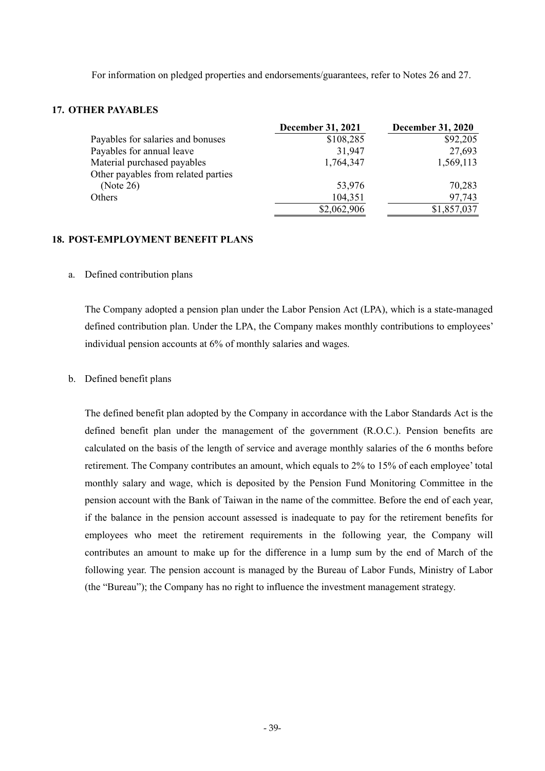For information on pledged properties and endorsements/guarantees, refer to Notes 26 and 27.

#### **17. OTHER PAYABLES**

|                                     | <b>December 31, 2021</b> | <b>December 31, 2020</b> |
|-------------------------------------|--------------------------|--------------------------|
| Payables for salaries and bonuses   | \$108,285                | \$92,205                 |
| Payables for annual leave           | 31,947                   | 27,693                   |
| Material purchased payables         | 1,764,347                | 1,569,113                |
| Other payables from related parties |                          |                          |
| (Note 26)                           | 53,976                   | 70,283                   |
| Others                              | 104,351                  | 97,743                   |
|                                     | \$2,062,906              | \$1,857,037              |

#### **18. POST-EMPLOYMENT BENEFIT PLANS**

#### a. Defined contribution plans

The Company adopted a pension plan under the Labor Pension Act (LPA), which is a state-managed defined contribution plan. Under the LPA, the Company makes monthly contributions to employees' individual pension accounts at 6% of monthly salaries and wages.

#### b. Defined benefit plans

The defined benefit plan adopted by the Company in accordance with the Labor Standards Act is the defined benefit plan under the management of the government (R.O.C.). Pension benefits are calculated on the basis of the length of service and average monthly salaries of the 6 months before retirement. The Company contributes an amount, which equals to 2% to 15% of each employee' total monthly salary and wage, which is deposited by the Pension Fund Monitoring Committee in the pension account with the Bank of Taiwan in the name of the committee. Before the end of each year, if the balance in the pension account assessed is inadequate to pay for the retirement benefits for employees who meet the retirement requirements in the following year, the Company will contributes an amount to make up for the difference in a lump sum by the end of March of the following year. The pension account is managed by the Bureau of Labor Funds, Ministry of Labor (the "Bureau"); the Company has no right to influence the investment management strategy.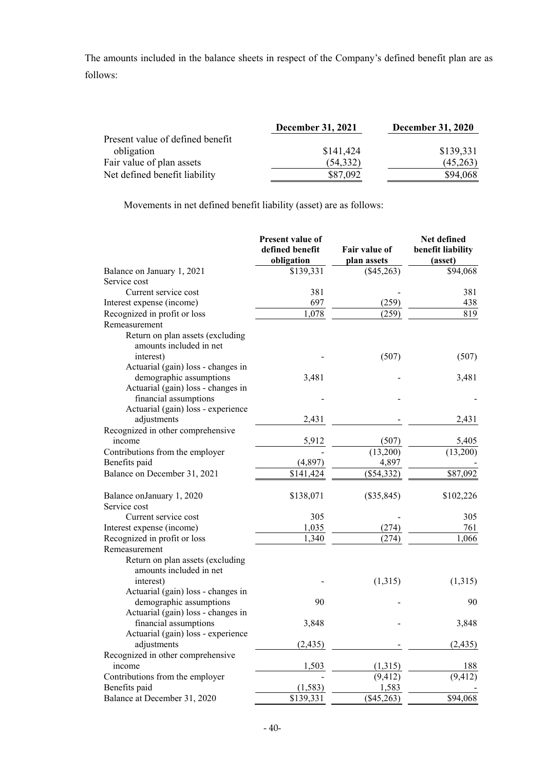The amounts included in the balance sheets in respect of the Company's defined benefit plan are as follows:

|                                  | <b>December 31, 2021</b> | <b>December 31, 2020</b> |
|----------------------------------|--------------------------|--------------------------|
| Present value of defined benefit |                          |                          |
| obligation                       | \$141,424                | \$139,331                |
| Fair value of plan assets        | (54, 332)                | (45,263)                 |
| Net defined benefit liability    | \$87,092                 | \$94,068                 |

Movements in net defined benefit liability (asset) are as follows:

|                                                               | Present value of<br>defined benefit | <b>Fair value of</b> | Net defined<br>benefit liability |
|---------------------------------------------------------------|-------------------------------------|----------------------|----------------------------------|
|                                                               | obligation                          | plan assets          | (asset)                          |
| Balance on January 1, 2021                                    | \$139,331                           | (\$45,263)           | \$94,068                         |
| Service cost                                                  |                                     |                      |                                  |
| Current service cost                                          | 381                                 |                      | 381                              |
| Interest expense (income)                                     | 697                                 | (259)                | 438                              |
| Recognized in profit or loss                                  | 1,078                               | (259)                | $\overline{819}$                 |
| Remeasurement                                                 |                                     |                      |                                  |
| Return on plan assets (excluding<br>amounts included in net   |                                     |                      |                                  |
|                                                               |                                     |                      |                                  |
| interest)                                                     |                                     | (507)                | (507)                            |
| Actuarial (gain) loss - changes in                            |                                     |                      |                                  |
| demographic assumptions<br>Actuarial (gain) loss - changes in | 3,481                               |                      | 3,481                            |
|                                                               |                                     |                      |                                  |
| financial assumptions                                         |                                     |                      |                                  |
| Actuarial (gain) loss - experience                            |                                     |                      |                                  |
| adjustments                                                   | 2,431                               |                      | 2,431                            |
| Recognized in other comprehensive                             |                                     |                      |                                  |
| income                                                        | 5,912                               | (507)                | 5,405                            |
| Contributions from the employer                               |                                     | (13,200)             | (13,200)                         |
| Benefits paid                                                 | (4, 897)                            | 4,897                |                                  |
| Balance on December 31, 2021                                  | \$141,424                           | (\$54,332)           | \$87,092                         |
| Balance on January 1, 2020                                    | \$138,071                           | $(\$35,845)$         | \$102,226                        |
| Service cost                                                  |                                     |                      |                                  |
| Current service cost                                          | 305                                 |                      | 305                              |
| Interest expense (income)                                     | 1,035                               | (274)                | 761                              |
| Recognized in profit or loss                                  | 1,340                               | (274)                | 1,066                            |
| Remeasurement                                                 |                                     |                      |                                  |
| Return on plan assets (excluding<br>amounts included in net   |                                     |                      |                                  |
| interest)                                                     |                                     | (1,315)              | (1,315)                          |
| Actuarial (gain) loss - changes in                            |                                     |                      |                                  |
| demographic assumptions                                       | 90                                  |                      | 90                               |
| Actuarial (gain) loss - changes in                            |                                     |                      |                                  |
| financial assumptions                                         | 3,848                               |                      | 3,848                            |
| Actuarial (gain) loss - experience                            |                                     |                      |                                  |
| adjustments                                                   | (2, 435)                            |                      | (2, 435)                         |
| Recognized in other comprehensive                             |                                     |                      |                                  |
| income                                                        | 1,503                               | (1,315)              | 188                              |
| Contributions from the employer                               |                                     | (9, 412)             | $\overline{(9,412)}$             |
| Benefits paid                                                 | (1, 583)                            | 1,583                |                                  |
| Balance at December 31, 2020                                  | \$139,331                           | $($ \$45,263)        | \$94,068                         |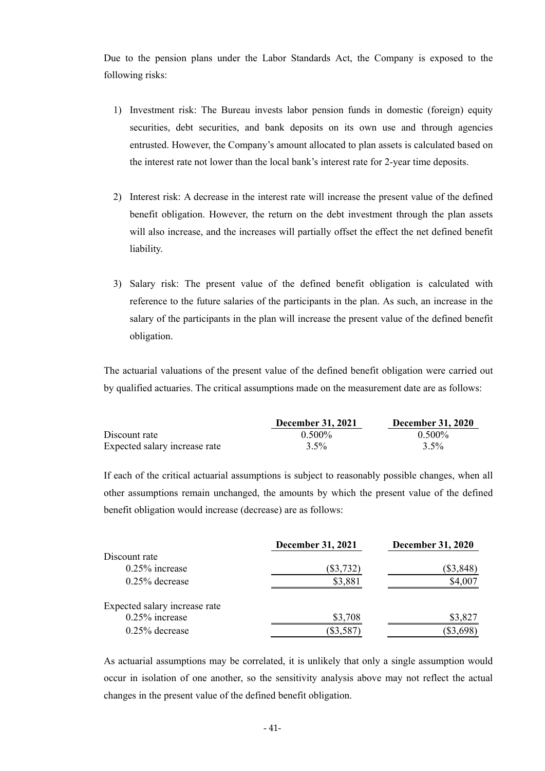Due to the pension plans under the Labor Standards Act, the Company is exposed to the following risks:

- 1) Investment risk: The Bureau invests labor pension funds in domestic (foreign) equity securities, debt securities, and bank deposits on its own use and through agencies entrusted. However, the Company's amount allocated to plan assets is calculated based on the interest rate not lower than the local bank's interest rate for 2-year time deposits.
- 2) Interest risk: A decrease in the interest rate will increase the present value of the defined benefit obligation. However, the return on the debt investment through the plan assets will also increase, and the increases will partially offset the effect the net defined benefit liability.
- 3) Salary risk: The present value of the defined benefit obligation is calculated with reference to the future salaries of the participants in the plan. As such, an increase in the salary of the participants in the plan will increase the present value of the defined benefit obligation.

The actuarial valuations of the present value of the defined benefit obligation were carried out by qualified actuaries. The critical assumptions made on the measurement date are as follows:

|                               | <b>December 31, 2021</b> | <b>December 31, 2020</b> |
|-------------------------------|--------------------------|--------------------------|
| Discount rate                 | $0.500\%$                | $0.500\%$                |
| Expected salary increase rate | $3.5\%$                  | $3.5\%$                  |

If each of the critical actuarial assumptions is subject to reasonably possible changes, when all other assumptions remain unchanged, the amounts by which the present value of the defined benefit obligation would increase (decrease) are as follows:

|                               | <b>December 31, 2021</b> | <b>December 31, 2020</b> |
|-------------------------------|--------------------------|--------------------------|
| Discount rate                 |                          |                          |
| $0.25\%$ increase             | $(\$3,732)$              | $(\$3,848)$              |
| $0.25\%$ decrease             | \$3,881                  | \$4,007                  |
| Expected salary increase rate |                          |                          |
| $0.25\%$ increase             | \$3,708                  | \$3,827                  |
| $0.25\%$ decrease             | \$3,587                  | \$3,698                  |

As actuarial assumptions may be correlated, it is unlikely that only a single assumption would occur in isolation of one another, so the sensitivity analysis above may not reflect the actual changes in the present value of the defined benefit obligation.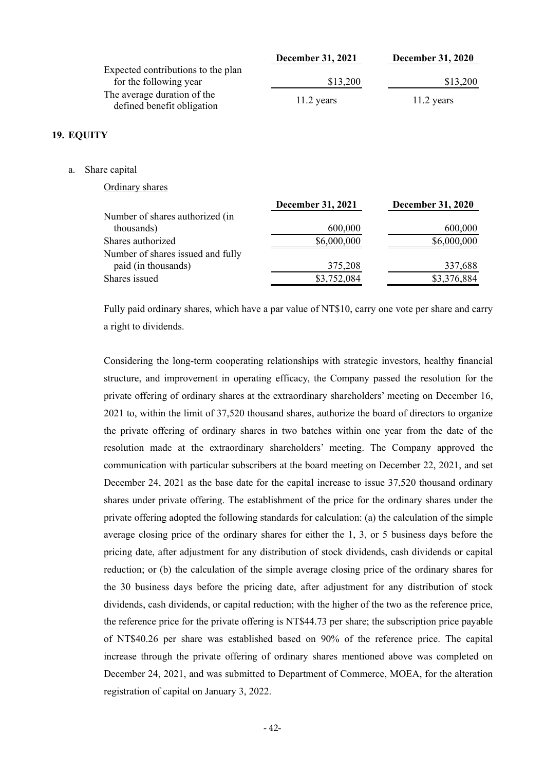|                                                           | <b>December 31, 2021</b> | <b>December 31, 2020</b> |
|-----------------------------------------------------------|--------------------------|--------------------------|
| Expected contributions to the plan                        |                          |                          |
| for the following year                                    | \$13,200                 | \$13,200                 |
| The average duration of the<br>defined benefit obligation | $11.2$ years             | $11.2$ years             |

### **19. EQUITY**

a. Share capital

Ordinary shares

|                                   | <b>December 31, 2021</b> | <b>December 31, 2020</b> |
|-----------------------------------|--------------------------|--------------------------|
| Number of shares authorized (in   |                          |                          |
| thousands)                        | 600,000                  | 600,000                  |
| Shares authorized                 | \$6,000,000              | \$6,000,000              |
| Number of shares issued and fully |                          |                          |
| paid (in thousands)               | 375,208                  | 337,688                  |
| Shares issued                     | \$3,752,084              | \$3,376,884              |
|                                   |                          |                          |

Fully paid ordinary shares, which have a par value of NT\$10, carry one vote per share and carry a right to dividends.

Considering the long-term cooperating relationships with strategic investors, healthy financial structure, and improvement in operating efficacy, the Company passed the resolution for the private offering of ordinary shares at the extraordinary shareholders' meeting on December 16, 2021 to, within the limit of 37,520 thousand shares, authorize the board of directors to organize the private offering of ordinary shares in two batches within one year from the date of the resolution made at the extraordinary shareholders' meeting. The Company approved the communication with particular subscribers at the board meeting on December 22, 2021, and set December 24, 2021 as the base date for the capital increase to issue 37,520 thousand ordinary shares under private offering. The establishment of the price for the ordinary shares under the private offering adopted the following standards for calculation: (a) the calculation of the simple average closing price of the ordinary shares for either the 1, 3, or 5 business days before the pricing date, after adjustment for any distribution of stock dividends, cash dividends or capital reduction; or (b) the calculation of the simple average closing price of the ordinary shares for the 30 business days before the pricing date, after adjustment for any distribution of stock dividends, cash dividends, or capital reduction; with the higher of the two as the reference price, the reference price for the private offering is NT\$44.73 per share; the subscription price payable of NT\$40.26 per share was established based on 90% of the reference price. The capital increase through the private offering of ordinary shares mentioned above was completed on December 24, 2021, and was submitted to Department of Commerce, MOEA, for the alteration registration of capital on January 3, 2022.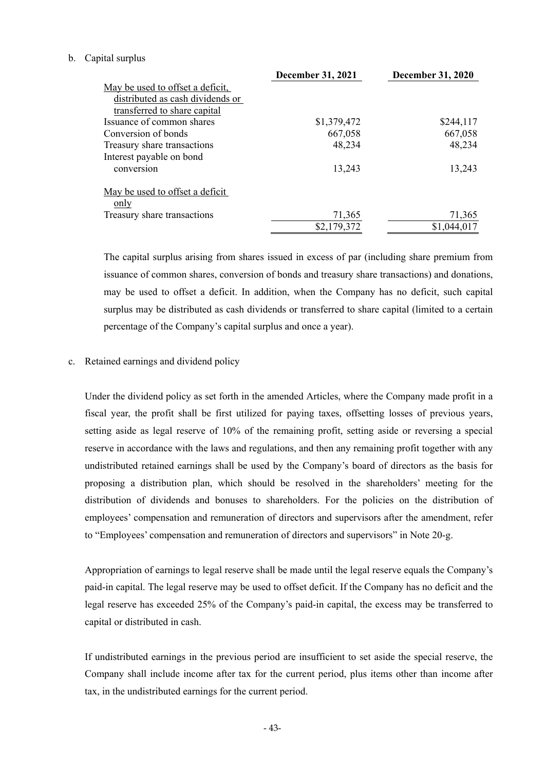#### b. Capital surplus

|                                  | <b>December 31, 2021</b> | <b>December 31, 2020</b> |
|----------------------------------|--------------------------|--------------------------|
| May be used to offset a deficit, |                          |                          |
| distributed as cash dividends or |                          |                          |
| transferred to share capital     |                          |                          |
| Issuance of common shares        | \$1,379,472              | \$244,117                |
| Conversion of bonds              | 667,058                  | 667,058                  |
| Treasury share transactions      | 48,234                   | 48,234                   |
| Interest payable on bond         |                          |                          |
| conversion                       | 13,243                   | 13,243                   |
| May be used to offset a deficit  |                          |                          |
| only                             |                          |                          |
| Treasury share transactions      | 71,365                   | 71,365                   |
|                                  | \$2,179,372              | \$1,044,017              |

The capital surplus arising from shares issued in excess of par (including share premium from issuance of common shares, conversion of bonds and treasury share transactions) and donations, may be used to offset a deficit. In addition, when the Company has no deficit, such capital surplus may be distributed as cash dividends or transferred to share capital (limited to a certain percentage of the Company's capital surplus and once a year).

#### c. Retained earnings and dividend policy

Under the dividend policy as set forth in the amended Articles, where the Company made profit in a fiscal year, the profit shall be first utilized for paying taxes, offsetting losses of previous years, setting aside as legal reserve of 10% of the remaining profit, setting aside or reversing a special reserve in accordance with the laws and regulations, and then any remaining profit together with any undistributed retained earnings shall be used by the Company's board of directors as the basis for proposing a distribution plan, which should be resolved in the shareholders' meeting for the distribution of dividends and bonuses to shareholders. For the policies on the distribution of employees' compensation and remuneration of directors and supervisors after the amendment, refer to "Employees' compensation and remuneration of directors and supervisors" in Note 20-g.

Appropriation of earnings to legal reserve shall be made until the legal reserve equals the Company's paid-in capital. The legal reserve may be used to offset deficit. If the Company has no deficit and the legal reserve has exceeded 25% of the Company's paid-in capital, the excess may be transferred to capital or distributed in cash.

If undistributed earnings in the previous period are insufficient to set aside the special reserve, the Company shall include income after tax for the current period, plus items other than income after tax, in the undistributed earnings for the current period.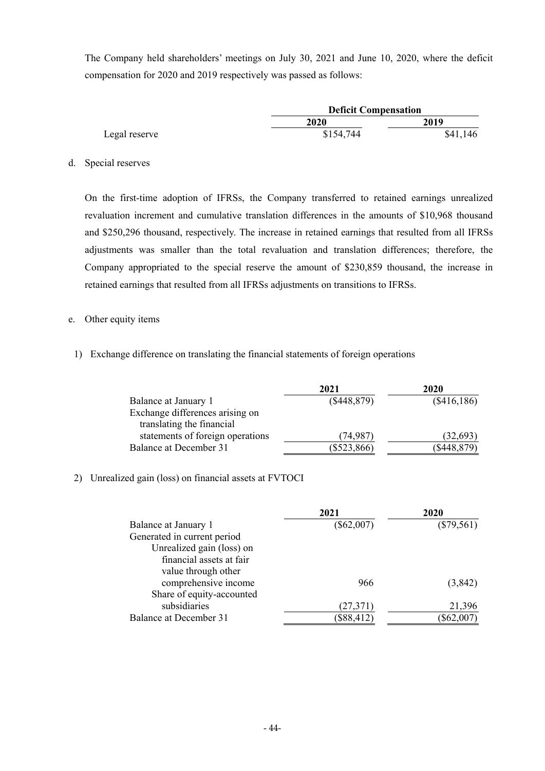The Company held shareholders' meetings on July 30, 2021 and June 10, 2020, where the deficit compensation for 2020 and 2019 respectively was passed as follows:

|               |             | <b>Deficit Compensation</b> |  |
|---------------|-------------|-----------------------------|--|
|               | <b>2020</b> | 2019                        |  |
| Legal reserve | \$154,744   | \$41,146                    |  |

d. Special reserves

On the first-time adoption of IFRSs, the Company transferred to retained earnings unrealized revaluation increment and cumulative translation differences in the amounts of \$10,968 thousand and \$250,296 thousand, respectively. The increase in retained earnings that resulted from all IFRSs adjustments was smaller than the total revaluation and translation differences; therefore, the Company appropriated to the special reserve the amount of \$230,859 thousand, the increase in retained earnings that resulted from all IFRSs adjustments on transitions to IFRSs.

- e. Other equity items
- 1) Exchange difference on translating the financial statements of foreign operations

|                                  | 2021          | 2020        |
|----------------------------------|---------------|-------------|
| Balance at January 1             | (\$448,879)   | (\$416,186) |
| Exchange differences arising on  |               |             |
| translating the financial        |               |             |
| statements of foreign operations | (74.987)      | (32, 693)   |
| Balance at December 31           | $(\$523,866)$ | (\$448,879) |

### 2) Unrealized gain (loss) on financial assets at FVTOCI

|                             | 2021         | 2020         |
|-----------------------------|--------------|--------------|
| Balance at January 1        | $(\$62,007)$ | $(\$79,561)$ |
| Generated in current period |              |              |
| Unrealized gain (loss) on   |              |              |
| financial assets at fair    |              |              |
| value through other         |              |              |
| comprehensive income        | 966          | (3,842)      |
| Share of equity-accounted   |              |              |
| subsidiaries                | (27, 371)    | 21,396       |
| Balance at December 31      | \$88,412     | \$62,007     |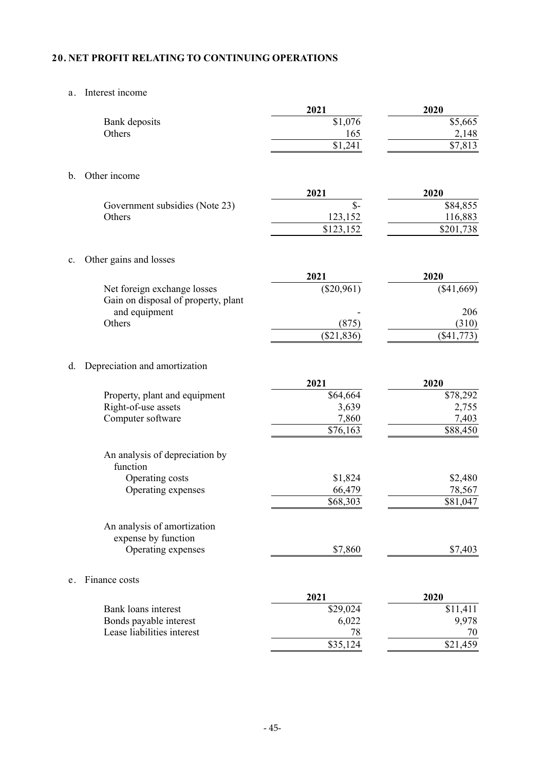# **20. NET PROFIT RELATING TO CONTINUING OPERATIONS**

# a. Interest income

|                                            | 2021            | 2020         |
|--------------------------------------------|-----------------|--------------|
| Bank deposits                              | \$1,076         | \$5,665      |
| Others                                     | 165             | 2,148        |
|                                            | \$1,241         | \$7,813      |
|                                            |                 |              |
| Other income<br>b.                         |                 |              |
|                                            | 2021            | 2020         |
| Government subsidies (Note 23)             | $\mathcal{S}$ - | \$84,855     |
| Others                                     | 123,152         | 116,883      |
|                                            | \$123,152       | \$201,738    |
| Other gains and losses<br>c.               |                 |              |
|                                            | 2021            | 2020         |
| Net foreign exchange losses                | $(\$20,961)$    | (\$41,669)   |
| Gain on disposal of property, plant        |                 |              |
| and equipment                              |                 | 206          |
| Others                                     | (875)           | (310)        |
|                                            | (\$21,836)      | $(\$41,773)$ |
| d.<br>Depreciation and amortization        |                 |              |
|                                            | 2021            | 2020         |
| Property, plant and equipment              | \$64,664        | \$78,292     |
| Right-of-use assets                        | 3,639           | 2,755        |
| Computer software                          | 7,860           | 7,403        |
|                                            | \$76,163        | \$88,450     |
| An analysis of depreciation by<br>function |                 |              |
| Operating costs                            | \$1,824         | \$2,480      |
| Operating expenses                         | 66,479          | 78,567       |
|                                            | \$68,303        | \$81,047     |
| An analysis of amortization                |                 |              |
| expense by function                        |                 |              |
| Operating expenses                         | \$7,860         | \$7,403      |
| Finance costs<br>e.                        |                 |              |
|                                            | 2021            | 2020         |
| Bank loans interest                        | \$29,024        | \$11,411     |
| Bonds payable interest                     | 6,022           | 9,978        |
| Lease liabilities interest                 | 78              | 70           |
|                                            | \$35,124        | \$21,459     |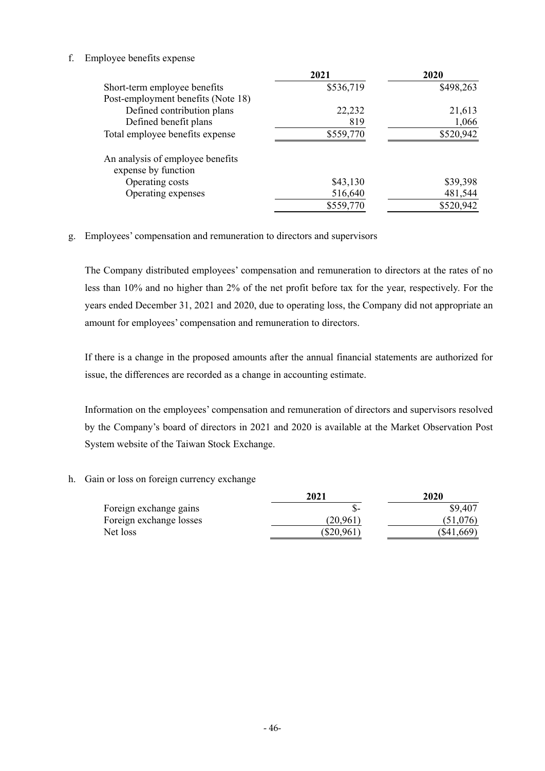### f. Employee benefits expense

|                                                         | 2021      | 2020      |
|---------------------------------------------------------|-----------|-----------|
| Short-term employee benefits                            | \$536,719 | \$498,263 |
| Post-employment benefits (Note 18)                      |           |           |
| Defined contribution plans                              | 22,232    | 21,613    |
| Defined benefit plans                                   | 819       | 1,066     |
| Total employee benefits expense                         | \$559,770 | \$520,942 |
| An analysis of employee benefits<br>expense by function |           |           |
| Operating costs                                         | \$43,130  | \$39,398  |
| Operating expenses                                      | 516,640   | 481,544   |
|                                                         | \$559,770 | \$520,942 |

g. Employees' compensation and remuneration to directors and supervisors

The Company distributed employees' compensation and remuneration to directors at the rates of no less than 10% and no higher than 2% of the net profit before tax for the year, respectively. For the years ended December 31, 2021 and 2020, due to operating loss, the Company did not appropriate an amount for employees' compensation and remuneration to directors.

If there is a change in the proposed amounts after the annual financial statements are authorized for issue, the differences are recorded as a change in accounting estimate.

Information on the employees' compensation and remuneration of directors and supervisors resolved by the Company's board of directors in 2021 and 2020 is available at the Market Observation Post System website of the Taiwan Stock Exchange.

h. Gain or loss on foreign currency exchange

|                         | 2021         | 2020       |  |
|-------------------------|--------------|------------|--|
| Foreign exchange gains  |              | \$9,407    |  |
| Foreign exchange losses | (20.961)     | (51,076)   |  |
| Net loss                | $(\$20,961)$ | (\$41,669) |  |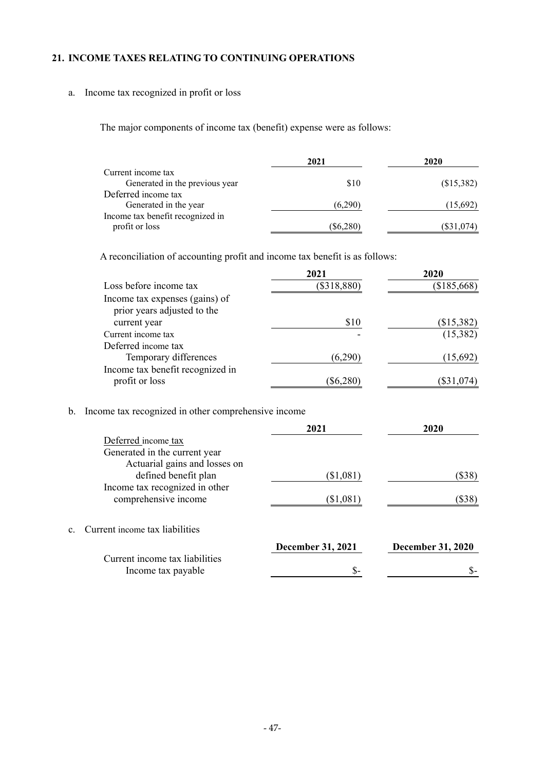# **21. INCOME TAXES RELATING TO CONTINUING OPERATIONS**

# a. Income tax recognized in profit or loss

The major components of income tax (benefit) expense were as follows:

|                                  | 2021        | 2020       |  |
|----------------------------------|-------------|------------|--|
| Current income tax               |             |            |  |
| Generated in the previous year   | \$10        | (\$15,382) |  |
| Deferred income tax              |             |            |  |
| Generated in the year            | (6,290)     | (15,692)   |  |
| Income tax benefit recognized in |             |            |  |
| profit or loss                   | $(\$6,280)$ | (\$31,074) |  |
|                                  |             |            |  |

A reconciliation of accounting profit and income tax benefit is as follows:

|                                                               | 2021          | 2020         |
|---------------------------------------------------------------|---------------|--------------|
| Loss before income tax                                        | $(\$318,880)$ | (\$185,668)  |
| Income tax expenses (gains) of<br>prior years adjusted to the |               |              |
| current year                                                  | \$10          | (\$15,382)   |
| Current income tax                                            |               | (15,382)     |
| Deferred income tax                                           |               |              |
| Temporary differences                                         | (6,290)       | (15,692)     |
| Income tax benefit recognized in<br>profit or loss            | $(\$6,280)$   | $(\$31,074)$ |

b. Income tax recognized in other comprehensive income

|                                   | 2021                     | 2020                     |
|-----------------------------------|--------------------------|--------------------------|
| Deferred income tax               |                          |                          |
| Generated in the current year     |                          |                          |
| Actuarial gains and losses on     |                          |                          |
| defined benefit plan              | (\$1,081)                | (\$38)                   |
| Income tax recognized in other    |                          |                          |
| comprehensive income              | (\$1,081)                | $(\$38)$                 |
|                                   |                          |                          |
| c. Current income tax liabilities |                          |                          |
|                                   | <b>December 31, 2021</b> | <b>December 31, 2020</b> |
| Current income tax liabilities    |                          |                          |
| Income tax payable                | \$-                      |                          |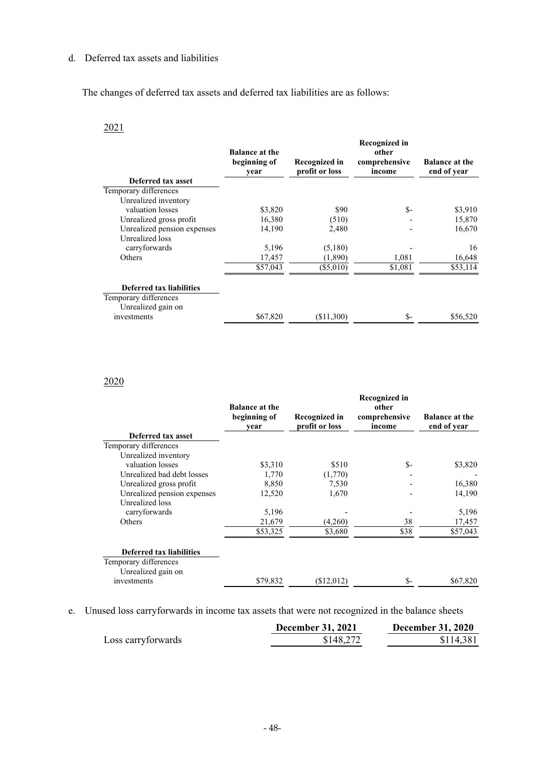# d. Deferred tax assets and liabilities

The changes of deferred tax assets and deferred tax liabilities are as follows:

# 2021

|                                             | <b>Balance at the</b><br>beginning of<br>year | <b>Recognized in</b><br>profit or loss | <b>Recognized in</b><br>other<br>comprehensive<br>income | <b>Balance at the</b><br>end of year |
|---------------------------------------------|-----------------------------------------------|----------------------------------------|----------------------------------------------------------|--------------------------------------|
| Deferred tax asset<br>Temporary differences |                                               |                                        |                                                          |                                      |
| Unrealized inventory                        |                                               |                                        |                                                          |                                      |
| valuation losses                            | \$3,820                                       | \$90                                   | \$-                                                      | \$3,910                              |
| Unrealized gross profit                     | 16,380                                        | (510)                                  |                                                          | 15,870                               |
| Unrealized pension expenses                 | 14,190                                        | 2,480                                  |                                                          | 16,670                               |
| Unrealized loss                             |                                               |                                        |                                                          |                                      |
| carryforwards                               | 5,196                                         | (5,180)                                |                                                          | 16                                   |
| Others                                      | 17,457                                        | (1,890)                                | 1,081                                                    | 16,648                               |
|                                             | \$57,043                                      | $(\$5,010)$                            | \$1,081                                                  | \$53,114                             |
| <b>Deferred tax liabilities</b>             |                                               |                                        |                                                          |                                      |
| Temporary differences                       |                                               |                                        |                                                          |                                      |
| Unrealized gain on                          |                                               |                                        |                                                          |                                      |
| investments                                 | \$67,820                                      | $(\$11,300)$                           | \$-                                                      | \$56,520                             |

# 2020

|                             | <b>Balance at the</b><br>beginning of<br>year | Recognized in<br>profit or loss | <b>Recognized in</b><br>other<br>comprehensive<br>income | <b>Balance at the</b><br>end of year |
|-----------------------------|-----------------------------------------------|---------------------------------|----------------------------------------------------------|--------------------------------------|
| Deferred tax asset          |                                               |                                 |                                                          |                                      |
| Temporary differences       |                                               |                                 |                                                          |                                      |
| Unrealized inventory        |                                               |                                 |                                                          |                                      |
| valuation losses            | \$3,310                                       | \$510                           | $S-$                                                     | \$3,820                              |
| Unrealized bad debt losses  | 1,770                                         | (1,770)                         |                                                          |                                      |
| Unrealized gross profit     | 8,850                                         | 7,530                           |                                                          | 16,380                               |
| Unrealized pension expenses | 12,520                                        | 1,670                           |                                                          | 14,190                               |
| Unrealized loss             |                                               |                                 |                                                          |                                      |
| carryforwards               | 5,196                                         |                                 |                                                          | 5,196                                |
| Others                      | 21,679                                        | (4,260)                         | 38                                                       | 17,457                               |
|                             | \$53,325                                      | \$3,680                         | \$38                                                     | \$57,043                             |
| Deferred tax liabilities    |                                               |                                 |                                                          |                                      |
| Temporary differences       |                                               |                                 |                                                          |                                      |
| Unrealized gain on          |                                               |                                 |                                                          |                                      |
| investments                 | \$79,832                                      | (\$12,012)                      | $S-$                                                     | \$67,820                             |

e. Unused loss carryforwards in income tax assets that were not recognized in the balance sheets

|                    | <b>December 31, 2021</b> | <b>December 31, 2020</b> |
|--------------------|--------------------------|--------------------------|
| Loss carryforwards | \$148,272                | \$114,381                |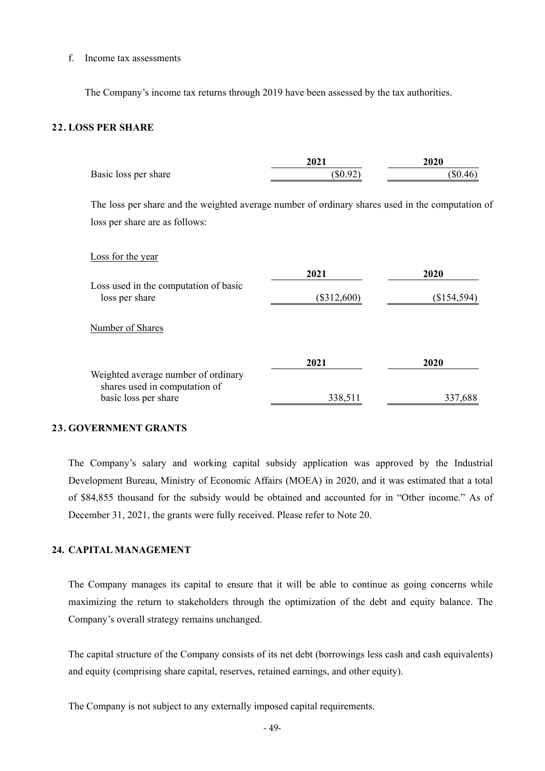#### f. Income tax assessments

The Company's income tax returns through 2019 have been assessed by the tax authorities.

### **22. LOSS PER SHARE**

|                                                                                                  | 2021          | 2020          |
|--------------------------------------------------------------------------------------------------|---------------|---------------|
| Basic loss per share                                                                             | (\$0.92)      | $(\$0.46)$    |
| The loss per share and the weighted average number of ordinary shares used in the computation of |               |               |
| loss per share are as follows:                                                                   |               |               |
| Loss for the year                                                                                |               |               |
|                                                                                                  | 2021          | 2020          |
| Loss used in the computation of basic<br>loss per share                                          | $(\$312,600)$ | $(\$154,594)$ |
| Number of Shares                                                                                 |               |               |
|                                                                                                  | 2021          | 2020          |
| Weighted average number of ordinary<br>shares used in computation of                             |               |               |
| basic loss per share                                                                             | 338,511       | 337,688       |

### **23. GOVERNMENT GRANTS**

The Company's salary and working capital subsidy application was approved by the Industrial Development Bureau, Ministry of Economic Affairs (MOEA) in 2020, and it was estimated that a total of \$84,855 thousand for the subsidy would be obtained and accounted for in "Other income." As of December 31, 2021, the grants were fully received. Please refer to Note 20.

#### **24. CAPITAL MANAGEMENT**

The Company manages its capital to ensure that it will be able to continue as going concerns while maximizing the return to stakeholders through the optimization of the debt and equity balance. The Company's overall strategy remains unchanged.

The capital structure of the Company consists of its net debt (borrowings less cash and cash equivalents) and equity (comprising share capital, reserves, retained earnings, and other equity).

The Company is not subject to any externally imposed capital requirements.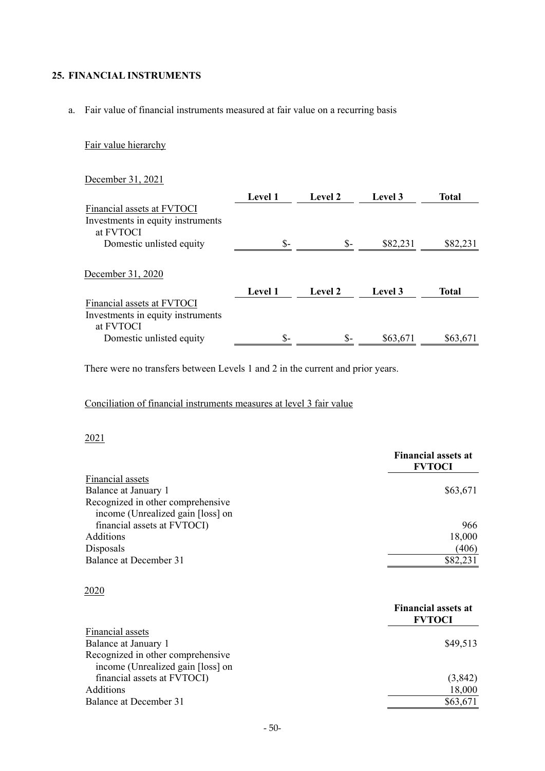# **25. FINANCIAL INSTRUMENTS**

a. Fair value of financial instruments measured at fair value on a recurring basis

# Fair value hierarchy

# December 31, 2021

|                                   | <b>Level 1</b> | Level 2 | Level 3  | <b>Total</b> |
|-----------------------------------|----------------|---------|----------|--------------|
| Financial assets at FVTOCI        |                |         |          |              |
| Investments in equity instruments |                |         |          |              |
| at FVTOCI                         |                |         |          |              |
| Domestic unlisted equity          | \$-            | $S-$    | \$82,231 | \$82,231     |
| December 31, 2020                 |                |         |          |              |
|                                   | <b>Level 1</b> | Level 2 | Level 3  | <b>Total</b> |
| Financial assets at FVTOCI        |                |         |          |              |
| Investments in equity instruments |                |         |          |              |
| at FVTOCI                         |                |         |          |              |
| Domestic unlisted equity          | \$-            | \$-     | \$63,671 | \$63,671     |

There were no transfers between Levels 1 and 2 in the current and prior years.

# Conciliation of financial instruments measures at level 3 fair value

#### 2021

|                                                                        | <b>Financial assets at</b><br><b>FVTOCI</b> |
|------------------------------------------------------------------------|---------------------------------------------|
| Financial assets                                                       |                                             |
| Balance at January 1                                                   | \$63,671                                    |
| Recognized in other comprehensive                                      |                                             |
| income (Unrealized gain [loss] on                                      |                                             |
| financial assets at FVTOCI)                                            | 966                                         |
| Additions                                                              | 18,000                                      |
| Disposals                                                              | (406)                                       |
| Balance at December 31                                                 | \$82,231                                    |
| 2020                                                                   |                                             |
|                                                                        | <b>Financial assets at</b><br><b>FVTOCI</b> |
| Financial assets                                                       |                                             |
| Balance at January 1                                                   | \$49,513                                    |
| Recognized in other comprehensive<br>income (Unrealized gain [loss] on |                                             |
| financial assets at FVTOCI)                                            | (3,842)                                     |
| Additions                                                              | 18,000                                      |
| Balance at December 31                                                 | \$63,671                                    |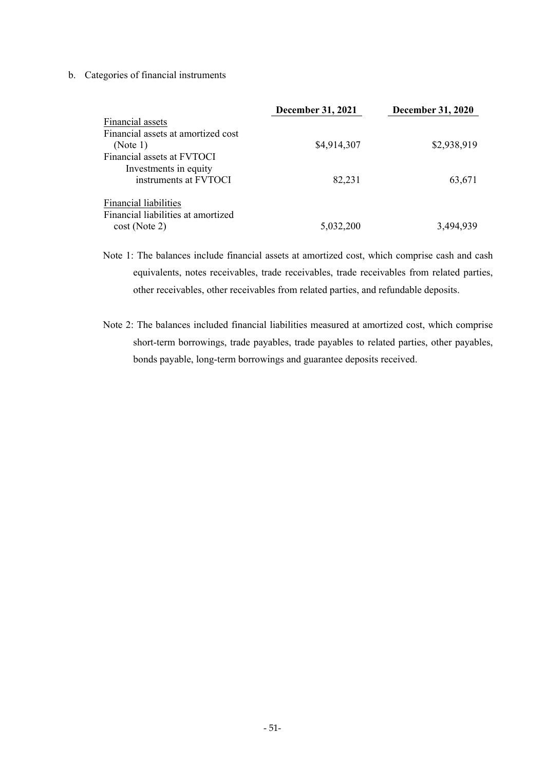### b. Categories of financial instruments

|                                    | <b>December 31, 2021</b> | <b>December 31, 2020</b> |
|------------------------------------|--------------------------|--------------------------|
| Financial assets                   |                          |                          |
| Financial assets at amortized cost |                          |                          |
| (Note 1)                           | \$4,914,307              | \$2,938,919              |
| Financial assets at FVTOCI         |                          |                          |
| Investments in equity              |                          |                          |
| instruments at FVTOCI              | 82,231                   | 63,671                   |
| <b>Financial liabilities</b>       |                          |                          |
| Financial liabilities at amortized |                          |                          |
| $cost$ (Note 2)                    | 5,032,200                | 3,494,939                |

Note 1: The balances include financial assets at amortized cost, which comprise cash and cash equivalents, notes receivables, trade receivables, trade receivables from related parties, other receivables, other receivables from related parties, and refundable deposits.

Note 2: The balances included financial liabilities measured at amortized cost, which comprise short-term borrowings, trade payables, trade payables to related parties, other payables, bonds payable, long-term borrowings and guarantee deposits received.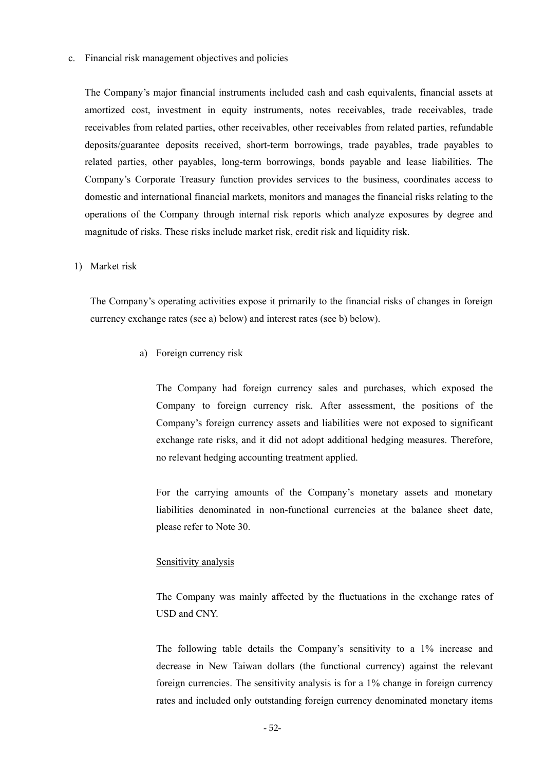#### c. Financial risk management objectives and policies

The Company's major financial instruments included cash and cash equivalents, financial assets at amortized cost, investment in equity instruments, notes receivables, trade receivables, trade receivables from related parties, other receivables, other receivables from related parties, refundable deposits/guarantee deposits received, short-term borrowings, trade payables, trade payables to related parties, other payables, long-term borrowings, bonds payable and lease liabilities. The Company's Corporate Treasury function provides services to the business, coordinates access to domestic and international financial markets, monitors and manages the financial risks relating to the operations of the Company through internal risk reports which analyze exposures by degree and magnitude of risks. These risks include market risk, credit risk and liquidity risk.

#### 1) Market risk

The Company's operating activities expose it primarily to the financial risks of changes in foreign currency exchange rates (see a) below) and interest rates (see b) below).

a) Foreign currency risk

The Company had foreign currency sales and purchases, which exposed the Company to foreign currency risk. After assessment, the positions of the Company's foreign currency assets and liabilities were not exposed to significant exchange rate risks, and it did not adopt additional hedging measures. Therefore, no relevant hedging accounting treatment applied.

For the carrying amounts of the Company's monetary assets and monetary liabilities denominated in non-functional currencies at the balance sheet date, please refer to Note 30.

#### Sensitivity analysis

The Company was mainly affected by the fluctuations in the exchange rates of USD and CNY.

The following table details the Company's sensitivity to a 1% increase and decrease in New Taiwan dollars (the functional currency) against the relevant foreign currencies. The sensitivity analysis is for a 1% change in foreign currency rates and included only outstanding foreign currency denominated monetary items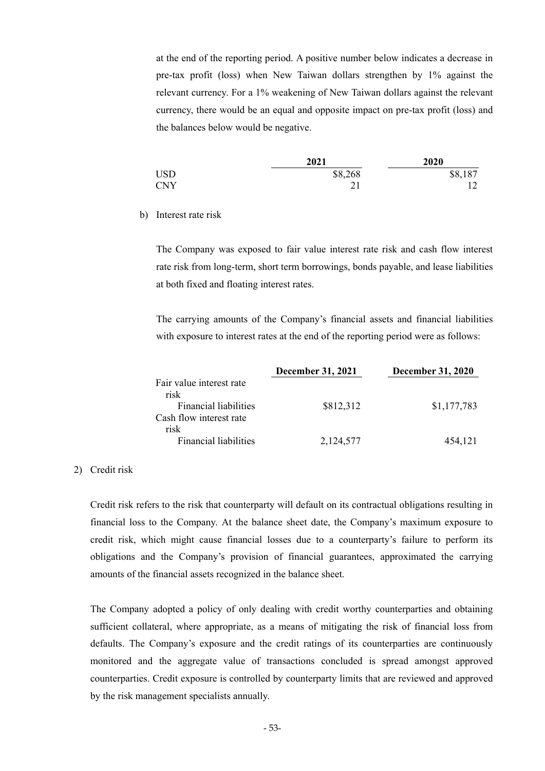at the end of the reporting period. A positive number below indicates a decrease in pre-tax profit (loss) when New Taiwan dollars strengthen by 1% against the relevant currency. For a 1% weakening of New Taiwan dollars against the relevant currency, there would be an equal and opposite impact on pre-tax profit (loss) and the balances below would be negative.

|            | 2021    | 2020    |
|------------|---------|---------|
| <b>USD</b> | \$8,268 | \$8,187 |
| <b>CNY</b> |         |         |

b) Interest rate risk

The Company was exposed to fair value interest rate risk and cash flow interest rate risk from long-term, short term borrowings, bonds payable, and lease liabilities at both fixed and floating interest rates.

The carrying amounts of the Company's financial assets and financial liabilities with exposure to interest rates at the end of the reporting period were as follows:

|                              | <b>December 31, 2021</b> | <b>December 31, 2020</b> |
|------------------------------|--------------------------|--------------------------|
| Fair value interest rate     |                          |                          |
| risk                         |                          |                          |
| <b>Financial liabilities</b> | \$812,312                | \$1,177,783              |
| Cash flow interest rate      |                          |                          |
| risk                         |                          |                          |
| <b>Financial liabilities</b> | 2,124,577                | 454,121                  |

#### 2) Credit risk

Credit risk refers to the risk that counterparty will default on its contractual obligations resulting in financial loss to the Company. At the balance sheet date, the Company's maximum exposure to credit risk, which might cause financial losses due to a counterparty's failure to perform its obligations and the Company's provision of financial guarantees, approximated the carrying amounts of the financial assets recognized in the balance sheet.

The Company adopted a policy of only dealing with credit worthy counterparties and obtaining sufficient collateral, where appropriate, as a means of mitigating the risk of financial loss from defaults. The Company's exposure and the credit ratings of its counterparties are continuously monitored and the aggregate value of transactions concluded is spread amongst approved counterparties. Credit exposure is controlled by counterparty limits that are reviewed and approved by the risk management specialists annually.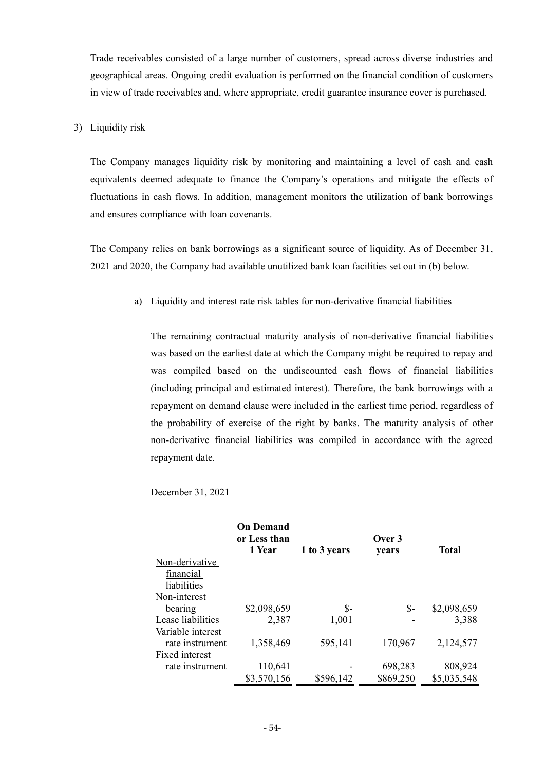Trade receivables consisted of a large number of customers, spread across diverse industries and geographical areas. Ongoing credit evaluation is performed on the financial condition of customers in view of trade receivables and, where appropriate, credit guarantee insurance cover is purchased.

#### 3) Liquidity risk

The Company manages liquidity risk by monitoring and maintaining a level of cash and cash equivalents deemed adequate to finance the Company's operations and mitigate the effects of fluctuations in cash flows. In addition, management monitors the utilization of bank borrowings and ensures compliance with loan covenants.

The Company relies on bank borrowings as a significant source of liquidity. As of December 31, 2021 and 2020, the Company had available unutilized bank loan facilities set out in (b) below.

a) Liquidity and interest rate risk tables for non-derivative financial liabilities

The remaining contractual maturity analysis of non-derivative financial liabilities was based on the earliest date at which the Company might be required to repay and was compiled based on the undiscounted cash flows of financial liabilities (including principal and estimated interest). Therefore, the bank borrowings with a repayment on demand clause were included in the earliest time period, regardless of the probability of exercise of the right by banks. The maturity analysis of other non-derivative financial liabilities was compiled in accordance with the agreed repayment date.

### December 31, 2021

|                   | <b>On Demand</b><br>or Less than<br>1 Year | 1 to 3 years | Over 3<br>vears | <b>Total</b> |
|-------------------|--------------------------------------------|--------------|-----------------|--------------|
| Non-derivative    |                                            |              |                 |              |
| financial         |                                            |              |                 |              |
| liabilities       |                                            |              |                 |              |
| Non-interest      |                                            |              |                 |              |
| bearing           | \$2,098,659                                | $S-$         | \$-             | \$2,098,659  |
| Lease liabilities | 2,387                                      | 1,001        |                 | 3,388        |
| Variable interest |                                            |              |                 |              |
| rate instrument   | 1,358,469                                  | 595,141      | 170,967         | 2,124,577    |
| Fixed interest    |                                            |              |                 |              |
| rate instrument   | 110,641                                    |              | 698,283         | 808,924      |
|                   | \$3,570,156                                | \$596,142    | \$869,250       | \$5,035,548  |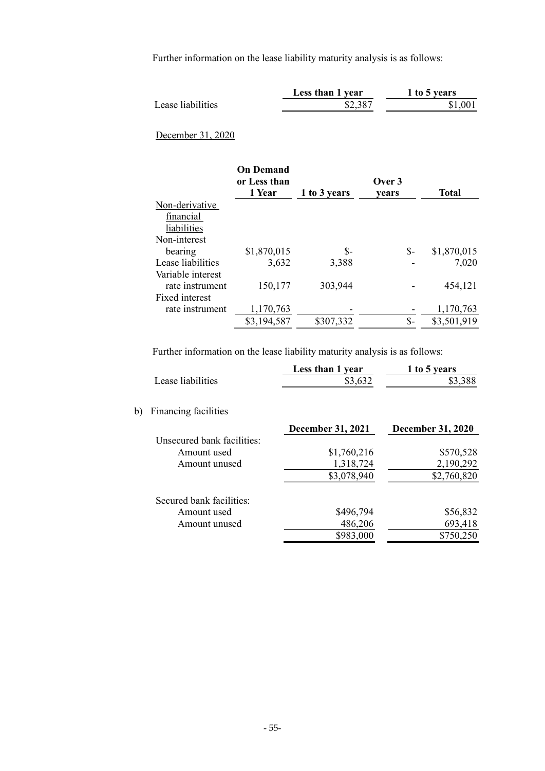Further information on the lease liability maturity analysis is as follows:

|                   | Less than 1 year | 1 to 5 years |
|-------------------|------------------|--------------|
| Lease liabilities | \$2,387          | \$1,00       |
|                   |                  |              |

# December 31, 2020

|                   | <b>On Demand</b><br>or Less than<br>1 Year | 1 to 3 years | Over 3<br>vears | Total       |
|-------------------|--------------------------------------------|--------------|-----------------|-------------|
| Non-derivative    |                                            |              |                 |             |
| financial         |                                            |              |                 |             |
| liabilities       |                                            |              |                 |             |
| Non-interest      |                                            |              |                 |             |
| bearing           | \$1,870,015                                | \$-          | \$-             | \$1,870,015 |
| Lease liabilities | 3,632                                      | 3,388        |                 | 7,020       |
| Variable interest |                                            |              |                 |             |
| rate instrument   | 150,177                                    | 303,944      |                 | 454,121     |
| Fixed interest    |                                            |              |                 |             |
| rate instrument   | 1,170,763                                  |              |                 | 1,170,763   |
|                   | \$3,194,587                                | \$307,332    | \$-             | \$3,501,919 |

Further information on the lease liability maturity analysis is as follows:

|    |                            | Less than 1 year         | 1 to 5 years             |
|----|----------------------------|--------------------------|--------------------------|
|    | Lease liabilities          | \$3,632                  | \$3,388                  |
| b) | Financing facilities       |                          |                          |
|    |                            | <b>December 31, 2021</b> | <b>December 31, 2020</b> |
|    | Unsecured bank facilities: |                          |                          |
|    | Amount used                | \$1,760,216              | \$570,528                |
|    | Amount unused              | 1,318,724                | 2,190,292                |
|    |                            | \$3,078,940              | \$2,760,820              |
|    | Secured bank facilities:   |                          |                          |
|    | Amount used                | \$496,794                | \$56,832                 |
|    | Amount unused              | 486,206                  | 693,418                  |
|    |                            | \$983,000                | \$750,250                |
|    |                            |                          |                          |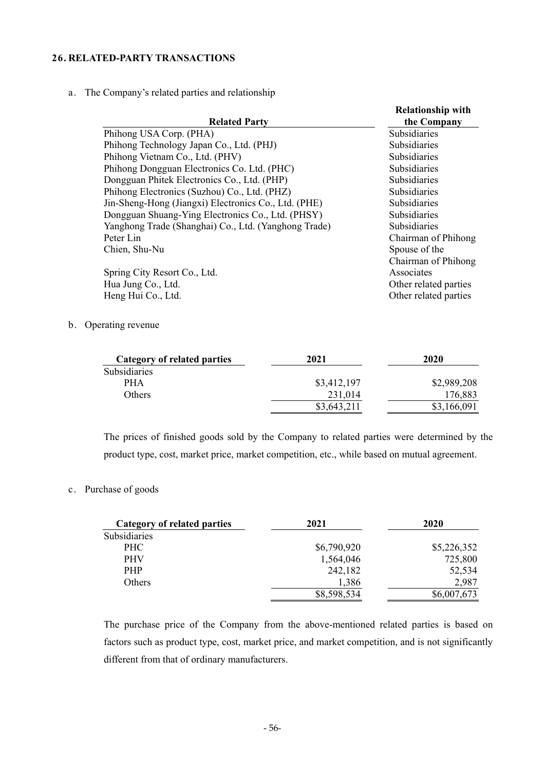### **26. RELATED-PARTY TRANSACTIONS**

a. The Company's related parties and relationship

| <b>Related Party</b>                                 | <b>Relationship with</b><br>the Company |
|------------------------------------------------------|-----------------------------------------|
| Phihong USA Corp. (PHA)                              | <b>Subsidiaries</b>                     |
| Phihong Technology Japan Co., Ltd. (PHJ)             | Subsidiaries                            |
| Phihong Vietnam Co., Ltd. (PHV)                      | Subsidiaries                            |
| Phihong Dongguan Electronics Co. Ltd. (PHC)          | Subsidiaries                            |
| Dongguan Phitek Electronics Co., Ltd. (PHP)          | Subsidiaries                            |
| Phihong Electronics (Suzhou) Co., Ltd. (PHZ)         | <b>Subsidiaries</b>                     |
| Jin-Sheng-Hong (Jiangxi) Electronics Co., Ltd. (PHE) | Subsidiaries                            |
| Dongguan Shuang-Ying Electronics Co., Ltd. (PHSY)    | <b>Subsidiaries</b>                     |
| Yanghong Trade (Shanghai) Co., Ltd. (Yanghong Trade) | Subsidiaries                            |
| Peter Lin                                            | Chairman of Phihong                     |
| Chien, Shu-Nu                                        | Spouse of the                           |
|                                                      | Chairman of Phihong                     |
| Spring City Resort Co., Ltd.                         | Associates                              |
| Hua Jung Co., Ltd.                                   | Other related parties                   |
| Heng Hui Co., Ltd.                                   | Other related parties                   |

b. Operating revenue

| Category of related parties | 2021        | 2020        |
|-----------------------------|-------------|-------------|
| <b>Subsidiaries</b>         |             |             |
| PHA                         | \$3,412,197 | \$2,989,208 |
| <b>Others</b>               | 231,014     | 176,883     |
|                             | \$3,643,211 | \$3,166,091 |

The prices of finished goods sold by the Company to related parties were determined by the product type, cost, market price, market competition, etc., while based on mutual agreement.

### c. Purchase of goods

| Category of related parties | 2021        | 2020        |
|-----------------------------|-------------|-------------|
| Subsidiaries                |             |             |
| <b>PHC</b>                  | \$6,790,920 | \$5,226,352 |
| <b>PHV</b>                  | 1,564,046   | 725,800     |
| <b>PHP</b>                  | 242,182     | 52,534      |
| Others                      | 1,386       | 2,987       |
|                             | \$8,598,534 | \$6,007,673 |

The purchase price of the Company from the above-mentioned related parties is based on factors such as product type, cost, market price, and market competition, and is not significantly different from that of ordinary manufacturers.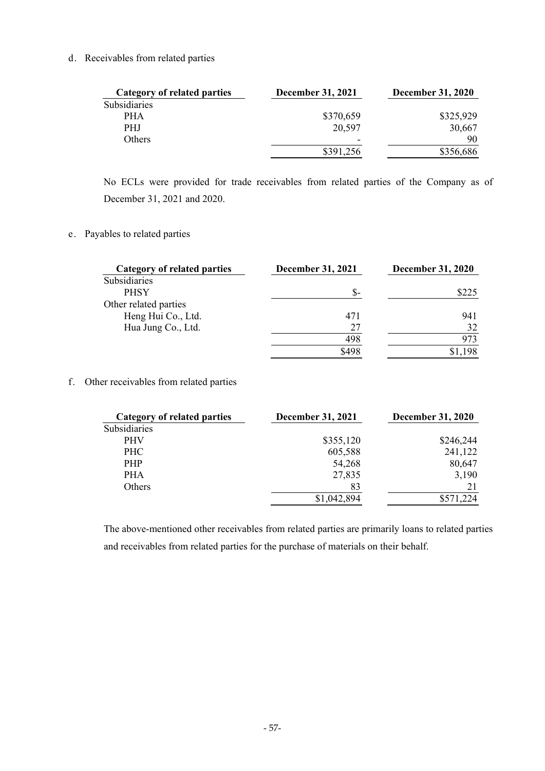d. Receivables from related parties

| Category of related parties | <b>December 31, 2021</b> | <b>December 31, 2020</b> |
|-----------------------------|--------------------------|--------------------------|
| Subsidiaries                |                          |                          |
| <b>PHA</b>                  | \$370,659                | \$325,929                |
| PHJ.                        | 20,597                   | 30,667                   |
| Others                      | $\overline{\phantom{a}}$ | 90                       |
|                             | \$391,256                | \$356,686                |

No ECLs were provided for trade receivables from related parties of the Company as of December 31, 2021 and 2020.

e. Payables to related parties

| Category of related parties | <b>December 31, 2021</b> | <b>December 31, 2020</b> |  |  |
|-----------------------------|--------------------------|--------------------------|--|--|
| Subsidiaries                |                          |                          |  |  |
| <b>PHSY</b>                 | \$-                      | \$225                    |  |  |
| Other related parties       |                          |                          |  |  |
| Heng Hui Co., Ltd.          | 471                      | 941                      |  |  |
| Hua Jung Co., Ltd.          | 27                       | 32                       |  |  |
|                             | 498                      | 973                      |  |  |
|                             | \$498                    | ,198                     |  |  |

f. Other receivables from related parties

| Category of related parties | <b>December 31, 2021</b> | <b>December 31, 2020</b> |
|-----------------------------|--------------------------|--------------------------|
| Subsidiaries                |                          |                          |
| <b>PHV</b>                  | \$355,120                | \$246,244                |
| <b>PHC</b>                  | 605,588                  | 241,122                  |
| <b>PHP</b>                  | 54,268                   | 80,647                   |
| <b>PHA</b>                  | 27,835                   | 3,190                    |
| Others                      | 83                       | 21                       |
|                             | \$1,042,894              | \$571,224                |

The above-mentioned other receivables from related parties are primarily loans to related parties and receivables from related parties for the purchase of materials on their behalf.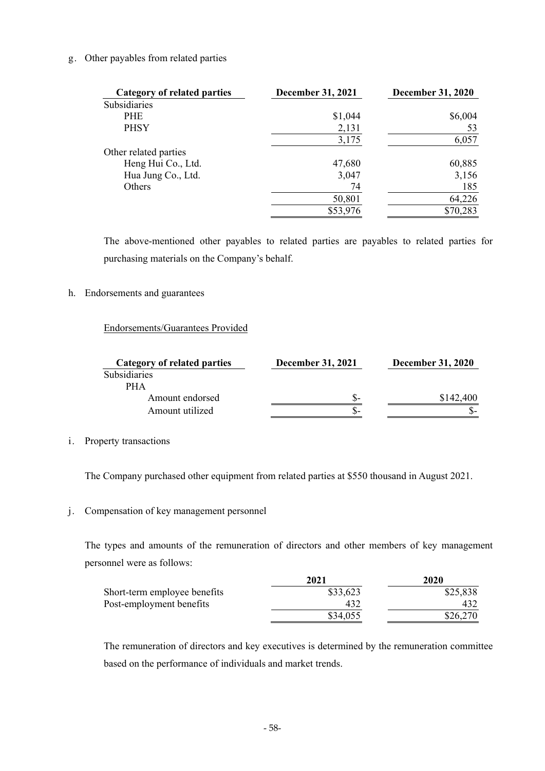### g. Other payables from related parties

| <b>Category of related parties</b> | <b>December 31, 2021</b> | <b>December 31, 2020</b> |
|------------------------------------|--------------------------|--------------------------|
| Subsidiaries                       |                          |                          |
| <b>PHE</b>                         | \$1,044                  | \$6,004                  |
| <b>PHSY</b>                        | 2,131                    | 53                       |
|                                    | 3,175                    | 6,057                    |
| Other related parties              |                          |                          |
| Heng Hui Co., Ltd.                 | 47,680                   | 60,885                   |
| Hua Jung Co., Ltd.                 | 3,047                    | 3,156                    |
| Others                             | 74                       | 185                      |
|                                    | 50,801                   | 64,226                   |
|                                    | \$53,976                 | \$70,283                 |

The above-mentioned other payables to related parties are payables to related parties for purchasing materials on the Company's behalf.

### h. Endorsements and guarantees

### Endorsements/Guarantees Provided

| Category of related parties | <b>December 31, 2021</b> | <b>December 31, 2020</b> |  |  |
|-----------------------------|--------------------------|--------------------------|--|--|
| <b>Subsidiaries</b>         |                          |                          |  |  |
| PHA                         |                          |                          |  |  |
| Amount endorsed             | \$-                      | \$142,400                |  |  |
| Amount utilized             | ה ה                      |                          |  |  |

### i. Property transactions

The Company purchased other equipment from related parties at \$550 thousand in August 2021.

### j. Compensation of key management personnel

The types and amounts of the remuneration of directors and other members of key management personnel were as follows:

|                              | 2021     | 2020     |  |  |
|------------------------------|----------|----------|--|--|
| Short-term employee benefits | \$33,623 | \$25,838 |  |  |
| Post-employment benefits     | 432      | 432      |  |  |
|                              | \$34,055 | \$26,270 |  |  |

The remuneration of directors and key executives is determined by the remuneration committee based on the performance of individuals and market trends.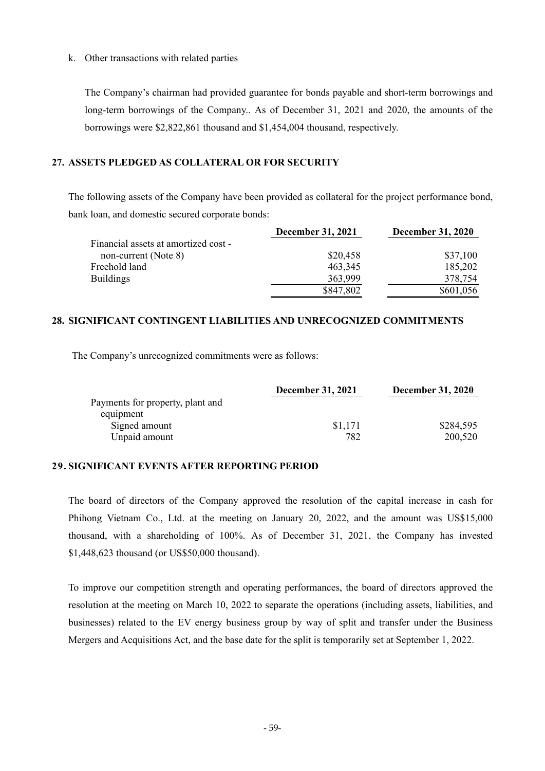#### k. Other transactions with related parties

The Company's chairman had provided guarantee for bonds payable and short-term borrowings and long-term borrowings of the Company.. As of December 31, 2021 and 2020, the amounts of the borrowings were \$2,822,861 thousand and \$1,454,004 thousand, respectively.

## **27. ASSETS PLEDGED AS COLLATERAL OR FOR SECURITY**

The following assets of the Company have been provided as collateral for the project performance bond, bank loan, and domestic secured corporate bonds:

|                                      | <b>December 31, 2021</b> | <b>December 31, 2020</b> |
|--------------------------------------|--------------------------|--------------------------|
| Financial assets at amortized cost - |                          |                          |
| non-current (Note 8)                 | \$20,458                 | \$37,100                 |
| Freehold land                        | 463,345                  | 185,202                  |
| <b>Buildings</b>                     | 363,999                  | 378,754                  |
|                                      | \$847,802                | \$601,056                |

# **28. SIGNIFICANT CONTINGENT LIABILITIES AND UNRECOGNIZED COMMITMENTS**

The Company's unrecognized commitments were as follows:

|                                  | <b>December 31, 2021</b> | <b>December 31, 2020</b> |  |  |
|----------------------------------|--------------------------|--------------------------|--|--|
| Payments for property, plant and |                          |                          |  |  |
| equipment                        |                          |                          |  |  |
| Signed amount                    | \$1,171                  | \$284,595                |  |  |
| Unpaid amount                    | 782                      | 200,520                  |  |  |

## **29. SIGNIFICANT EVENTS AFTER REPORTING PERIOD**

The board of directors of the Company approved the resolution of the capital increase in cash for Phihong Vietnam Co., Ltd. at the meeting on January 20, 2022, and the amount was US\$15,000 thousand, with a shareholding of 100%. As of December 31, 2021, the Company has invested \$1,448,623 thousand (or US\$50,000 thousand).

To improve our competition strength and operating performances, the board of directors approved the resolution at the meeting on March 10, 2022 to separate the operations (including assets, liabilities, and businesses) related to the EV energy business group by way of split and transfer under the Business Mergers and Acquisitions Act, and the base date for the split is temporarily set at September 1, 2022.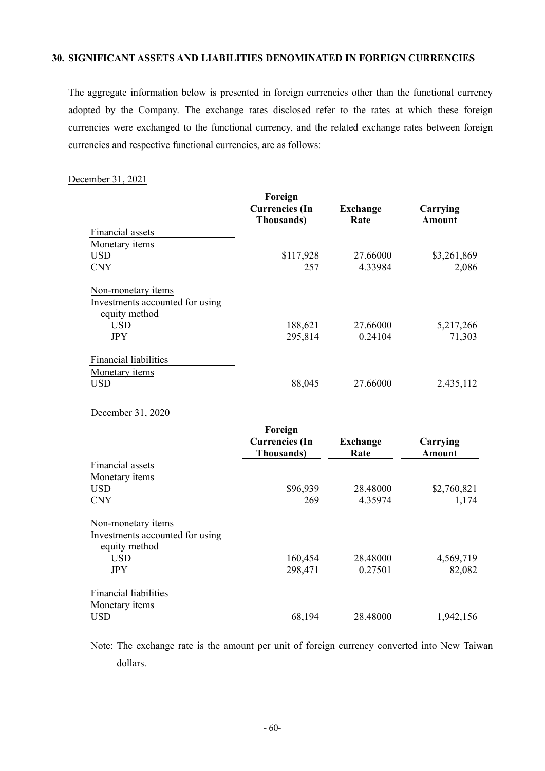### **30. SIGNIFICANT ASSETS AND LIABILITIES DENOMINATED IN FOREIGN CURRENCIES**

The aggregate information below is presented in foreign currencies other than the functional currency adopted by the Company. The exchange rates disclosed refer to the rates at which these foreign currencies were exchanged to the functional currency, and the related exchange rates between foreign currencies and respective functional currencies, are as follows:

#### December 31, 2021

|                                 | Foreign                                     |                         |                           |
|---------------------------------|---------------------------------------------|-------------------------|---------------------------|
|                                 | <b>Currencies</b> (In<br><b>Thousands</b> ) | <b>Exchange</b><br>Rate | Carrying<br><b>Amount</b> |
| Financial assets                |                                             |                         |                           |
| Monetary items                  |                                             |                         |                           |
| <b>USD</b>                      | \$117,928                                   | 27.66000                | \$3,261,869               |
| <b>CNY</b>                      | 257                                         | 4.33984                 | 2,086                     |
| Non-monetary items              |                                             |                         |                           |
| Investments accounted for using |                                             |                         |                           |
| equity method                   |                                             |                         |                           |
| <b>USD</b>                      | 188,621                                     | 27.66000                | 5,217,266                 |
| <b>JPY</b>                      | 295,814                                     | 0.24104                 | 71,303                    |
| <b>Financial liabilities</b>    |                                             |                         |                           |
| Monetary items                  |                                             |                         |                           |
| <b>USD</b>                      | 88,045                                      | 27.66000                | 2,435,112                 |
| December 31, 2020               |                                             |                         |                           |
|                                 | Foreign                                     |                         |                           |
|                                 | <b>Currencies</b> (In<br><b>Thousands</b> ) | <b>Exchange</b><br>Rate | Carrying<br><b>Amount</b> |
| Financial assets                |                                             |                         |                           |
| Monetary items                  |                                             |                         |                           |
| <b>USD</b>                      | \$96,939                                    | 28.48000                | \$2,760,821               |
| <b>CNY</b>                      | 269                                         | 4.35974                 | 1,174                     |
| Non-monetary items              |                                             |                         |                           |
| Investments accounted for using |                                             |                         |                           |
| equity method                   |                                             |                         |                           |
| <b>USD</b>                      | 160,454                                     | 28.48000                | 4,569,719                 |
| <b>JPY</b>                      | 298,471                                     | 0.27501                 | 82,082                    |
| Financial liabilities           |                                             |                         |                           |
| Monetary items                  |                                             |                         |                           |
| <b>USD</b>                      | 68,194                                      | 28.48000                | 1,942,156                 |

Note: The exchange rate is the amount per unit of foreign currency converted into New Taiwan dollars.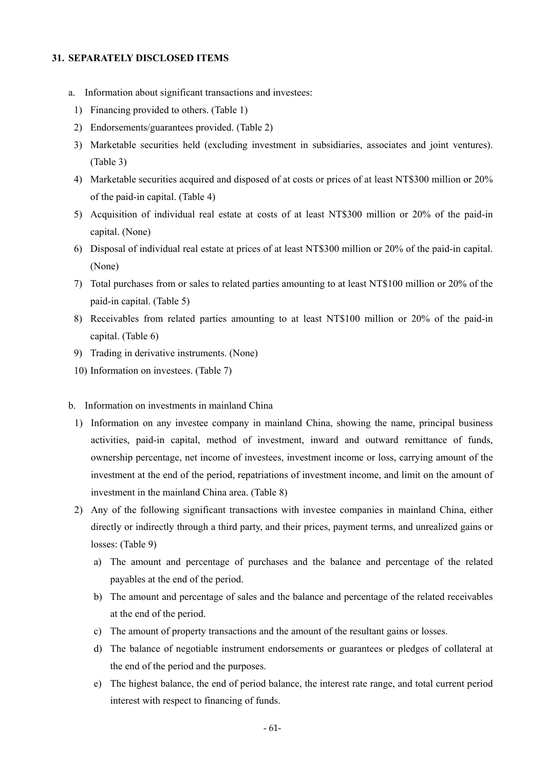#### **31. SEPARATELY DISCLOSED ITEMS**

- a. Information about significant transactions and investees:
	- 1) Financing provided to others. (Table 1)
	- 2) Endorsements/guarantees provided. (Table 2)
	- 3) Marketable securities held (excluding investment in subsidiaries, associates and joint ventures). (Table 3)
	- 4) Marketable securities acquired and disposed of at costs or prices of at least NT\$300 million or 20% of the paid-in capital. (Table 4)
	- 5) Acquisition of individual real estate at costs of at least NT\$300 million or 20% of the paid-in capital. (None)
	- 6) Disposal of individual real estate at prices of at least NT\$300 million or 20% of the paid-in capital. (None)
	- 7) Total purchases from or sales to related parties amounting to at least NT\$100 million or 20% of the paid-in capital. (Table 5)
	- 8) Receivables from related parties amounting to at least NT\$100 million or 20% of the paid-in capital. (Table 6)
	- 9) Trading in derivative instruments. (None)
	- 10) Information on investees. (Table 7)
- b. Information on investments in mainland China
	- 1) Information on any investee company in mainland China, showing the name, principal business activities, paid-in capital, method of investment, inward and outward remittance of funds, ownership percentage, net income of investees, investment income or loss, carrying amount of the investment at the end of the period, repatriations of investment income, and limit on the amount of investment in the mainland China area. (Table 8)
	- 2) Any of the following significant transactions with investee companies in mainland China, either directly or indirectly through a third party, and their prices, payment terms, and unrealized gains or losses: (Table 9)
		- a) The amount and percentage of purchases and the balance and percentage of the related payables at the end of the period.
		- b) The amount and percentage of sales and the balance and percentage of the related receivables at the end of the period.
		- c) The amount of property transactions and the amount of the resultant gains or losses.
		- d) The balance of negotiable instrument endorsements or guarantees or pledges of collateral at the end of the period and the purposes.
		- e) The highest balance, the end of period balance, the interest rate range, and total current period interest with respect to financing of funds.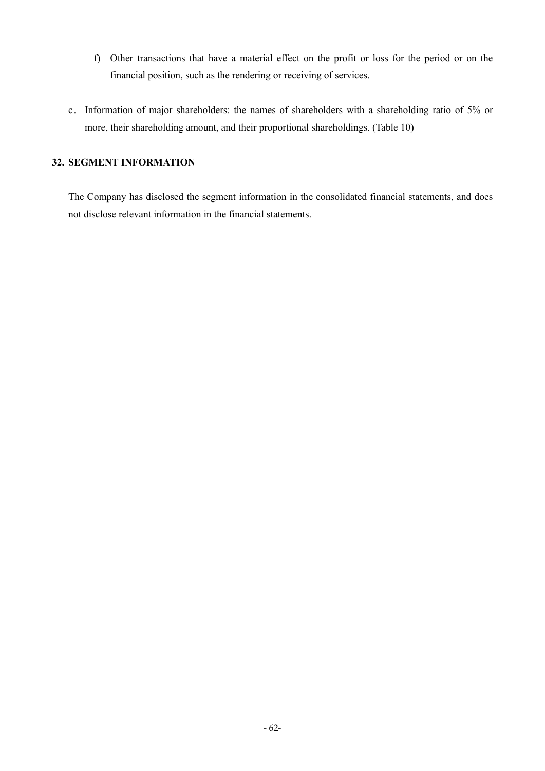- f) Other transactions that have a material effect on the profit or loss for the period or on the financial position, such as the rendering or receiving of services.
- c. Information of major shareholders: the names of shareholders with a shareholding ratio of 5% or more, their shareholding amount, and their proportional shareholdings. (Table 10)

# **32. SEGMENT INFORMATION**

The Company has disclosed the segment information in the consolidated financial statements, and does not disclose relevant information in the financial statements.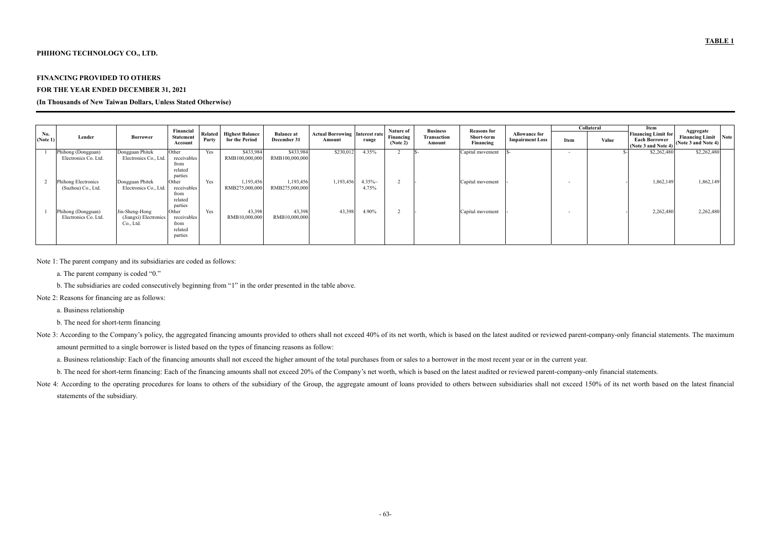### **PHIHONG TECHNOLOGY CO., LTD.**

#### **FINANCING PROVIDED TO OTHERS**

### **FOR THE YEAR ENDED DECEMBER 31, 2021**

#### **(In Thousands of New Taiwan Dollars, Unless Stated Otherwise)**

|                 |                                                  |                                                      |                                                                      |                  |                                          |                                  |                                                 |                   |                                    |                                          |                                               |                                                |      | Collateral | Item                                                                      |                                                                 |  |
|-----------------|--------------------------------------------------|------------------------------------------------------|----------------------------------------------------------------------|------------------|------------------------------------------|----------------------------------|-------------------------------------------------|-------------------|------------------------------------|------------------------------------------|-----------------------------------------------|------------------------------------------------|------|------------|---------------------------------------------------------------------------|-----------------------------------------------------------------|--|
| No.<br>(Note 1) | Lender                                           | <b>Borrower</b>                                      | Financial<br><b>Statement</b><br>Account                             | Related<br>Party | <b>Highest Balance</b><br>for the Period | <b>Balance at</b><br>December 31 | <b>Actual Borrowing Interest rate</b><br>Amount | range             | Nature of<br>Financing<br>(Note 2) | <b>Business</b><br>Transaction<br>Amount | <b>Reasons for</b><br>Short-term<br>Financing | <b>Allowance for</b><br><b>Impairment Loss</b> | Item | Value      | <b>Financing Limit for</b><br><b>Each Borrower</b><br>(Note 3 and Note 4) | Aggregate<br><b>Financing Limit Note</b><br>(Note 3 and Note 4) |  |
|                 | Phihong (Dongguan)<br>Electronics Co. Ltd.       | Dongguan Phitek<br>Electronics Co., Ltd.             | Other<br>receivables<br>from<br>related                              | Yes              | \$433,984<br>RMB100,000,000              | \$433,984<br>RMB100,000,000      | \$230,012                                       | 4.35%             |                                    |                                          | Capital movement                              |                                                |      |            | \$2,262,480                                                               | \$2,262,480                                                     |  |
|                 | <b>Phihong Electronics</b><br>(Suzhou) Co., Ltd. | Dongguan Phitek<br>Electronics Co., Ltd.             | parties<br><b>Other</b><br>receivables<br>from<br>related<br>parties | Yes              | 1,193,456<br>RMB275,000,000              | 1,193,456<br>RMB275,000,000      | 1,193,456                                       | $4.35\%$<br>4.75% |                                    |                                          | Capital movement                              |                                                | . .  |            | 1,862,149                                                                 | 1,862,149                                                       |  |
|                 | Phihong (Dongguan)<br>Electronics Co. Ltd.       | Jin-Sheng-Hong<br>(Jiangxi) Electronics<br>Co., Ltd. | Other<br>receivables<br>from<br>related<br>parties                   | Yes              | 43,398<br>RMB10,000,000                  | 43,398<br>RMB10,000,000          | 43,398                                          | 4.90%             |                                    |                                          | Capital movement                              |                                                | . .  |            | 2,262,480                                                                 | 2,262,480                                                       |  |

Note 3: According to the Company's policy, the aggregated financing amounts provided to others shall not exceed 40% of its net worth, which is based on the latest audited or reviewed parent-company-only financial statement amount permitted to a single borrower is listed based on the types of financing reasons as follow:

Note 4: According to the operating procedures for loans to others of the subsidiary of the Group, the aggregate amount of loans provided to others between subsidiaries shall not exceed 150% of its net worth based on the la statements of the subsidiary.

#### Note 1: The parent company and its subsidiaries are coded as follows:

- a. The parent company is coded "0."
- b. The subsidiaries are coded consecutively beginning from "1" in the order presented in the table above.
- Note 2: Reasons for financing are as follows:
	- a. Business relationship
	- b. The need for short-term financing

a. Business relationship: Each of the financing amounts shall not exceed the higher amount of the total purchases from or sales to a borrower in the most recent year or in the current year.

b. The need for short-term financing: Each of the financing amounts shall not exceed 20% of the Company's net worth, which is based on the latest audited or reviewed parent-company-only financial statements.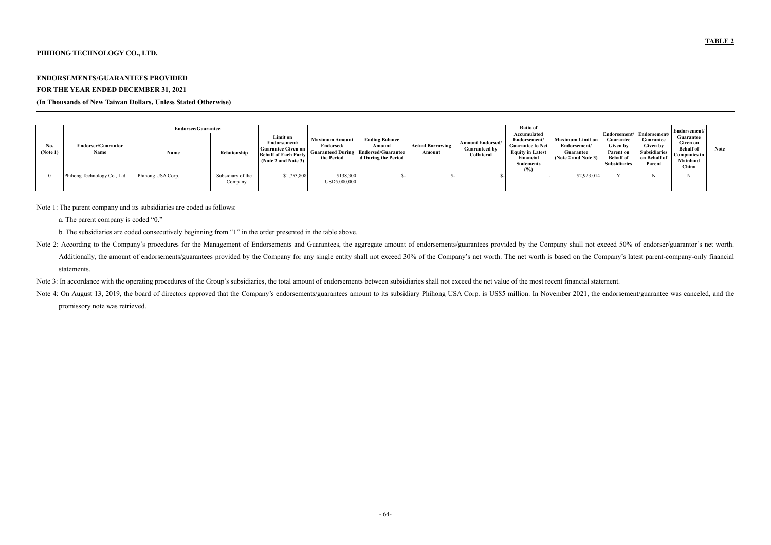### **PHIHONG TECHNOLOGY CO., LTD.**

#### **ENDORSEMENTS/GUARANTEES PROVIDED**

#### **FOR THE YEAR ENDED DECEMBER 31, 2021**

### **(In Thousands of New Taiwan Dollars, Unless Stated Otherwise)**

|                 |                                   |                   | <b>Endorsee/Guarantee</b>    |                                                                                                             |                                                  |                                                                                                       |                                   | Ratio of                                                      |                                                                                                                                     |                                                                             |                                                                                      | Endorsement/                                                                                                 |                                                                                |      |
|-----------------|-----------------------------------|-------------------|------------------------------|-------------------------------------------------------------------------------------------------------------|--------------------------------------------------|-------------------------------------------------------------------------------------------------------|-----------------------------------|---------------------------------------------------------------|-------------------------------------------------------------------------------------------------------------------------------------|-----------------------------------------------------------------------------|--------------------------------------------------------------------------------------|--------------------------------------------------------------------------------------------------------------|--------------------------------------------------------------------------------|------|
| No.<br>(Note 1) | <b>Endorser/Guarantor</b><br>Name | Name              | Relationship                 | Limit on<br>Endorsement/<br><b>Guarantee Given on</b><br><b>Behalf of Each Party</b><br>(Note 2 and Note 3) | <b>Maximum Amount</b><br>Endorsed/<br>the Period | <b>Ending Balance</b><br>Amount<br><b>Guaranteed During Endorsed/Guarantee</b><br>d During the Period | <b>Actual Borrowing</b><br>Amount | <b>Amount Endorsed/</b><br><b>Guaranteed by</b><br>Collateral | Accumulated<br>Endorsement/<br><b>Guarantee to Net</b><br><b>Equity in Latest</b><br>Financial<br><b>Statements</b><br>$(0/\gamma)$ | <b>Maximum Limit on</b><br>Endorsement/<br>Guarantee<br>(Note 2 and Note 3) | Guarantee<br><b>Given by</b><br>Parent on<br><b>Behalf</b> of<br><b>Subsidiaries</b> | Endorsement/   Endorsement/<br>Guarantee<br><b>Given by</b><br><b>Subsidiaries</b><br>on Behalf of<br>Parent | Guarantee<br>Given on<br><b>Behalf</b> of<br>Companies in<br>Mainland<br>China | Note |
|                 | Phihong Technology Co., Ltd.      | Phihong USA Corp. | Subsidiary of the<br>Company | \$1,753,808                                                                                                 | \$138,300<br>USD5,000,000                        |                                                                                                       |                                   |                                                               |                                                                                                                                     | \$2,923,014                                                                 |                                                                                      |                                                                                                              |                                                                                |      |

Note 1: The parent company and its subsidiaries are coded as follows:

- a. The parent company is coded "0."
- b. The subsidiaries are coded consecutively beginning from "1" in the order presented in the table above.
- Note 2: According to the Company's procedures for the Management of Endorsements and Guarantees, the aggregate amount of endorsements/guarantees provided by the Company shall not exceed 50% of endorser/guarantor's net wort Additionally, the amount of endorsements/guarantees provided by the Company for any single entity shall not exceed 30% of the Company's net worth. The net worth is based on the Company's latest parent-company-only financia statements.
- Note 3: In accordance with the operating procedures of the Group's subsidiaries, the total amount of endorsements between subsidiaries shall not exceed the net value of the most recent financial statement.
- Note 4: On August 13, 2019, the board of directors approved that the Company's endorsements/guarantees amount to its subsidiary Phihong USA Corp. is US\$5 million. In November 2021, the endorsement/guarantee was canceled, a promissory note was retrieved.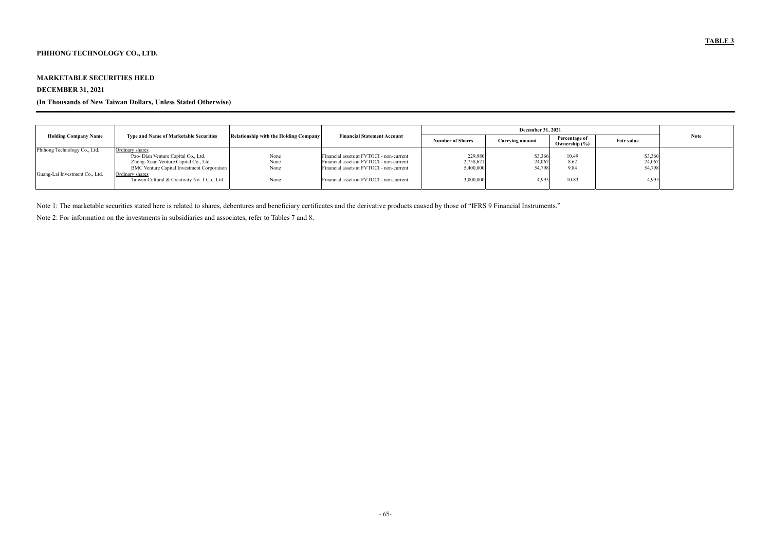# **PHIHONG TECHNOLOGY CO., LTD.**

### **MARKETABLE SECURITIES HELD**

# **DECEMBER 31, 2021**

# **(In Thousands of New Taiwan Dollars, Unless Stated Otherwise)**

| <b>Holding Company Name</b>    | <b>Type and Name of Marketable Securities</b>                   | Relationship with the Holding Company | <b>Financial Statement Account</b>       | <b>Number of Shares</b> | <b>Carrying amount</b> | Percentage of<br>Ownership (%) | <b>Fair value</b> | <b>Note</b> |
|--------------------------------|-----------------------------------------------------------------|---------------------------------------|------------------------------------------|-------------------------|------------------------|--------------------------------|-------------------|-------------|
| Phihong Technology Co., Ltd.   | Ordinary shares                                                 |                                       |                                          |                         |                        |                                |                   |             |
|                                | Pao- Dian Venture Capital Co., Ltd.                             | None                                  | Financial assets at FVTOCI - non-current | 229,980                 | \$3,366                | 10.49                          | \$3,366           |             |
|                                | Zhong-Xuan Venture Capital Co., Ltd.                            | None                                  | Financial assets at FVTOCI - non-current | 2,758,621               | 24,067                 | 8.62                           | 24,067            |             |
|                                | <b>BMC</b> Venture Capital Investment Corporation               | None                                  | Financial assets at FVTOCI - non-current | 5,400,000               | 54,798                 | 9.84                           | 54,798            |             |
| Guang-Lai Investment Co., Ltd. | Ordinary shares<br>Taiwan Cultural & Creativity No. 1 Co., Ltd. | None                                  | Financial assets at FVTOCI - non-current | 3,000,000               | 4,995                  | 10.83                          | 4,995             |             |

Note 1: The marketable securities stated here is related to shares, debentures and beneficiary certificates and the derivative products caused by those of "IFRS 9 Financial Instruments."

Note 2: For information on the investments in subsidiaries and associates, refer to Tables 7 and 8.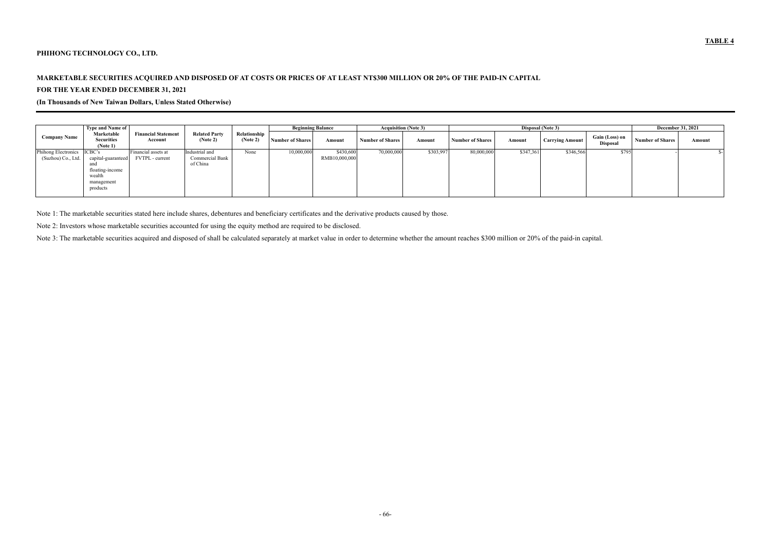### **PHIHONG TECHNOLOGY CO., LTD.**

# **MARKETABLE SECURITIES ACQUIRED AND DISPOSED OF AT COSTS OR PRICES OF AT LEAST NT\$300 MILLION OR 20% OF THE PAID-IN CAPITAL FOR THE YEAR ENDED DECEMBER 31, 2021**

**(In Thousands of New Taiwan Dollars, Unless Stated Otherwise)** 

|                                           | <b>Type and Name of</b>                                                                    |                                        |                                               |                          | <b>Beginning Balance</b> |                            | <b>Acquisition (Note 3)</b> |           |                         |           | Disposal (Note 3)      |                                   | <b>December 31, 2021</b> |        |
|-------------------------------------------|--------------------------------------------------------------------------------------------|----------------------------------------|-----------------------------------------------|--------------------------|--------------------------|----------------------------|-----------------------------|-----------|-------------------------|-----------|------------------------|-----------------------------------|--------------------------|--------|
| <b>Company Name</b>                       | Marketable<br><b>Securities</b><br>(Note 1)                                                | <b>Financial Statement</b><br>Account  | <b>Related Party</b><br>(Note 2)              | Relationship<br>(Note 2) | <b>Number of Shares</b>  | Amount                     | <b>Number of Shares</b>     | Amount    | <b>Number of Shares</b> | Amount    | <b>Carrying Amount</b> | Gain (Loss) on<br><b>Disposal</b> | <b>Number of Shares</b>  | Amount |
| Phihong Electronics<br>(Suzhou) Co., Ltd. | ICBC's<br>capital-guaranteed<br>and<br>floating-income<br>wealth<br>management<br>products | Financial assets at<br>FVTPL - current | Industrial and<br>Commercial Bank<br>of China | None                     | 10,000,000               | \$430,600<br>RMB10,000,000 | 70,000,000                  | \$303,997 | 80,000,000              | \$347,361 | \$346,566              | \$795                             |                          |        |

Note 1: The marketable securities stated here include shares, debentures and beneficiary certificates and the derivative products caused by those.

Note 2: Investors whose marketable securities accounted for using the equity method are required to be disclosed.

Note 3: The marketable securities acquired and disposed of shall be calculated separately at market value in order to determine whether the amount reaches \$300 million or 20% of the paid-in capital.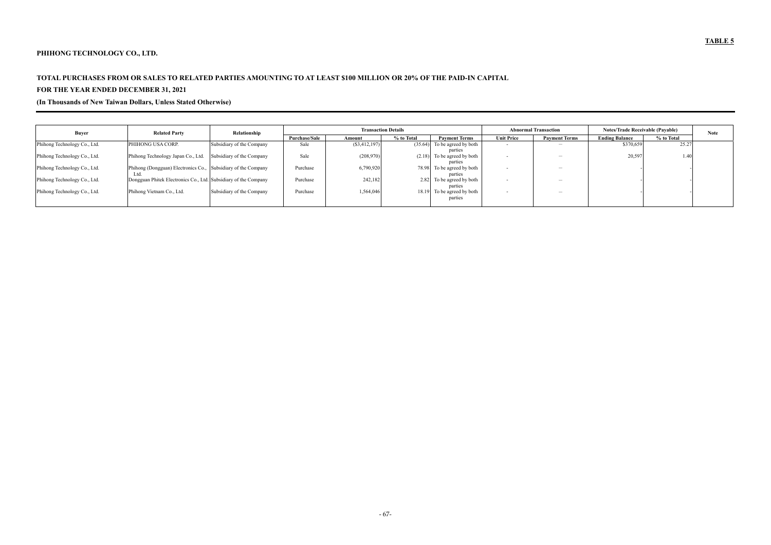# **PHIHONG TECHNOLOGY CO., LTD.**

# **TOTAL PURCHASES FROM OR SALES TO RELATED PARTIES AMOUNTING TO AT LEAST \$100 MILLION OR 20% OF THE PAID-IN CAPITAL FOR THE YEAR ENDED DECEMBER 31, 2021**

## **(In Thousands of New Taiwan Dollars, Unless Stated Otherwise)**

| <b>Buyer</b>                 | <b>Related Party</b>                                            | Relationship              |               |                 | <b>Transaction Details</b>         |                   | <b>Abnormal Transaction</b> | <b>Notes/Trade Receivable (Pavable)</b> | <b>Note</b> |  |
|------------------------------|-----------------------------------------------------------------|---------------------------|---------------|-----------------|------------------------------------|-------------------|-----------------------------|-----------------------------------------|-------------|--|
|                              |                                                                 |                           | Purchase/Sale | Amount          | % to Total<br><b>Payment Terms</b> | <b>Unit Price</b> | <b>Payment Terms</b>        | <b>Ending Balance</b>                   | % to Total  |  |
| Phihong Technology Co., Ltd. | PHIHONG USA CORP.                                               | Subsidiary of the Company | Sale          | $(\$3,412,197)$ | $(35.64)$ To be agreed by both     |                   | $\overline{\phantom{a}}$    | \$370,659                               | 25.27       |  |
|                              |                                                                 |                           |               |                 | parties                            |                   |                             |                                         |             |  |
| Phihong Technology Co., Ltd. | Phihong Technology Japan Co., Ltd.                              | Subsidiary of the Company | Sale          | (208,970)       | $(2.18)$ To be agreed by both      |                   | $\overline{\phantom{a}}$    | 20,597                                  | .40         |  |
|                              |                                                                 |                           |               |                 | parties                            |                   |                             |                                         |             |  |
| Phihong Technology Co., Ltd. | Phihong (Dongguan) Electronics Co., Subsidiary of the Company   |                           | Purchase      | 6,790,920       | 78.98 To be agreed by both         |                   | $\overline{\phantom{a}}$    |                                         |             |  |
|                              | Ltd                                                             |                           |               |                 | parties                            |                   |                             |                                         |             |  |
| Phihong Technology Co., Ltd. | Dongguan Phitek Electronics Co., Ltd. Subsidiary of the Company |                           | Purchase      | 242,182         | 2.82 To be agreed by both          |                   | $\overline{\phantom{a}}$    |                                         |             |  |
|                              |                                                                 |                           |               |                 | parties                            |                   |                             |                                         |             |  |
| Phihong Technology Co., Ltd. | Phihong Vietnam Co., Ltd.                                       | Subsidiary of the Company | Purchase      | 1,564,046       | 18.19 To be agreed by both         |                   | $\overline{\phantom{a}}$    |                                         |             |  |
|                              |                                                                 |                           |               |                 | parties                            |                   |                             |                                         |             |  |
|                              |                                                                 |                           |               |                 |                                    |                   |                             |                                         |             |  |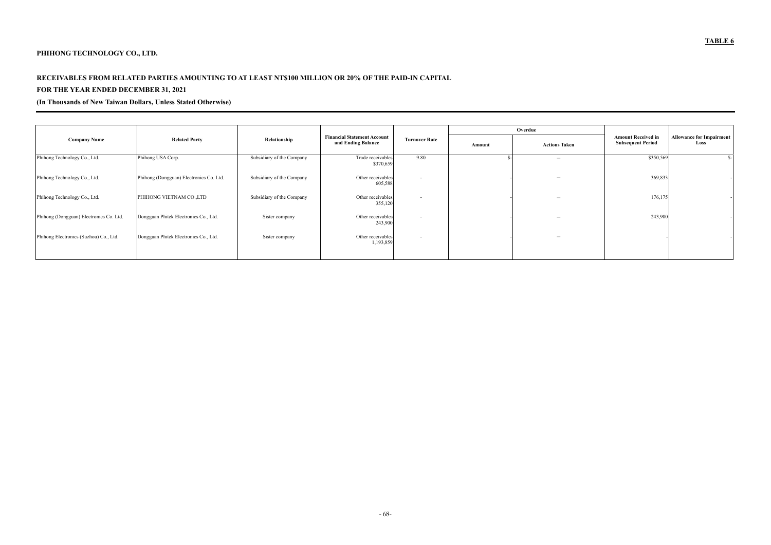# **PHIHONG TECHNOLOGY CO., LTD.**

# **RECEIVABLES FROM RELATED PARTIES AMOUNTING TO AT LEAST NT\$100 MILLION OR 20% OF THE PAID-IN CAPITAL**

# **FOR THE YEAR ENDED DECEMBER 31, 2021**

# **(In Thousands of New Taiwan Dollars, Unless Stated Otherwise)**

|                                         |                                         |                           |                                                          |                      |        | Overdue                  |                                                       |                                         |
|-----------------------------------------|-----------------------------------------|---------------------------|----------------------------------------------------------|----------------------|--------|--------------------------|-------------------------------------------------------|-----------------------------------------|
| <b>Company Name</b>                     | <b>Related Party</b>                    | Relationship              | <b>Financial Statement Account</b><br>and Ending Balance | <b>Turnover Rate</b> | Amount | <b>Actions Taken</b>     | <b>Amount Received in</b><br><b>Subsequent Period</b> | <b>Allowance for Impairment</b><br>Loss |
| Phihong Technology Co., Ltd.            | Phihong USA Corp.                       | Subsidiary of the Company | Trade receivables<br>\$370,659                           | 9.80                 |        | $\overline{\phantom{a}}$ | \$350,569                                             |                                         |
| Phihong Technology Co., Ltd.            | Phihong (Dongguan) Electronics Co. Ltd. | Subsidiary of the Company | Other receivables<br>605,588                             | $\sim$               |        | $\overline{\phantom{a}}$ | 369,833                                               |                                         |
| Phihong Technology Co., Ltd.            | PHIHONG VIETNAM CO., LTD                | Subsidiary of the Company | Other receivables<br>355,120                             | $\sim$               |        | $\overline{\phantom{a}}$ | 176,175                                               |                                         |
| Phihong (Dongguan) Electronics Co. Ltd. | Dongguan Phitek Electronics Co., Ltd.   | Sister company            | Other receivables<br>243,900                             | $\sim$               |        | $\overline{\phantom{a}}$ | 243,900                                               |                                         |
| Phihong Electronics (Suzhou) Co., Ltd.  | Dongguan Phitek Electronics Co., Ltd.   | Sister company            | Other receivables<br>1,193,859                           | $\sim$               |        | $\overline{\phantom{a}}$ |                                                       |                                         |
|                                         |                                         |                           |                                                          |                      |        |                          |                                                       |                                         |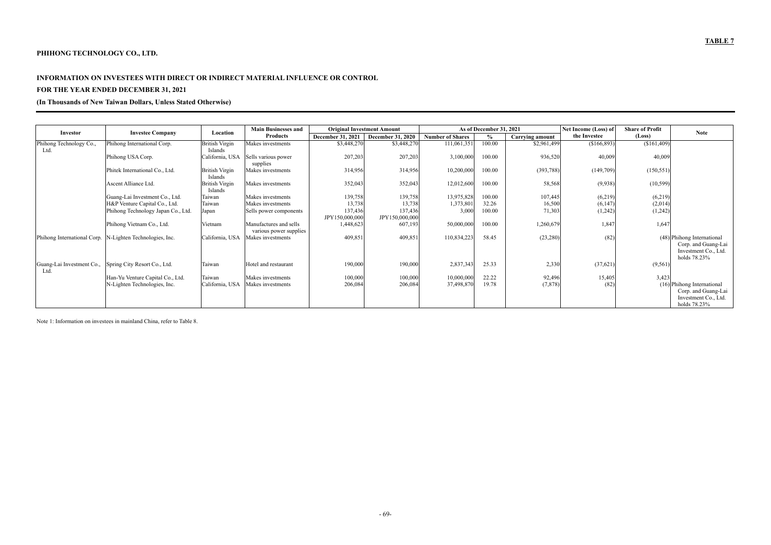# **PHIHONG TECHNOLOGY CO., LTD.**

#### **INFORMATION ON INVESTEES WITH DIRECT OR INDIRECT MATERIAL INFLUENCE OR CONTROL**

# **FOR THE YEAR ENDED DECEMBER 31, 2021**

## **(In Thousands of New Taiwan Dollars, Unless Stated Otherwise)**

|                                  |                                                          |                                  | <b>Main Businesses and</b>      |                   | <b>Original Investment Amount</b> | As of December 31, 2021 |        |                        | Net Income (Loss) of | <b>Share of Profit</b> |                                                             |
|----------------------------------|----------------------------------------------------------|----------------------------------|---------------------------------|-------------------|-----------------------------------|-------------------------|--------|------------------------|----------------------|------------------------|-------------------------------------------------------------|
| Investor                         | <b>Investee Company</b>                                  | Location                         | <b>Products</b>                 | December 31, 2021 | <b>December 31, 2020</b>          | <b>Number of Shares</b> |        | <b>Carrying amount</b> | the Investee         | (Loss)                 | <b>Note</b>                                                 |
| Phihong Technology Co.,          | Phihong International Corp.                              | <b>British Virgin</b>            | Makes investments               | \$3,448,270       | \$3,448,270                       | 111,061,351             | 100.00 | \$2,961,499            | $(\$166,893)$        | (\$161,409)            |                                                             |
| Ltd.                             |                                                          | Islands                          |                                 |                   |                                   |                         |        |                        |                      |                        |                                                             |
|                                  | Phihong USA Corp.                                        | California, USA                  | Sells various power<br>supplies | 207,203           | 207,203                           | 3,100,000               | 100.00 | 936,520                | 40,009               | 40,009                 |                                                             |
|                                  | Phitek International Co., Ltd.                           | <b>British Virgin</b>            | Makes investments               | 314,956           | 314,956                           | 10,200,000              | 00.00  | (393,788)              | (149,709)            | (150, 551)             |                                                             |
|                                  |                                                          | <b>Islands</b>                   |                                 |                   |                                   |                         |        |                        |                      |                        |                                                             |
|                                  | Ascent Alliance Ltd.                                     | <b>British Virgin</b><br>Islands | Makes investments               | 352,043           | 352,043                           | 12,012,600              | 100.00 | 58,568                 | (9,938)              | (10, 599)              |                                                             |
|                                  | Guang-Lai Investment Co., Ltd.                           | Taiwan                           | Makes investments               | 139,758           | 139,758                           | 13,975,828              | 100.00 | 107,445                | (6,219)              | (6,219)                |                                                             |
|                                  | H&P Venture Capital Co., Ltd.                            | Taiwan                           | Makes investments               | 13,738            | 13,738                            | 1,373,801               | 32.26  | 16,500                 | (6,147)              | (2,014)                |                                                             |
|                                  | Phihong Technology Japan Co., Ltd.                       | Japan                            | Sells power components          | 137,436           | 137,436                           | 3,000                   | 100.00 | 71,303                 | (1,242)              | (1,242)                |                                                             |
|                                  |                                                          |                                  |                                 | JPY150,000,000    | JPY150,000,000                    |                         |        |                        |                      |                        |                                                             |
|                                  | Phihong Vietnam Co., Ltd.                                | Vietnam                          | Manufactures and sells          | 1,448,623         | 607,193                           | 50,000,000              | 00.00  | 1,260,679              | 1,847                | 1,647                  |                                                             |
|                                  |                                                          |                                  | various power supplies          |                   |                                   |                         |        |                        |                      |                        |                                                             |
|                                  | Phihong International Corp. N-Lighten Technologies, Inc. | California, USA                  | Makes investments               | 409,851           | 409,851                           | 110,834,223             | 58.45  | (23, 280)              | (82)                 |                        | (48) Phihong International                                  |
|                                  |                                                          |                                  |                                 |                   |                                   |                         |        |                        |                      |                        | Corp. and Guang-Lai<br>Investment Co., Ltd.<br>holds 78.23% |
| Guang-Lai Investment Co.,<br>Ltd | Spring City Resort Co., Ltd.                             | Taiwan                           | Hotel and restaurant            | 190,000           | 190,000                           | 2,837,343               | 25.33  | 2,330                  | (37, 621)            | (9, 561)               |                                                             |
|                                  | Han-Yu Venture Capital Co., Ltd.                         | Taiwan                           | Makes investments               | 100,000           | 100,000                           | 10,000,000              | 22.22  | 92,496                 | 15,405               | 3,423                  |                                                             |
|                                  | N-Lighten Technologies, Inc.                             | California, USA                  | Makes investments               | 206,084           | 206,084                           | 37,498,870              | 19.78  | (7, 878)               | (82)                 |                        | (16) Phihong International                                  |
|                                  |                                                          |                                  |                                 |                   |                                   |                         |        |                        |                      |                        | Corp. and Guang-Lai                                         |
|                                  |                                                          |                                  |                                 |                   |                                   |                         |        |                        |                      |                        | Investment Co., Ltd.                                        |
|                                  |                                                          |                                  |                                 |                   |                                   |                         |        |                        |                      |                        | holds 78.23%                                                |

Note 1: Information on investees in mainland China, refer to Table 8.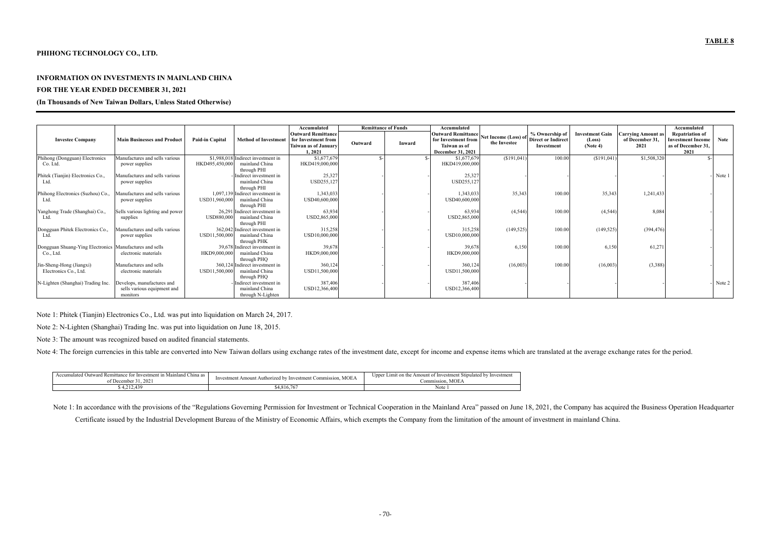### **PHIHONG TECHNOLOGY CO., LTD.**

#### **INFORMATION ON INVESTMENTS IN MAINLAND CHINA**

### **FOR THE YEAR ENDED DECEMBER 31, 2021**

#### **(In Thousands of New Taiwan Dollars, Unless Stated Otherwise)**

|                                                         |                                    |                        |                                    | Accumulated                    | <b>Remittance of Funds</b> |        | Accumulated                       |                      |                           |                        |                   | Accumulated                |        |
|---------------------------------------------------------|------------------------------------|------------------------|------------------------------------|--------------------------------|----------------------------|--------|-----------------------------------|----------------------|---------------------------|------------------------|-------------------|----------------------------|--------|
|                                                         |                                    |                        |                                    | <b>Outward Remittance</b>      |                            |        | <b>Outward Remittance</b>         | Net Income (Loss) of | % Ownership of            | <b>Investment Gain</b> | Carrving Amount a | <b>Repatriation of</b>     |        |
| <b>Investee Company</b>                                 | <b>Main Businesses and Product</b> | <b>Paid-in Capital</b> | <b>Method of Investment</b>        | for Investment from            | Outward                    | Inward | for Investment from               | the Investee         | <b>Direct or Indirect</b> | (Loss)                 | of December 31.   | <b>Investment Income</b>   | Note   |
|                                                         |                                    |                        |                                    | Taiwan as of January<br>1,2021 |                            |        | Taiwan as of<br>December 31, 2021 |                      | Investment                | (Note 4)               | 2021              | as of December 31,<br>2021 |        |
| Phihong (Dongguan) Electronics                          | Manufactures and sells various     |                        | \$1,988,018 Indirect investment in | \$1,677,679                    |                            |        | \$1,677,679                       | (\$191,041)          | 100.00                    | (\$191,041)            | \$1,508,320       | $\mathcal{S}_{-}$          |        |
| Co. Ltd.                                                | power supplies                     | HKD495,450,000         | mainland China                     | HKD419,000,000                 |                            |        | HKD419,000,000                    |                      |                           |                        |                   |                            |        |
|                                                         |                                    |                        | through PHI                        |                                |                            |        |                                   |                      |                           |                        |                   |                            |        |
| Phitek (Tianjin) Electronics Co.,                       | Manufactures and sells various     |                        | Indirect investment in             | 25,327                         |                            |        | 25,327                            |                      |                           |                        |                   |                            | Note 1 |
| Ltd.                                                    | power supplies                     |                        | mainland China                     | USD255,127                     |                            |        | USD255,127                        |                      |                           |                        |                   |                            |        |
|                                                         |                                    |                        | through PHI                        |                                |                            |        |                                   |                      |                           |                        |                   |                            |        |
| Phihong Electronics (Suzhou) Co.,                       | Manufactures and sells various     |                        | 1,097,139 Indirect investment in   | 1,343,033                      |                            |        | 1,343,033                         | 35,343               | 100.00                    | 35,343                 | 1,241,433         |                            |        |
| Ltd.                                                    | power supplies                     | USD31,960,000          | mainland China                     | USD40,600,000                  |                            |        | USD40,600,000                     |                      |                           |                        |                   |                            |        |
|                                                         |                                    |                        | through PHI                        |                                |                            |        |                                   |                      |                           |                        |                   |                            |        |
| Yanghong Trade (Shanghai) Co.,                          | Sells various lighting and power   |                        | 26,291 Indirect investment in      | 63,934                         |                            |        | 63,934                            | (4, 544)             | 100.00                    | (4, 544)               | 8,084             |                            |        |
| Ltd                                                     | supplies                           | <b>USD880,000</b>      | mainland China                     | USD2,865,000                   |                            |        | USD2,865,000                      |                      |                           |                        |                   |                            |        |
|                                                         |                                    |                        | through PHI                        |                                |                            |        |                                   |                      |                           |                        |                   |                            |        |
| Dongguan Phitek Electronics Co.,                        | Manufactures and sells various     |                        | 362,042 Indirect investment in     | 315,258                        |                            |        | 315,258                           | (149, 525)           | 100.00                    | (149, 525)             | (394, 476)        |                            |        |
| Ltd.                                                    | power supplies                     | USD11,500,000          | mainland China<br>through PHK      | USD10,000,000                  |                            |        | USD10,000,000                     |                      |                           |                        |                   |                            |        |
| Dongguan Shuang-Ying Electronics Manufactures and sells |                                    |                        | 39,678 Indirect investment in      | 39,678                         |                            |        | 39,678                            | 6,150                | 100.00                    | 6,150                  | 61,27             |                            |        |
| Co., Ltd.                                               | electronic materials               | HKD9,000,000           | mainland China                     | HKD9,000,000                   |                            |        | HKD9,000,000                      |                      |                           |                        |                   |                            |        |
|                                                         |                                    |                        | through PHQ                        |                                |                            |        |                                   |                      |                           |                        |                   |                            |        |
| Jin-Sheng-Hong (Jiangxi)                                | Manufactures and sells             |                        | 360,124 Indirect investment in     | 360,124                        |                            |        | 360,124                           | (16,003)             | 100.00                    | (16,003)               | (3,388)           |                            |        |
| Electronics Co., Ltd.                                   | electronic materials               | USD11,500,000          | mainland China                     | USD11,500,000                  |                            |        | USD11,500,000                     |                      |                           |                        |                   |                            |        |
|                                                         |                                    |                        | through PHQ                        |                                |                            |        |                                   |                      |                           |                        |                   |                            |        |
| N-Lighten (Shanghai) Trading Inc.                       | Develops, manufactures and         |                        | Indirect investment in             | 387,406                        |                            |        | 387,406                           |                      |                           |                        |                   |                            | Note 2 |
|                                                         | sells various equipment and        |                        | mainland China                     | USD12,366,400                  |                            |        | USD12,366,400                     |                      |                           |                        |                   |                            |        |
|                                                         | monitors                           |                        | through N-Lighten                  |                                |                            |        |                                   |                      |                           |                        |                   |                            |        |

Note 1: Phitek (Tianjin) Electronics Co., Ltd. was put into liquidation on March 24, 2017.

Note 2: N-Lighten (Shanghai) Trading Inc. was put into liquidation on June 18, 2015.

Note 3: The amount was recognized based on audited financial statements.

Note 4: The foreign currencies in this table are converted into New Taiwan dollars using exchange rates of the investment date, except for income and expense items which are translated at the average exchange rates for the

| . on<br>Accumulated Outward Remittance for Investment in 1<br>n Mainland China as<br>. 2021<br>of December | MOEA<br>vestment Amount Authorized by<br>t Commission.<br>√ Investment<br>1nve | Upper Limit on the Amount of Investment Stipulated by Investment<br><b>MOEA</b><br>Commission. |
|------------------------------------------------------------------------------------------------------------|--------------------------------------------------------------------------------|------------------------------------------------------------------------------------------------|
| 4,212,439                                                                                                  | \$4,816,767                                                                    | Note                                                                                           |

Note 1: In accordance with the provisions of the "Regulations Governing Permission for Investment or Technical Cooperation in the Mainland Area" passed on June 18, 2021, the Company has acquired the Business Operation Head

Certificate issued by the Industrial Development Bureau of the Ministry of Economic Affairs, which exempts the Company from the limitation of the amount of investment in mainland China.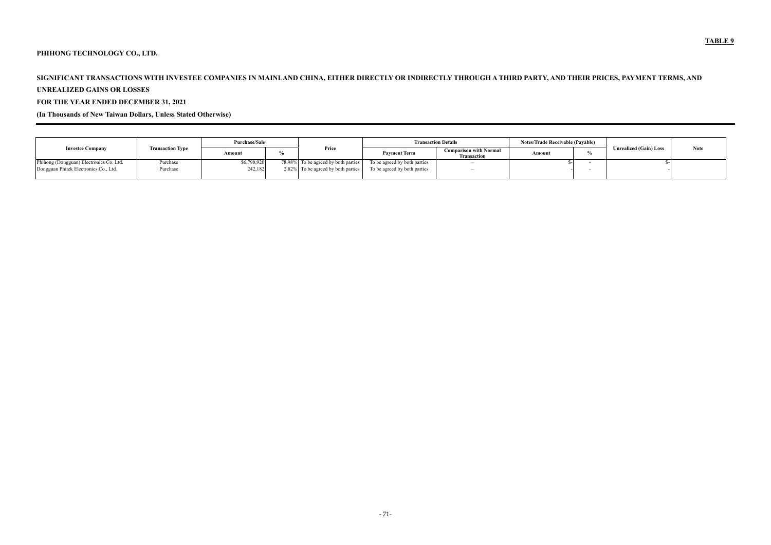# **PHIHONG TECHNOLOGY CO., LTD.**

# **SIGNIFICANT TRANSACTIONS WITH INVESTEE COMPANIES IN MAINLAND CHINA, EITHER DIRECTLY OR INDIRECTLY THROUGH A THIRD PARTY, AND THEIR PRICES, PAYMENT TERMS, AND**

#### **UNREALIZED GAINS OR LOSSES**

# **FOR THE YEAR ENDED DECEMBER 31, 2021**

# **(In Thousands of New Taiwan Dollars, Unless Stated Otherwise)**

|                                         | <b>Transaction Type</b> | Purchase/Sale |  |                                     | <b>Transaction Details</b>   | <b>Notes/Trade Receivable (Payable)</b>             |        |                               |             |
|-----------------------------------------|-------------------------|---------------|--|-------------------------------------|------------------------------|-----------------------------------------------------|--------|-------------------------------|-------------|
| <b>Investee Company</b>                 |                         | Amount        |  | Price                               | <b>Pavment Term</b>          | <b>Comparison with Normal</b><br><b>Transaction</b> | Amount | <b>Unrealized (Gain) Loss</b> | <b>Note</b> |
| Phihong (Dongguan) Electronics Co. Ltd. | Purchase                | \$6,790,920   |  | 78.98% To be agreed by both parties | To be agreed by both parties |                                                     |        |                               |             |
| Dongguan Phitek Electronics Co., Ltd.   | Purchase                | 242,182       |  | 2.82% To be agreed by both parties  | To be agreed by both parties | $\overline{\phantom{a}}$                            |        |                               |             |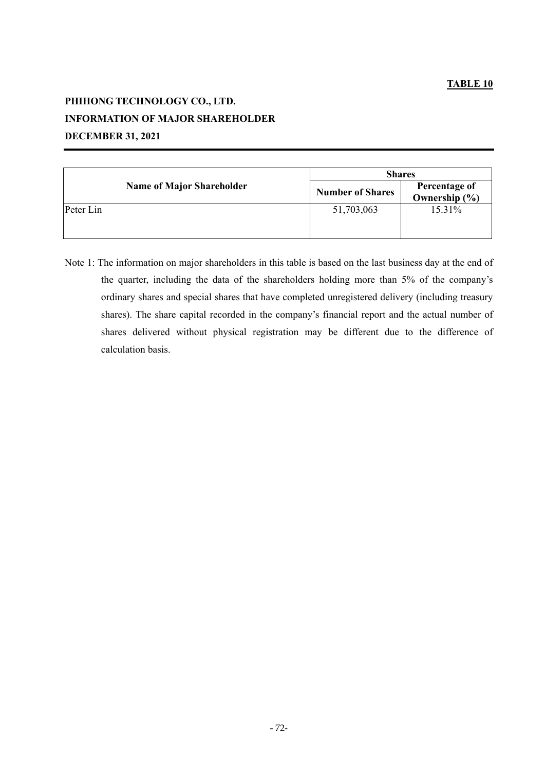# **PHIHONG TECHNOLOGY CO., LTD. INFORMATION OF MAJOR SHAREHOLDER DECEMBER 31, 2021**

|                                  | <b>Shares</b>           |                                    |  |  |  |  |
|----------------------------------|-------------------------|------------------------------------|--|--|--|--|
| <b>Name of Major Shareholder</b> | <b>Number of Shares</b> | Percentage of<br>Ownership $(\% )$ |  |  |  |  |
| Peter Lin                        | 51,703,063              | 15.31%                             |  |  |  |  |

Note 1: The information on major shareholders in this table is based on the last business day at the end of the quarter, including the data of the shareholders holding more than 5% of the company's ordinary shares and special shares that have completed unregistered delivery (including treasury shares). The share capital recorded in the company's financial report and the actual number of shares delivered without physical registration may be different due to the difference of calculation basis.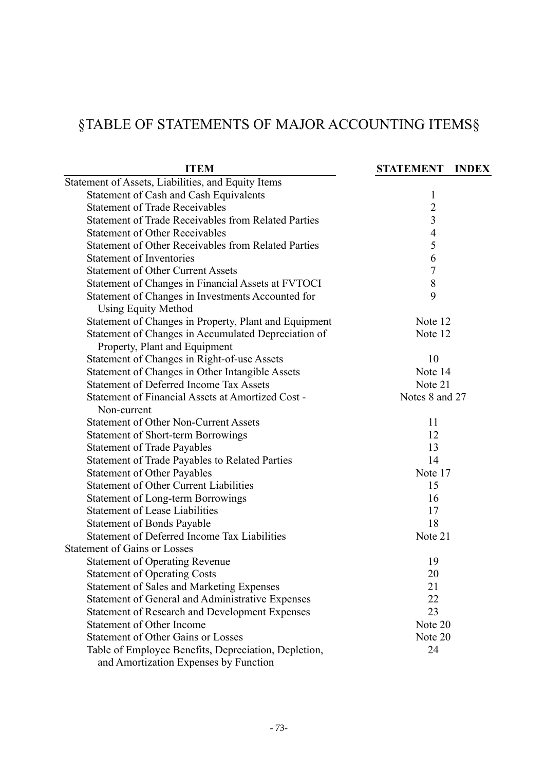# §TABLE OF STATEMENTS OF MAJOR ACCOUNTING ITEMS§

| <b>ITEM</b>                                                | <b>STATEMENT</b><br><b>INDEX</b> |
|------------------------------------------------------------|----------------------------------|
| Statement of Assets, Liabilities, and Equity Items         |                                  |
| Statement of Cash and Cash Equivalents                     | $\mathbf{l}$                     |
| <b>Statement of Trade Receivables</b>                      | $\overline{2}$                   |
| <b>Statement of Trade Receivables from Related Parties</b> | 3                                |
| <b>Statement of Other Receivables</b>                      | $\overline{4}$                   |
| Statement of Other Receivables from Related Parties        | 5                                |
| <b>Statement of Inventories</b>                            | 6                                |
| <b>Statement of Other Current Assets</b>                   | $\tau$                           |
| Statement of Changes in Financial Assets at FVTOCI         | $8\,$                            |
| Statement of Changes in Investments Accounted for          | 9                                |
| <b>Using Equity Method</b>                                 |                                  |
| Statement of Changes in Property, Plant and Equipment      | Note 12                          |
| Statement of Changes in Accumulated Depreciation of        | Note 12                          |
| Property, Plant and Equipment                              |                                  |
| Statement of Changes in Right-of-use Assets                | 10                               |
| Statement of Changes in Other Intangible Assets            | Note 14                          |
| <b>Statement of Deferred Income Tax Assets</b>             | Note 21                          |
| Statement of Financial Assets at Amortized Cost -          | Notes 8 and 27                   |
| Non-current                                                |                                  |
| <b>Statement of Other Non-Current Assets</b>               | 11                               |
| <b>Statement of Short-term Borrowings</b>                  | 12                               |
| <b>Statement of Trade Payables</b>                         | 13                               |
| <b>Statement of Trade Payables to Related Parties</b>      | 14                               |
| <b>Statement of Other Payables</b>                         | Note 17                          |
| <b>Statement of Other Current Liabilities</b>              | 15                               |
| <b>Statement of Long-term Borrowings</b>                   | 16                               |
| <b>Statement of Lease Liabilities</b>                      | 17                               |
| <b>Statement of Bonds Payable</b>                          | 18                               |
| Statement of Deferred Income Tax Liabilities               | Note 21                          |
| <b>Statement of Gains or Losses</b>                        |                                  |
| <b>Statement of Operating Revenue</b>                      | 19                               |
| <b>Statement of Operating Costs</b>                        | 20                               |
| <b>Statement of Sales and Marketing Expenses</b>           | 21                               |
| Statement of General and Administrative Expenses           | 22                               |
| <b>Statement of Research and Development Expenses</b>      | 23                               |
| Statement of Other Income                                  | Note 20                          |
| <b>Statement of Other Gains or Losses</b>                  | Note 20                          |
| Table of Employee Benefits, Depreciation, Depletion,       | 24                               |
| and Amortization Expenses by Function                      |                                  |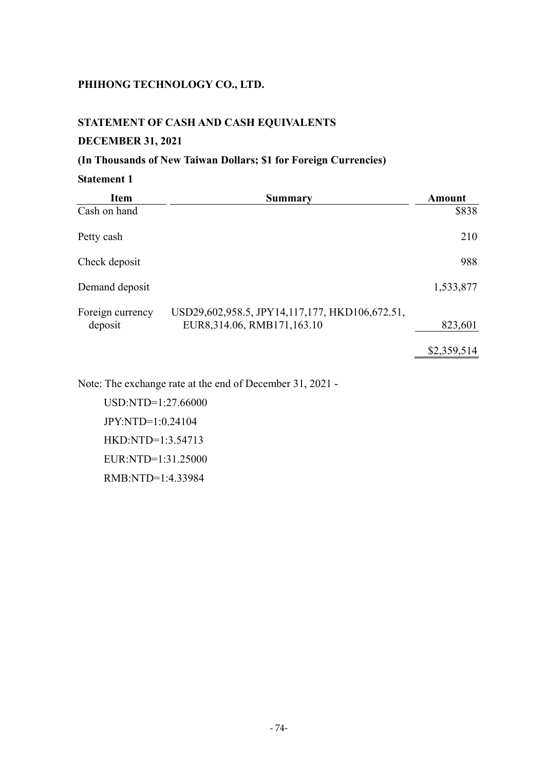## **STATEMENT OF CASH AND CASH EQUIVALENTS**

## **DECEMBER 31, 2021**

## **(In Thousands of New Taiwan Dollars; \$1 for Foreign Currencies)**

## **Statement 1**

| <b>Item</b>                 | Summary                                                                      | <b>Amount</b> |
|-----------------------------|------------------------------------------------------------------------------|---------------|
| Cash on hand                |                                                                              | \$838         |
| Petty cash                  |                                                                              | 210           |
| Check deposit               |                                                                              | 988           |
| Demand deposit              |                                                                              | 1,533,877     |
| Foreign currency<br>deposit | USD29,602,958.5, JPY14,117,177, HKD106,672.51,<br>EUR8,314.06, RMB171,163.10 | 823,601       |
|                             |                                                                              | \$2,359,514   |

Note: The exchange rate at the end of December 31, 2021 -

USD:NTD=1:27.66000 JPY:NTD=1:0.24104 HKD:NTD=1:3.54713 EUR:NTD=1:31.25000 RMB:NTD=1:4.33984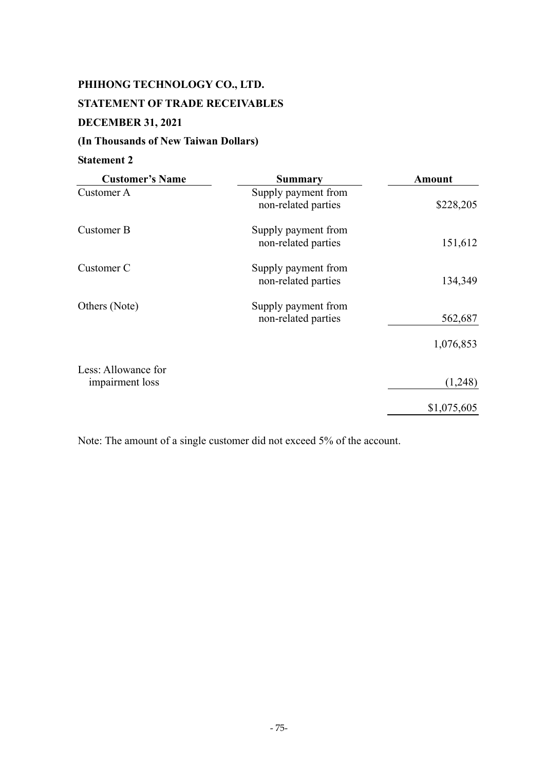# **PHIHONG TECHNOLOGY CO., LTD. STATEMENT OF TRADE RECEIVABLES DECEMBER 31, 2021**

## **(In Thousands of New Taiwan Dollars)**

## **Statement 2**

| <b>Customer's Name</b>                 | <b>Summary</b>                             | Amount      |
|----------------------------------------|--------------------------------------------|-------------|
| Customer A                             | Supply payment from<br>non-related parties | \$228,205   |
| Customer B                             | Supply payment from<br>non-related parties | 151,612     |
| Customer C                             | Supply payment from<br>non-related parties | 134,349     |
| Others (Note)                          | Supply payment from<br>non-related parties | 562,687     |
|                                        |                                            | 1,076,853   |
| Less: Allowance for<br>impairment loss |                                            | (1,248)     |
|                                        |                                            | \$1,075,605 |

Note: The amount of a single customer did not exceed 5% of the account.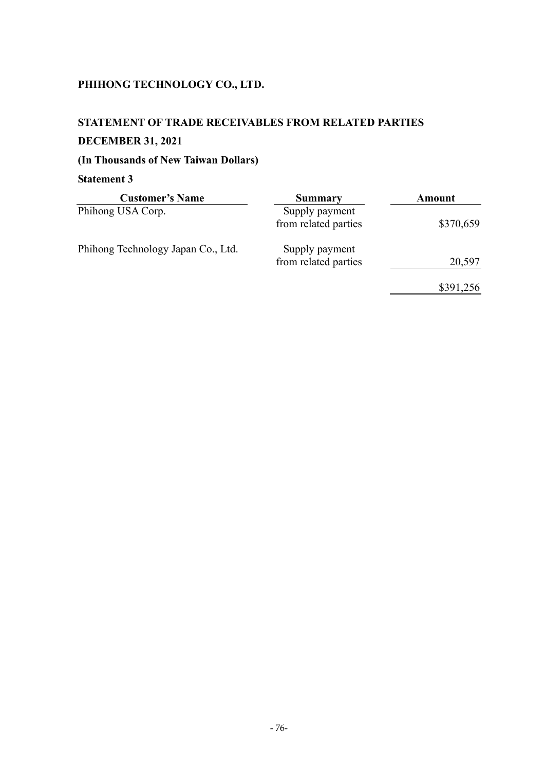## **STATEMENT OF TRADE RECEIVABLES FROM RELATED PARTIES**

## **DECEMBER 31, 2021**

## **(In Thousands of New Taiwan Dollars)**

| <b>Customer's Name</b>             | Summary                                | Amount    |
|------------------------------------|----------------------------------------|-----------|
| Phihong USA Corp.                  | Supply payment<br>from related parties | \$370,659 |
| Phihong Technology Japan Co., Ltd. | Supply payment<br>from related parties | 20,597    |
|                                    |                                        | \$391,256 |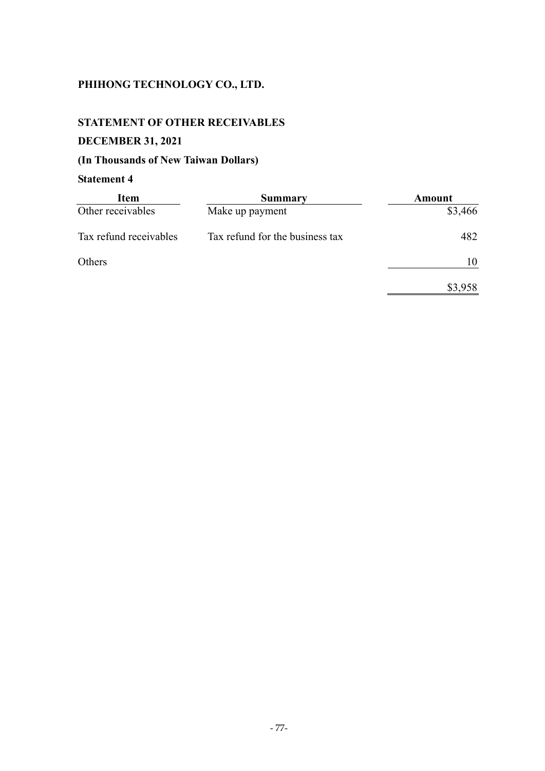## **STATEMENT OF OTHER RECEIVABLES**

## **DECEMBER 31, 2021**

## **(In Thousands of New Taiwan Dollars)**

| <b>Item</b>            | Summary                         | Amount  |
|------------------------|---------------------------------|---------|
| Other receivables      | Make up payment                 | \$3,466 |
| Tax refund receivables | Tax refund for the business tax | 482     |
| Others                 |                                 | 10      |
|                        |                                 | \$3,958 |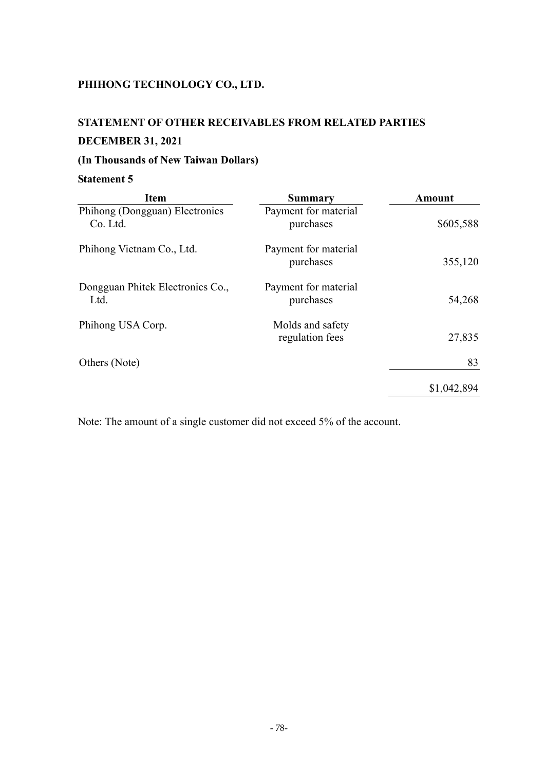## **STATEMENT OF OTHER RECEIVABLES FROM RELATED PARTIES**

## **DECEMBER 31, 2021**

## **(In Thousands of New Taiwan Dollars)**

## **Statement 5**

| <b>Item</b>                                | Summary                             | <b>Amount</b> |
|--------------------------------------------|-------------------------------------|---------------|
| Phihong (Dongguan) Electronics<br>Co. Ltd. | Payment for material<br>purchases   | \$605,588     |
| Phihong Vietnam Co., Ltd.                  | Payment for material<br>purchases   | 355,120       |
| Dongguan Phitek Electronics Co.,<br>Ltd.   | Payment for material<br>purchases   | 54,268        |
| Phihong USA Corp.                          | Molds and safety<br>regulation fees | 27,835        |
| Others (Note)                              |                                     | 83            |
|                                            |                                     | \$1,042,894   |

Note: The amount of a single customer did not exceed 5% of the account.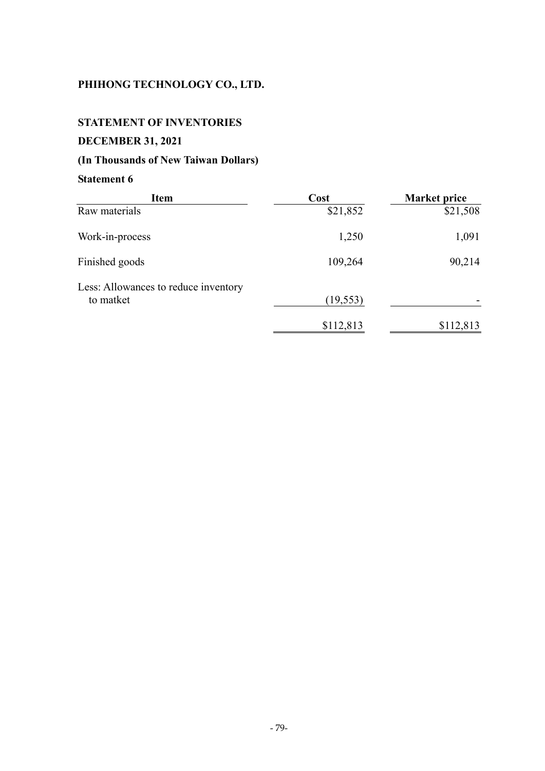## **STATEMENT OF INVENTORIES**

## **DECEMBER 31, 2021**

## **(In Thousands of New Taiwan Dollars)**

| <b>Item</b>                                       | Cost      | <b>Market price</b> |
|---------------------------------------------------|-----------|---------------------|
| Raw materials                                     | \$21,852  | \$21,508            |
| Work-in-process                                   | 1,250     | 1,091               |
| Finished goods                                    | 109,264   | 90,214              |
| Less: Allowances to reduce inventory<br>to matket | (19, 553) |                     |
|                                                   | \$112,813 | \$112,813           |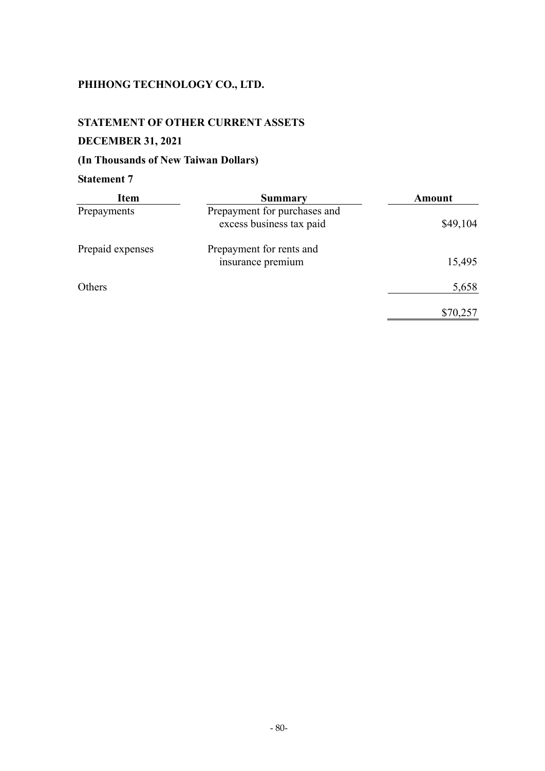#### **STATEMENT OF OTHER CURRENT ASSETS**

## **DECEMBER 31, 2021**

## **(In Thousands of New Taiwan Dollars)**

| <b>Item</b>      | <b>Summary</b>                                           | Amount   |
|------------------|----------------------------------------------------------|----------|
| Prepayments      | Prepayment for purchases and<br>excess business tax paid | \$49,104 |
| Prepaid expenses | Prepayment for rents and<br>insurance premium            | 15,495   |
| Others           |                                                          | 5,658    |
|                  |                                                          | \$70,257 |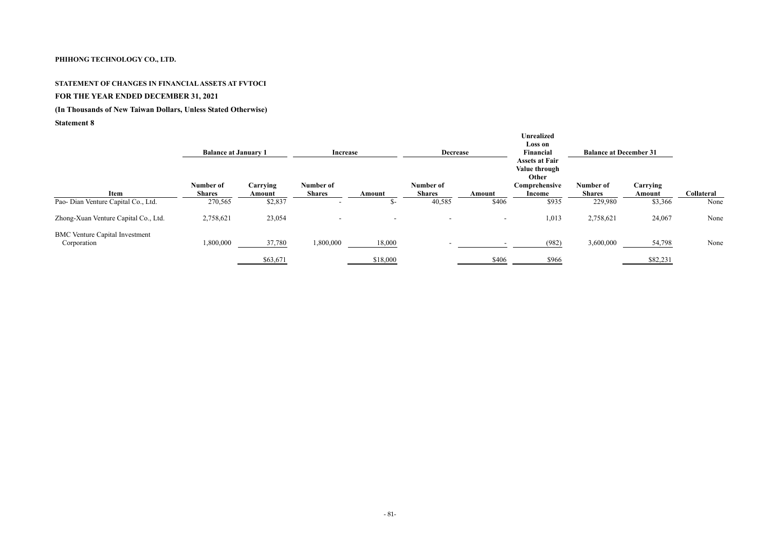## **STATEMENT OF CHANGES IN FINANCIAL ASSETS AT FVTOCI FOR THE YEAR ENDED DECEMBER 31, 2021**

## **(In Thousands of New Taiwan Dollars, Unless Stated Otherwise)**

|                                                      |                            | <b>Increase</b><br><b>Balance at January 1</b><br><b>Decrease</b> |                            |          |                            |        |                                                                            | <b>Balance at December 31</b> |                    |                   |
|------------------------------------------------------|----------------------------|-------------------------------------------------------------------|----------------------------|----------|----------------------------|--------|----------------------------------------------------------------------------|-------------------------------|--------------------|-------------------|
| Item                                                 | Number of<br><b>Shares</b> | Carrying<br>Amount                                                | Number of<br><b>Shares</b> | Amount   | Number of<br><b>Shares</b> | Amount | <b>Assets at Fair</b><br>Value through<br>Other<br>Comprehensive<br>Income | Number of<br><b>Shares</b>    | Carrying<br>Amount | <b>Collateral</b> |
| Pao- Dian Venture Capital Co., Ltd.                  | 270,565                    | \$2,837                                                           |                            | . ১-     | 40,585                     | \$406  | \$935                                                                      | 229,980                       | \$3,366            | None              |
| Zhong-Xuan Venture Capital Co., Ltd.                 | 2,758,621                  | 23,054                                                            |                            |          |                            |        | 1,013                                                                      | 2,758,621                     | 24,067             | None              |
| <b>BMC Venture Capital Investment</b><br>Corporation | 1,800,000                  | 37,780                                                            | 1,800,000                  | 18,000   |                            |        | (982)                                                                      | 3,600,000                     | 54,798             | None              |
|                                                      |                            | \$63,671                                                          |                            | \$18,000 |                            | \$406  | \$966                                                                      |                               | \$82,231           |                   |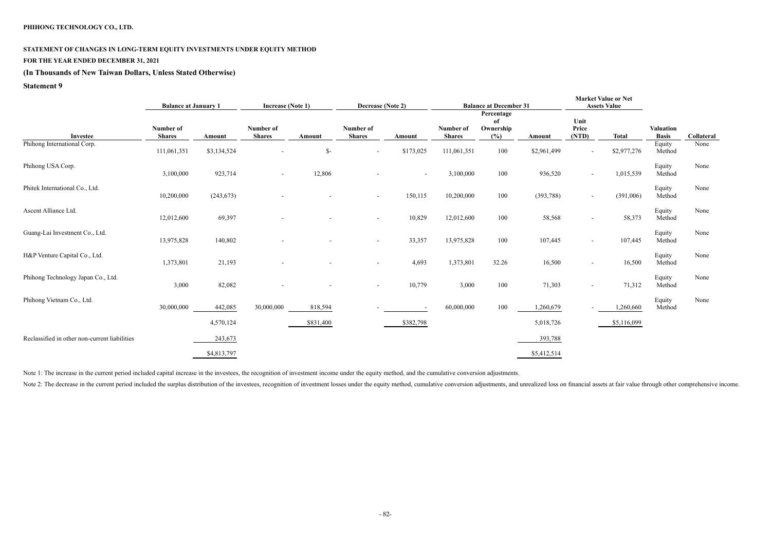#### **STATEMENT OF CHANGES IN LONG-TERM EQUITY INVESTMENTS UNDER EQUITY METHOD**

## **FOR THE YEAR ENDED DECEMBER 31, 2021**

#### **(In Thousands of New Taiwan Dollars, Unless Stated Otherwise)**

#### **Statement 9**

# **Market Value or Net**

|                                               |                            | <b>Increase (Note 1)</b><br><b>Balance at January 1</b> |                            | Decrease (Note 2)<br><b>Balance at December 31</b><br><b>Assets Value</b> |                            |                          |                            |                                      |             | <b>MALINU VAIUU VL TUU</b> |              |                                  |            |
|-----------------------------------------------|----------------------------|---------------------------------------------------------|----------------------------|---------------------------------------------------------------------------|----------------------------|--------------------------|----------------------------|--------------------------------------|-------------|----------------------------|--------------|----------------------------------|------------|
| Investee                                      | Number of<br><b>Shares</b> | Amount                                                  | Number of<br><b>Shares</b> | Amount                                                                    | Number of<br><b>Shares</b> | Amount                   | Number of<br><b>Shares</b> | Percentage<br>of<br>Ownership<br>(%) | Amount      | Unit<br>Price<br>(NTD)     | <b>Total</b> | <b>Valuation</b><br><b>Basis</b> | Collateral |
| Phihong International Corp.                   | 111,061,351                | \$3,134,524                                             |                            | $\mathcal{S}$ -                                                           |                            | \$173,025                | 111,061,351                | 100                                  | \$2,961,499 |                            | \$2,977,276  | Equity<br>Method                 | None       |
| Phihong USA Corp.                             | 3,100,000                  | 923,714                                                 | $\sim$                     | 12,806                                                                    |                            | $\overline{\phantom{a}}$ | 3,100,000                  | 100                                  | 936,520     | $\sim$                     | 1,015,539    | Equity<br>Method                 | None       |
| Phitek International Co., Ltd.                | 10,200,000                 | (243, 673)                                              |                            |                                                                           | $\sim$                     | 150,115                  | 10,200,000                 | 100                                  | (393, 788)  | $\sim$                     | (391,006)    | Equity<br>Method                 | None       |
| Ascent Alliance Ltd.                          | 12,012,600                 | 69,397                                                  |                            |                                                                           |                            | 10,829                   | 12,012,600                 | 100                                  | 58,568      |                            | 58,373       | Equity<br>Method                 | None       |
| Guang-Lai Investment Co., Ltd.                | 13,975,828                 | 140,802                                                 |                            | $\blacksquare$                                                            | $\sim$                     | 33,357                   | 13,975,828                 | 100                                  | 107,445     | $\sim$                     | 107,445      | Equity<br>Method                 | None       |
| H&P Venture Capital Co., Ltd.                 | 1,373,801                  | 21,193                                                  |                            |                                                                           |                            | 4,693                    | 1,373,801                  | 32.26                                | 16,500      |                            | 16,500       | Equity<br>Method                 | None       |
| Phihong Technology Japan Co., Ltd.            | 3,000                      | 82,082                                                  |                            |                                                                           | $\sim$                     | 10,779                   | 3,000                      | 100                                  | 71,303      | $\sim$                     | 71,312       | Equity<br>Method                 | None       |
| Phihong Vietnam Co., Ltd.                     | 30,000,000                 | 442,085                                                 | 30,000,000                 | 818,594                                                                   |                            | $\overline{\phantom{a}}$ | 60,000,000                 | 100                                  | 1,260,679   |                            | 1,260,660    | Equity<br>Method                 | None       |
|                                               |                            | 4,570,124                                               |                            | \$831,400                                                                 |                            | \$382,798                |                            |                                      | 5,018,726   |                            | \$5,116,099  |                                  |            |
| Reclassified in other non-current liabilities |                            | 243,673                                                 |                            |                                                                           |                            |                          |                            |                                      | 393,788     |                            |              |                                  |            |
|                                               |                            | \$4,813,797                                             |                            |                                                                           |                            |                          |                            |                                      | \$5,412,514 |                            |              |                                  |            |

Note 1: The increase in the current period included capital increase in the investees, the recognition of investment income under the equity method, and the cumulative conversion adjustments.

Note 2: The decrease in the current period included the surplus distribution of the investees, recognition of investment losses under the equity method, cumulative conversion adjustments, and unrealized loss on financial a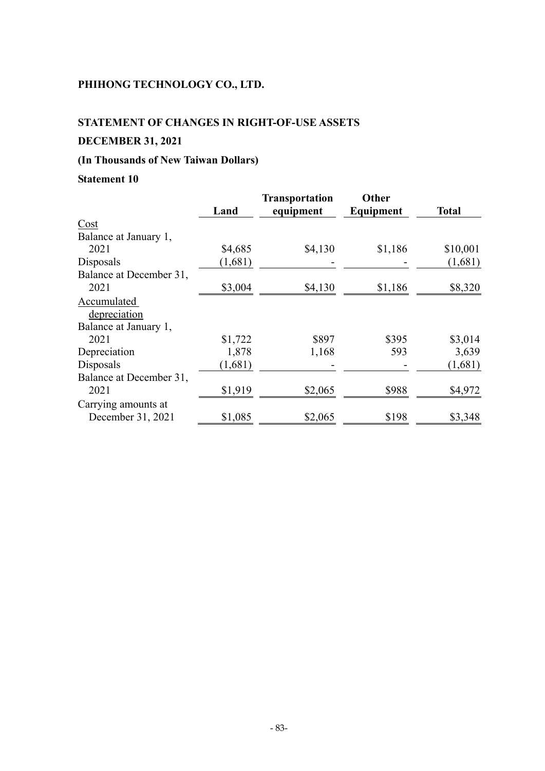### **STATEMENT OF CHANGES IN RIGHT-OF-USE ASSETS**

## **DECEMBER 31, 2021**

## **(In Thousands of New Taiwan Dollars)**

|                         |         | <b>Transportation</b> | Other     |              |
|-------------------------|---------|-----------------------|-----------|--------------|
|                         | Land    | equipment             | Equipment | <b>Total</b> |
| Cost                    |         |                       |           |              |
| Balance at January 1,   |         |                       |           |              |
| 2021                    | \$4,685 | \$4,130               | \$1,186   | \$10,001     |
| Disposals               | (1,681) |                       |           | (1,681)      |
| Balance at December 31, |         |                       |           |              |
| 2021                    | \$3,004 | \$4,130               | \$1,186   | \$8,320      |
| Accumulated             |         |                       |           |              |
| depreciation            |         |                       |           |              |
| Balance at January 1,   |         |                       |           |              |
| 2021                    | \$1,722 | \$897                 | \$395     | \$3,014      |
| Depreciation            | 1,878   | 1,168                 | 593       | 3,639        |
| Disposals               | (1,681) |                       |           | (1,681)      |
| Balance at December 31, |         |                       |           |              |
| 2021                    | \$1,919 | \$2,065               | \$988     | \$4,972      |
| Carrying amounts at     |         |                       |           |              |
| December 31, 2021       | \$1,085 | \$2,065               | \$198     | \$3,348      |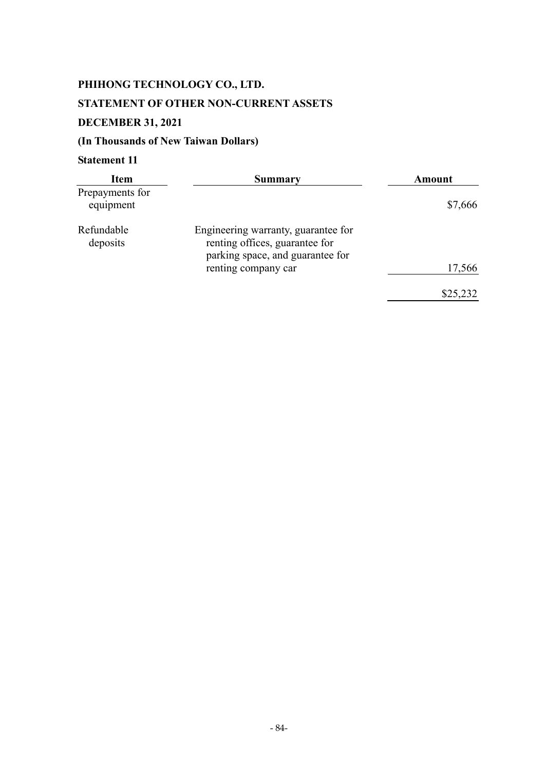# **PHIHONG TECHNOLOGY CO., LTD. STATEMENT OF OTHER NON-CURRENT ASSETS DECEMBER 31, 2021**

## **(In Thousands of New Taiwan Dollars)**

| <b>Item</b>                  | Summary                                                                                                   | Amount   |
|------------------------------|-----------------------------------------------------------------------------------------------------------|----------|
| Prepayments for<br>equipment |                                                                                                           | \$7,666  |
| Refundable<br>deposits       | Engineering warranty, guarantee for<br>renting offices, guarantee for<br>parking space, and guarantee for |          |
|                              | renting company car                                                                                       | 17,566   |
|                              |                                                                                                           | \$25,232 |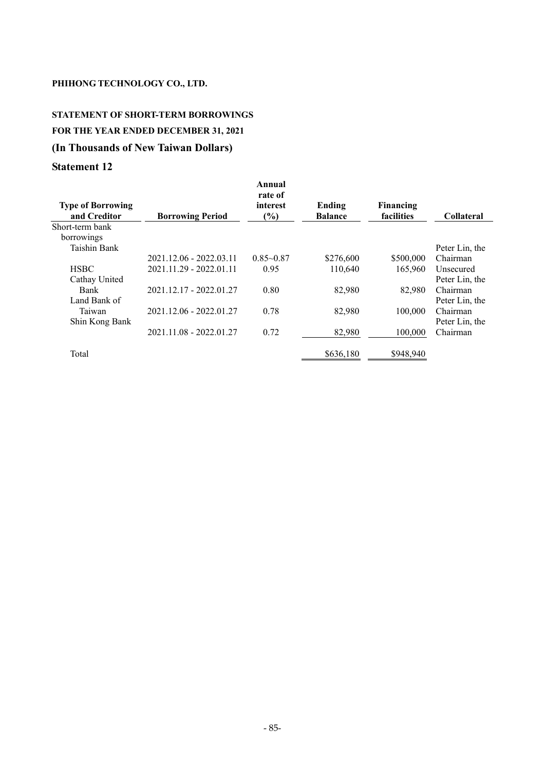## **STATEMENT OF SHORT-TERM BORROWINGS FOR THE YEAR ENDED DECEMBER 31, 2021 (In Thousands of New Taiwan Dollars)**

| <b>Type of Borrowing</b><br>and Creditor | <b>Borrowing Period</b> | Annual<br>rate of<br>interest<br>$\frac{6}{6}$ | Ending<br><b>Balance</b> | <b>Financing</b><br>facilities | <b>Collateral</b> |
|------------------------------------------|-------------------------|------------------------------------------------|--------------------------|--------------------------------|-------------------|
| Short-term bank                          |                         |                                                |                          |                                |                   |
| borrowings                               |                         |                                                |                          |                                |                   |
| <b>Taishin Bank</b>                      |                         |                                                |                          |                                | Peter Lin, the    |
|                                          | 2021.12.06 - 2022.03.11 | $0.85 - 0.87$                                  | \$276,600                | \$500,000                      | Chairman          |
| <b>HSBC</b>                              | 2021.11.29 - 2022.01.11 | 0.95                                           | 110,640                  | 165.960                        | Unsecured         |
| Cathay United                            |                         |                                                |                          |                                | Peter Lin, the    |
| <b>Bank</b>                              | 2021.12.17 - 2022.01.27 | 0.80                                           | 82,980                   | 82,980                         | Chairman          |
| Land Bank of                             |                         |                                                |                          |                                | Peter Lin, the    |
| Taiwan                                   | 2021.12.06 - 2022.01.27 | 0.78                                           | 82,980                   | 100,000                        | Chairman          |
| Shin Kong Bank                           |                         |                                                |                          |                                | Peter Lin, the    |
|                                          | 2021.11.08 - 2022.01.27 | 0.72                                           | 82,980                   | 100.000                        | Chairman          |
|                                          |                         |                                                |                          |                                |                   |
| Total                                    |                         |                                                | \$636,180                | \$948,940                      |                   |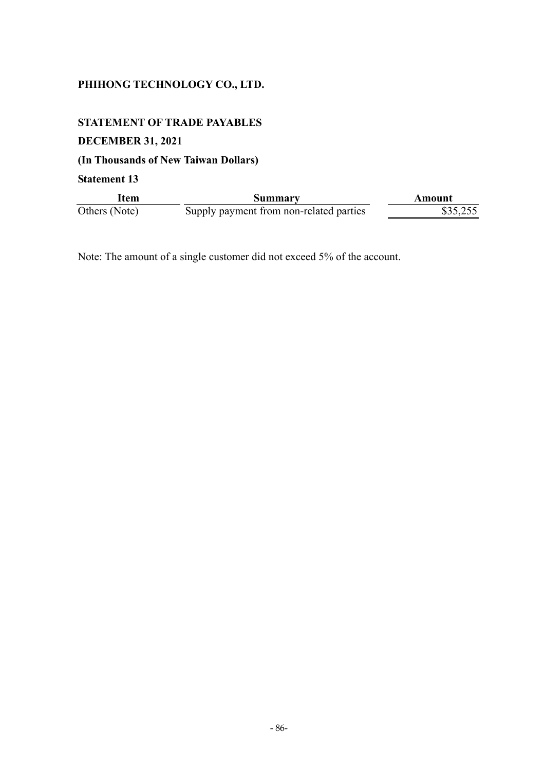## **STATEMENT OF TRADE PAYABLES**

## **DECEMBER 31, 2021**

## **(In Thousands of New Taiwan Dollars)**

**Statement 13** 

| Item          | Summarv                                 | Amount   |
|---------------|-----------------------------------------|----------|
| Others (Note) | Supply payment from non-related parties | \$35,255 |

Note: The amount of a single customer did not exceed 5% of the account.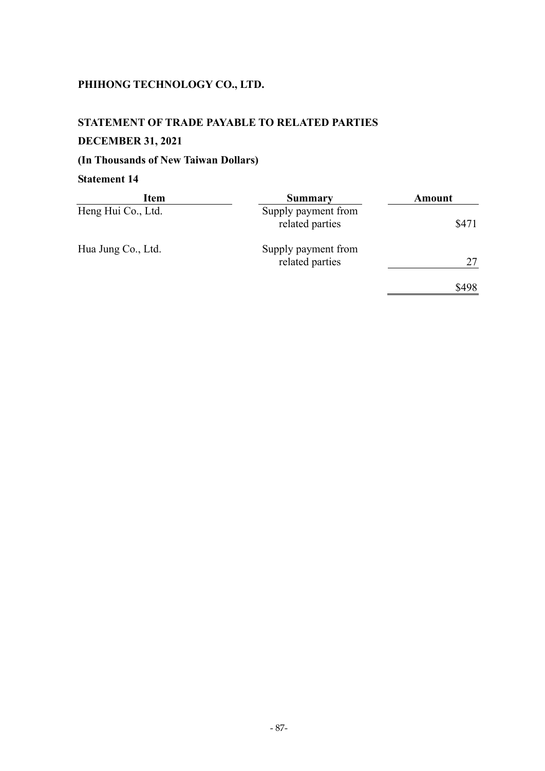#### **STATEMENT OF TRADE PAYABLE TO RELATED PARTIES**

## **DECEMBER 31, 2021**

## **(In Thousands of New Taiwan Dollars)**

| Item               | Summary                                | Amount |
|--------------------|----------------------------------------|--------|
| Heng Hui Co., Ltd. | Supply payment from<br>related parties | \$471  |
| Hua Jung Co., Ltd. | Supply payment from<br>related parties | 27     |
|                    |                                        | \$498  |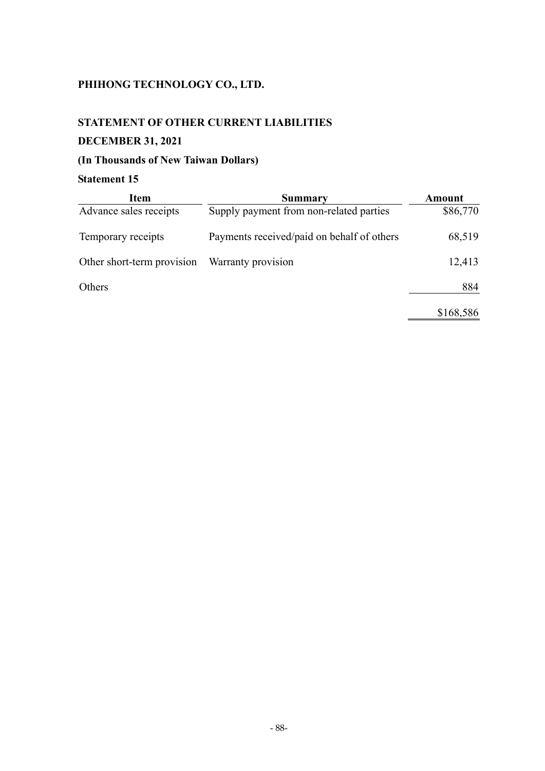## **STATEMENT OF OTHER CURRENT LIABILITIES**

## **DECEMBER 31, 2021**

## **(In Thousands of New Taiwan Dollars)**

| <b>Item</b>                | Summary                                    | Amount    |
|----------------------------|--------------------------------------------|-----------|
| Advance sales receipts     | Supply payment from non-related parties    | \$86,770  |
| Temporary receipts         | Payments received/paid on behalf of others | 68,519    |
| Other short-term provision | Warranty provision                         | 12,413    |
| Others                     |                                            | 884       |
|                            |                                            | \$168,586 |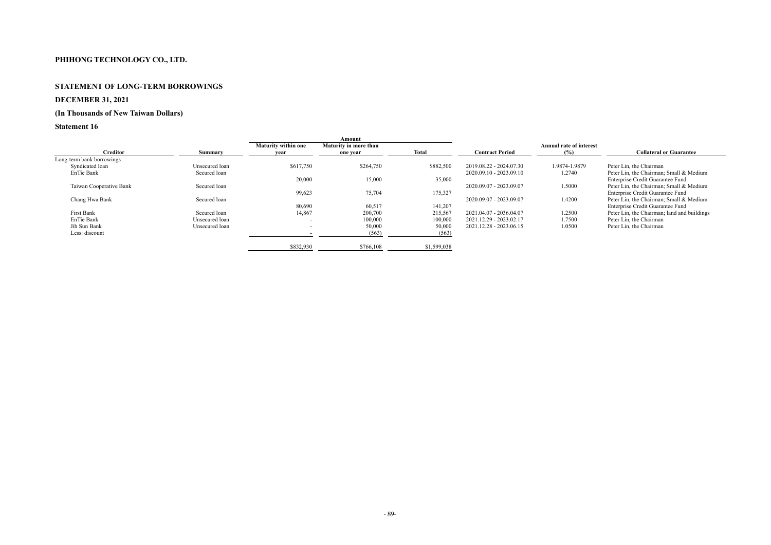#### **STATEMENT OF LONG-TERM BORROWINGS**

## **DECEMBER 31, 2021**

# **(In Thousands of New Taiwan Dollars)**

|                                                                                                                               | Amount                     |              |                         |                                |                                             |
|-------------------------------------------------------------------------------------------------------------------------------|----------------------------|--------------|-------------------------|--------------------------------|---------------------------------------------|
|                                                                                                                               | Maturity in more than      |              |                         | <b>Annual rate of interest</b> |                                             |
| vear                                                                                                                          | one year                   | <b>Total</b> | <b>Contract Period</b>  | $(\%)$                         | <b>Collateral or Guarantee</b>              |
|                                                                                                                               |                            |              |                         |                                |                                             |
| \$617,750                                                                                                                     | \$264,750                  | \$882,500    | 2019.08.22 - 2024.07.30 | 1.9874-1.9879                  | Peter Lin, the Chairman                     |
|                                                                                                                               |                            |              | 2020.09.10 - 2023.09.10 | 1.2740                         | Peter Lin, the Chairman; Small & Medium     |
| 20,000                                                                                                                        | 15,000                     | 35,000       |                         |                                | Enterprise Credit Guarantee Fund            |
|                                                                                                                               |                            |              | 2020.09.07 - 2023.09.07 | 1.5000                         | Peter Lin, the Chairman; Small & Medium     |
| 99,623                                                                                                                        | 75,704                     | 175,327      |                         |                                | Enterprise Credit Guarantee Fund            |
|                                                                                                                               |                            |              | 2020.09.07 - 2023.09.07 | 1.4200                         | Peter Lin, the Chairman; Small & Medium     |
| 80,690                                                                                                                        | 60,517                     | 141,207      |                         |                                | Enterprise Credit Guarantee Fund            |
| 14,867                                                                                                                        | 200,700                    | 215,567      | 2021.04.07 - 2036.04.07 | 1.2500                         | Peter Lin, the Chairman; land and buildings |
| $\overline{\phantom{a}}$                                                                                                      | 100,000                    | 100,000      | 2021.12.29 - 2023.02.17 | 1.7500                         | Peter Lin, the Chairman                     |
| $\overline{\phantom{a}}$                                                                                                      | 50,000                     | 50,000       | 2021.12.28 - 2023.06.15 | 1.0500                         | Peter Lin, the Chairman                     |
|                                                                                                                               | (563)                      | (563)        |                         |                                |                                             |
| \$832,930                                                                                                                     | \$766,108                  | \$1,599,038  |                         |                                |                                             |
| Summary<br>Unsecured loan<br>Secured loan<br>Secured loan<br>Secured loan<br>Secured loan<br>Unsecured loan<br>Unsecured loan | <b>Maturity within one</b> |              |                         |                                |                                             |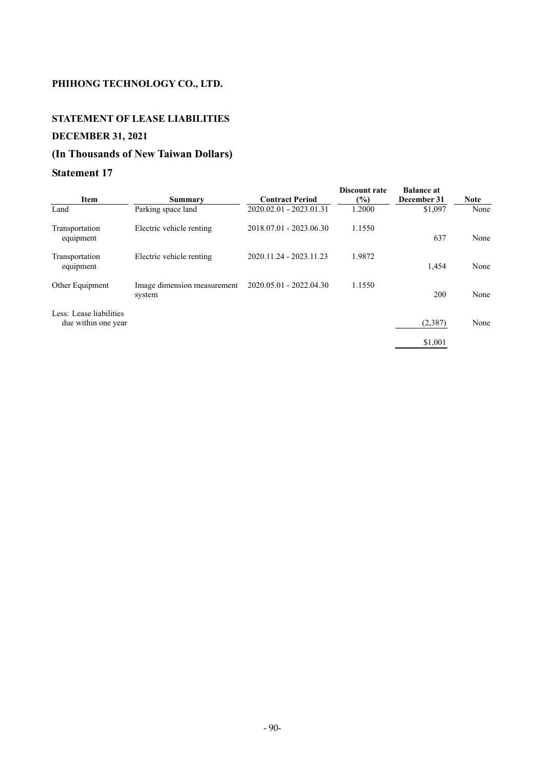# **STATEMENT OF LEASE LIABILITIES**

## **DECEMBER 31, 2021**

## **(In Thousands of New Taiwan Dollars)**

|                                                |                                       |                         | <b>Discount rate</b> | <b>Balance at</b> |             |
|------------------------------------------------|---------------------------------------|-------------------------|----------------------|-------------------|-------------|
| Item                                           | Summary                               | <b>Contract Period</b>  | (%)                  | December 31       | <b>Note</b> |
| Land                                           | Parking space land                    | 2020.02.01 - 2023.01.31 | 1.2000               | \$1,097           | None        |
| Transportation<br>equipment                    | Electric vehicle renting              | 2018.07.01 - 2023.06.30 | 1.1550               | 637               | None        |
| Transportation<br>equipment                    | Electric vehicle renting              | 2020.11.24 - 2023.11.23 | 1.9872               | 1,454             | None        |
| Other Equipment                                | Image dimension measurement<br>system | 2020.05.01 - 2022.04.30 | 1.1550               | 200               | None        |
| Less: Lease liabilities<br>due within one year |                                       |                         |                      | (2, 387)          | None        |
|                                                |                                       |                         |                      | \$1,001           |             |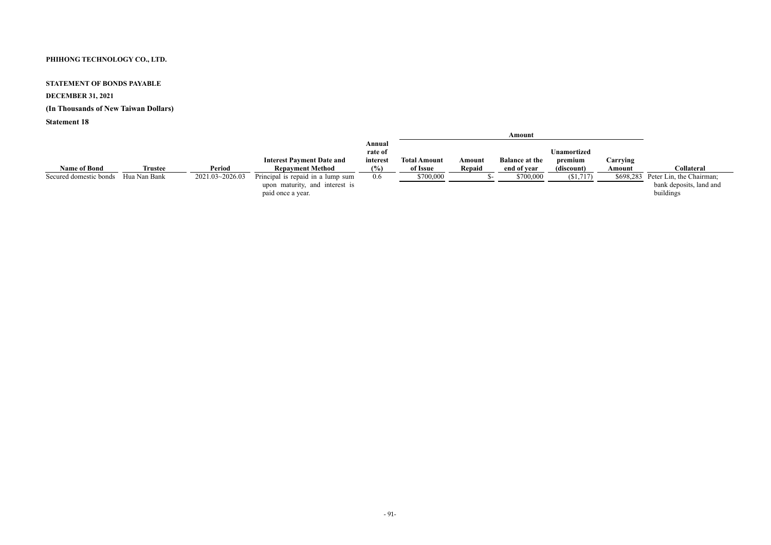#### **STATEMENT OF BONDS PAYABLE**

## **DECEMBER 31, 2021**

## **(In Thousands of New Taiwan Dollars)**

|                        |                |                 |                                   |                   |                     |        | Amount                |                    |          |                                    |
|------------------------|----------------|-----------------|-----------------------------------|-------------------|---------------------|--------|-----------------------|--------------------|----------|------------------------------------|
|                        |                |                 |                                   | Annual<br>rate of |                     |        |                       | <b>Unamortized</b> |          |                                    |
|                        |                |                 |                                   |                   |                     |        |                       |                    |          |                                    |
|                        |                |                 | <b>Interest Payment Date and</b>  | interest          | <b>Total Amount</b> | Amount | <b>Balance at the</b> | premium            | Carrying |                                    |
| <b>Name of Bond</b>    | <b>Trustee</b> | Period          | <b>Repayment Method</b>           | (%)               | of Issue            | Repaid | end of year           | (discount)         | Amount   | <b>Collateral</b>                  |
| Secured domestic bonds | Hua Nan Bank   | 2021.03~2026.03 | Principal is repaid in a lump sum | 0.6               | \$700,000           |        | \$700,000             | (\$1,717)          |          | \$698,283 Peter Lin, the Chairman; |
|                        |                |                 | upon maturity, and interest is    |                   |                     |        |                       |                    |          | bank deposits, land and            |
|                        |                |                 | paid once a year.                 |                   |                     |        |                       |                    |          | buildings                          |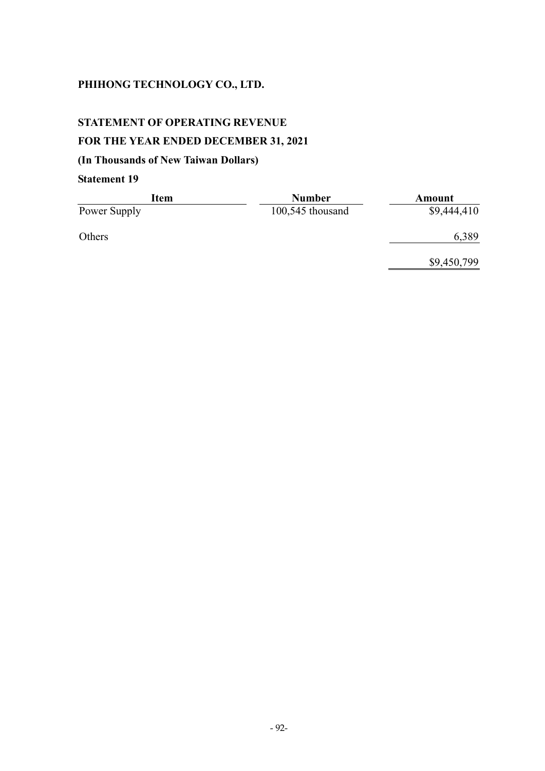## **STATEMENT OF OPERATING REVENUE**

## **FOR THE YEAR ENDED DECEMBER 31, 2021**

## **(In Thousands of New Taiwan Dollars)**

| Item         | <b>Number</b>      | Amount      |
|--------------|--------------------|-------------|
| Power Supply | $100,545$ thousand | \$9,444,410 |
| Others       |                    | 6,389       |
|              |                    | \$9,450,799 |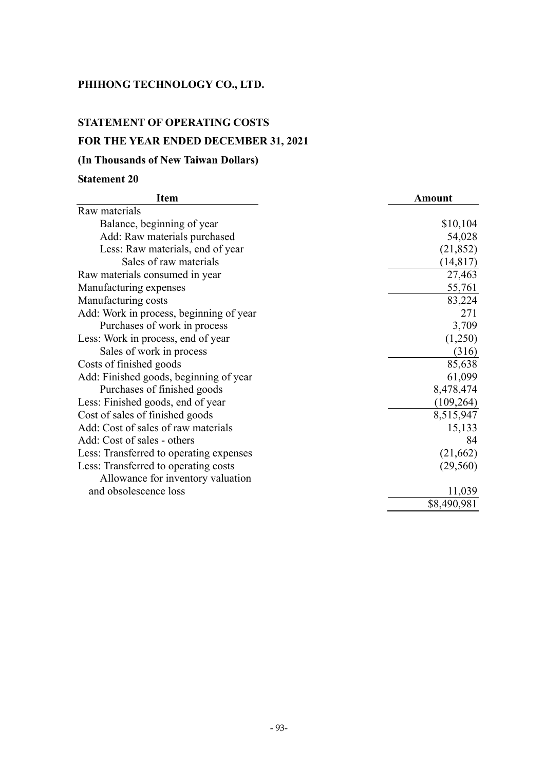## **STATEMENT OF OPERATING COSTS**

## **FOR THE YEAR ENDED DECEMBER 31, 2021**

## **(In Thousands of New Taiwan Dollars)**

| <b>Item</b>                             | <b>Amount</b> |
|-----------------------------------------|---------------|
| Raw materials                           |               |
| Balance, beginning of year              | \$10,104      |
| Add: Raw materials purchased            | 54,028        |
| Less: Raw materials, end of year        | (21, 852)     |
| Sales of raw materials                  | (14, 817)     |
| Raw materials consumed in year          | 27,463        |
| Manufacturing expenses                  | 55,761        |
| Manufacturing costs                     | 83,224        |
| Add: Work in process, beginning of year | 271           |
| Purchases of work in process            | 3,709         |
| Less: Work in process, end of year      | (1,250)       |
| Sales of work in process                | (316)         |
| Costs of finished goods                 | 85,638        |
| Add: Finished goods, beginning of year  | 61,099        |
| Purchases of finished goods             | 8,478,474     |
| Less: Finished goods, end of year       | (109, 264)    |
| Cost of sales of finished goods         | 8,515,947     |
| Add: Cost of sales of raw materials     | 15,133        |
| Add: Cost of sales - others             | 84            |
| Less: Transferred to operating expenses | (21, 662)     |
| Less: Transferred to operating costs    | (29, 560)     |
| Allowance for inventory valuation       |               |
| and obsolescence loss                   | 11,039        |
|                                         | \$8,490,981   |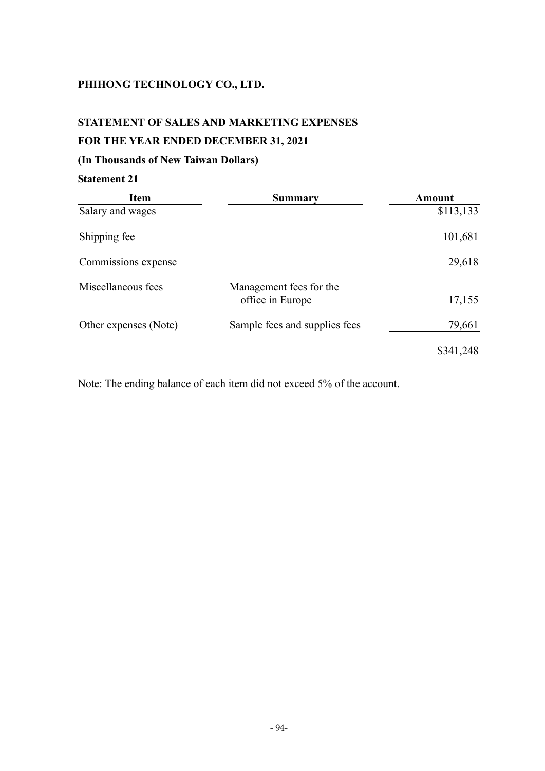#### **STATEMENT OF SALES AND MARKETING EXPENSES**

## **FOR THE YEAR ENDED DECEMBER 31, 2021**

## **(In Thousands of New Taiwan Dollars)**

## **Statement 21**

| <b>Item</b>           | <b>Summary</b>                              | Amount    |
|-----------------------|---------------------------------------------|-----------|
| Salary and wages      |                                             | \$113,133 |
| Shipping fee          |                                             | 101,681   |
| Commissions expense   |                                             | 29,618    |
| Miscellaneous fees    | Management fees for the<br>office in Europe | 17,155    |
| Other expenses (Note) | Sample fees and supplies fees               | 79,661    |
|                       |                                             | \$341,248 |

Note: The ending balance of each item did not exceed 5% of the account.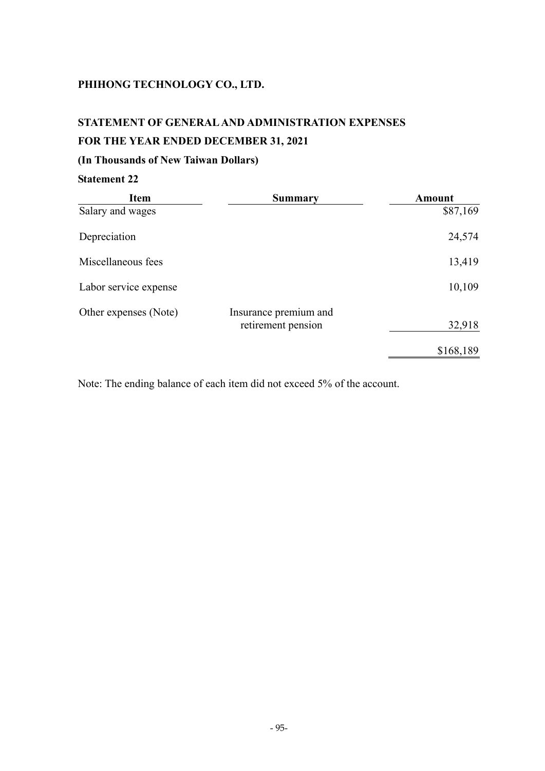## **STATEMENT OF GENERAL AND ADMINISTRATION EXPENSES FOR THE YEAR ENDED DECEMBER 31, 2021**

## **(In Thousands of New Taiwan Dollars)**

## **Statement 22**

| <b>Item</b>           | <b>Summary</b>                              | Amount    |
|-----------------------|---------------------------------------------|-----------|
| Salary and wages      |                                             | \$87,169  |
| Depreciation          |                                             | 24,574    |
| Miscellaneous fees    |                                             | 13,419    |
| Labor service expense |                                             | 10,109    |
| Other expenses (Note) | Insurance premium and<br>retirement pension | 32,918    |
|                       |                                             | \$168,189 |

Note: The ending balance of each item did not exceed 5% of the account.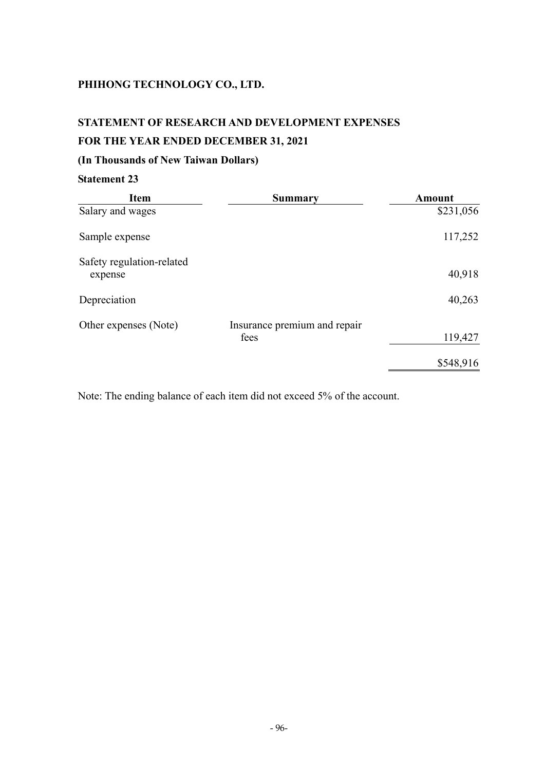# **STATEMENT OF RESEARCH AND DEVELOPMENT EXPENSES**

## **FOR THE YEAR ENDED DECEMBER 31, 2021**

## **(In Thousands of New Taiwan Dollars)**

## **Statement 23**

| <b>Item</b>                          | <b>Summary</b>                       | <b>Amount</b> |
|--------------------------------------|--------------------------------------|---------------|
| Salary and wages                     |                                      | \$231,056     |
| Sample expense                       |                                      | 117,252       |
| Safety regulation-related<br>expense |                                      | 40,918        |
| Depreciation                         |                                      | 40,263        |
| Other expenses (Note)                | Insurance premium and repair<br>fees | 119,427       |
|                                      |                                      | \$548,916     |

Note: The ending balance of each item did not exceed 5% of the account.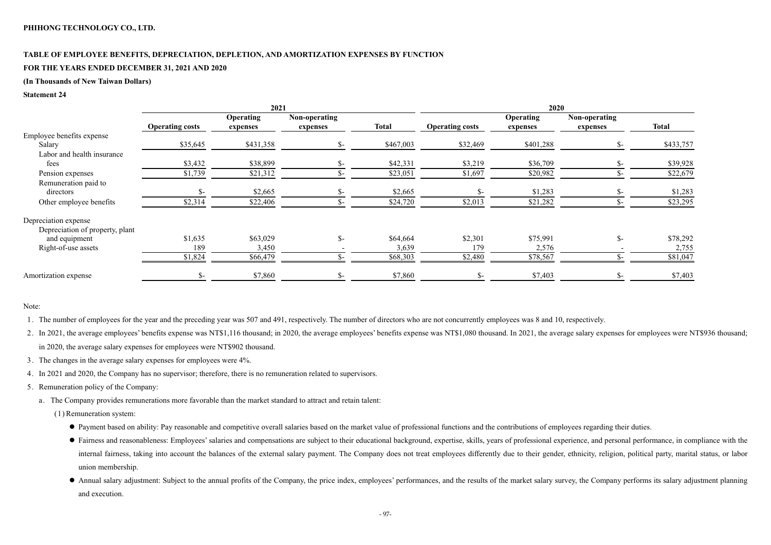# **TABLE OF EMPLOYEE BENEFITS, DEPRECIATION, DEPLETION, AND AMORTIZATION EXPENSES BY FUNCTION**

## **FOR THE YEARS ENDED DECEMBER 31, 2021 AND 2020**

## **(In Thousands of New Taiwan Dollars)**

#### **Statement 24**

|                                 | 2021                   |                              |                           |              | 2020                   |                              |                           |              |
|---------------------------------|------------------------|------------------------------|---------------------------|--------------|------------------------|------------------------------|---------------------------|--------------|
|                                 | <b>Operating costs</b> | <b>Operating</b><br>expenses | Non-operating<br>expenses | <b>Total</b> | <b>Operating costs</b> | <b>Operating</b><br>expenses | Non-operating<br>expenses | <b>Total</b> |
| Employee benefits expense       |                        |                              |                           |              |                        |                              |                           |              |
| Salary                          | \$35,645               | \$431,358                    | $S-$                      | \$467,003    | \$32,469               | \$401,288                    | $S-$                      | \$433,757    |
| Labor and health insurance      |                        |                              |                           |              |                        |                              |                           |              |
| fees                            | \$3,432                | \$38,899                     | \$-                       | \$42,331     | \$3,219                | \$36,709                     |                           | \$39,928     |
| Pension expenses                | \$1,739                | \$21,312                     |                           | \$23,051     | \$1,697                | \$20,982                     |                           | \$22,679     |
| Remuneration paid to            |                        |                              |                           |              |                        |                              |                           |              |
| directors                       |                        | \$2,665                      |                           | \$2,665      | $S-$                   | \$1,283                      |                           | \$1,283      |
| Other employee benefits         | \$2,314                | \$22,406                     |                           | \$24,720     | \$2,013                | \$21,282                     |                           | \$23,295     |
| Depreciation expense            |                        |                              |                           |              |                        |                              |                           |              |
| Depreciation of property, plant |                        |                              |                           |              |                        |                              |                           |              |
| and equipment                   | \$1,635                | \$63,029                     | $S-$                      | \$64,664     | \$2,301                | \$75,991                     | $\mathcal{S}$ -           | \$78,292     |
| Right-of-use assets             | 189                    | 3,450                        |                           | 3,639        | 179                    | 2,576                        |                           | 2,755        |
|                                 | \$1,824                | \$66,479                     |                           | \$68,303     | \$2,480                | \$78,567                     |                           | \$81,047     |
| Amortization expense            | \$-                    | \$7,860                      | $S-$                      | \$7,860      | $\mathsf{S}$ -         | \$7,403                      | $S-$                      | \$7,403      |

## Note:

1. The number of employees for the year and the preceding year was 507 and 491, respectively. The number of directors who are not concurrently employees was 8 and 10, respectively.

2. In 2021, the average employees' benefits expense was NT\$1,116 thousand; in 2020, the average employees' benefits expense was NT\$1,080 thousand. In 2021, the average salary expenses for employees were NT\$936 thousand; in 2020, the average salary expenses for employees were NT\$902 thousand.

- 3. The changes in the average salary expenses for employees were 4%.
- 4. In 2021 and 2020, the Company has no supervisor; therefore, there is no remuneration related to supervisors.
- 5. Remuneration policy of the Company:
	- a. The Company provides remunerations more favorable than the market standard to attract and retain talent:
		- (1) Remuneration system:
			- Payment based on ability: Pay reasonable and competitive overall salaries based on the market value of professional functions and the contributions of employees regarding their duties.
			- Fairness and reasonableness: Employees' salaries and compensations are subject to their educational background, expertise, skills, years of professional experience, and personal performance, in compliance with the internal fairness, taking into account the balances of the external salary payment. The Company does not treat employees differently due to their gender, ethnicity, religion, political party, marital status, or labor union membership.
			- Annual salary adjustment: Subject to the annual profits of the Company, the price index, employees' performances, and the results of the market salary survey, the Company performs its salary adjustment planning and execution.